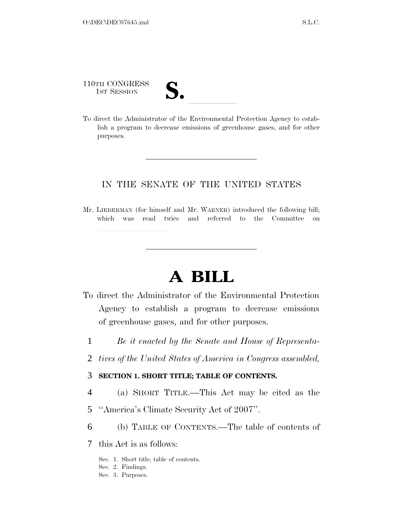110TH CONGRESS

110TH CONGRESS<br>1st Session<br>To direct the Administrator of the Environmental Protection Agency to establish a program to decrease emissions of greenhouse gases, and for other purposes.

# IN THE SENATE OF THE UNITED STATES

Mr. LIEBERMAN (for himself and Mr. WARNER) introduced the following bill; which was read twice and referred to the Committee on

# **A BILL**

- To direct the Administrator of the Environmental Protection Agency to establish a program to decrease emissions of greenhouse gases, and for other purposes.
	- 1 *Be it enacted by the Senate and House of Representa-*
	- 2 *tives of the United States of America in Congress assembled,*

# 3 **SECTION 1. SHORT TITLE; TABLE OF CONTENTS.**

- 4 (a) SHORT TITLE.—This Act may be cited as the
- 5 ''America's Climate Security Act of 2007''.
- 6 (b) TABLE OF CONTENTS.—The table of contents of
- 7 this Act is as follows:
	- Sec. 1. Short title; table of contents.
	- Sec. 2. Findings.
	- Sec. 3. Purposes.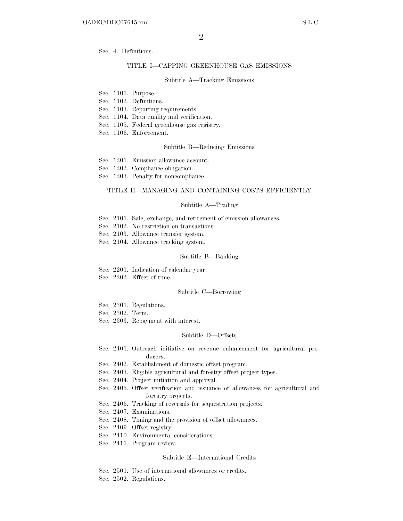Sec. 4. Definitions.

#### TITLE I—CAPPING GREENHOUSE GAS EMISSIONS

#### Subtitle A—Tracking Emissions

- Sec. 1101. Purpose.
- Sec. 1102. Definitions.

Sec. 1103. Reporting requirements.

- Sec. 1104. Data quality and verification.
- Sec. 1105. Federal greenhouse gas registry.
- Sec. 1106. Enforcement.

#### Subtitle B—Reducing Emissions

- Sec. 1201. Emission allowance account.
- Sec. 1202. Compliance obligation.
- Sec. 1203. Penalty for noncompliance.

#### TITLE II—MANAGING AND CONTAINING COSTS EFFICIENTLY

#### Subtitle A—Trading

- Sec. 2101. Sale, exchange, and retirement of emission allowances.
- Sec. 2102. No restriction on transactions.
- Sec. 2103. Allowance transfer system.
- Sec. 2104. Allowance tracking system.

#### Subtitle B—Banking

- Sec. 2201. Indication of calendar year.
- Sec. 2202. Effect of time.

# Subtitle C—Borrowing

- Sec. 2301. Regulations.
- Sec. 2302. Term.
- Sec. 2303. Repayment with interest.

#### Subtitle D—Offsets

- Sec. 2401. Outreach initiative on revenue enhancement for agricultural producers.
- Sec. 2402. Establishment of domestic offset program.
- Sec. 2403. Eligible agricultural and forestry offset project types.
- Sec. 2404. Project initiation and approval.
- Sec. 2405. Offset verification and issuance of allowances for agricultural and forestry projects.
- Sec. 2406. Tracking of reversals for sequestration projects.
- Sec. 2407. Examinations.
- Sec. 2408. Timing and the provision of offset allowances.
- Sec. 2409. Offset registry.
- Sec. 2410. Environmental considerations.
- Sec. 2411. Program review.

#### Subtitle E—International Credits

- Sec. 2501. Use of international allowances or credits.
- Sec. 2502. Regulations.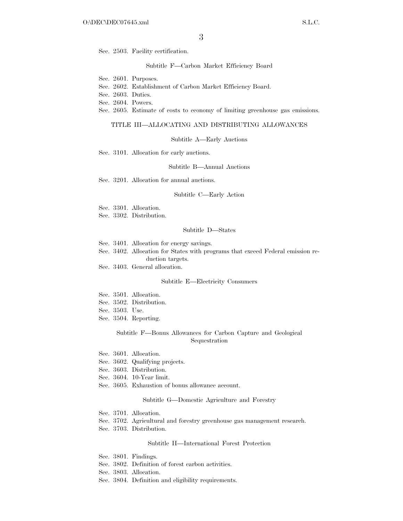Sec. 2503. Facility certification.

Subtitle F—Carbon Market Efficiency Board

Sec. 2601. Purposes.

- Sec. 2602. Establishment of Carbon Market Efficiency Board.
- Sec. 2603. Duties.
- Sec. 2604. Powers.

Sec. 2605. Estimate of costs to economy of limiting greenhouse gas emissions.

#### TITLE III—ALLOCATING AND DISTRIBUTING ALLOWANCES

Subtitle A—Early Auctions

Sec. 3101. Allocation for early auctions.

Subtitle B—Annual Auctions

Sec. 3201. Allocation for annual auctions.

#### Subtitle C—Early Action

Sec. 3301. Allocation.

Sec. 3302. Distribution.

#### Subtitle D—States

Sec. 3401. Allocation for energy savings.

Sec. 3402. Allocation for States with programs that exceed Federal emission reduction targets.

Sec. 3403. General allocation.

#### Subtitle E—Electricity Consumers

- Sec. 3501. Allocation.
- Sec. 3502. Distribution.

Sec. 3503. Use.

Sec. 3504. Reporting.

#### Subtitle F—Bonus Allowances for Carbon Capture and Geological Sequestration

Sec. 3601. Allocation.

- Sec. 3602. Qualifying projects.
- Sec. 3603. Distribution.
- Sec. 3604. 10-Year limit.
- Sec. 3605. Exhaustion of bonus allowance account.

#### Subtitle G—Domestic Agriculture and Forestry

Sec. 3701. Allocation.

Sec. 3702. Agricultural and forestry greenhouse gas management research.

Sec. 3703. Distribution.

#### Subtitle H—International Forest Protection

- Sec. 3801. Findings.
- Sec. 3802. Definition of forest carbon activities.
- Sec. 3803. Allocation.
- Sec. 3804. Definition and eligibility requirements.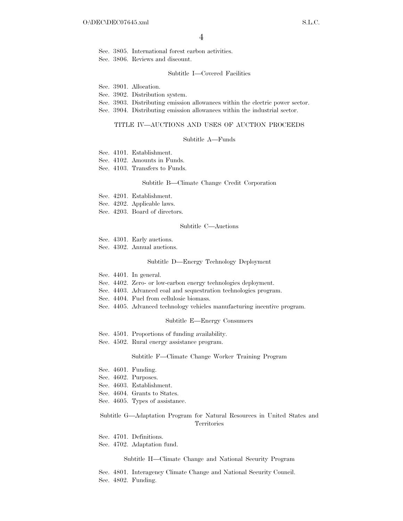Sec. 3805. International forest carbon activities.

Sec. 3806. Reviews and discount.

#### Subtitle I—Covered Facilities

Sec. 3901. Allocation.

Sec. 3902. Distribution system.

- Sec. 3903. Distributing emission allowances within the electric power sector.
- Sec. 3904. Distributing emission allowances within the industrial sector.

#### TITLE IV—AUCTIONS AND USES OF AUCTION PROCEEDS

#### Subtitle A—Funds

Sec. 4101. Establishment.

Sec. 4102. Amounts in Funds.

Sec. 4103. Transfers to Funds.

#### Subtitle B—Climate Change Credit Corporation

Sec. 4201. Establishment.

Sec. 4202. Applicable laws.

Sec. 4203. Board of directors.

#### Subtitle C—Auctions

Sec. 4301. Early auctions.

Sec. 4302. Annual auctions.

#### Subtitle D—Energy Technology Deployment

- Sec. 4401. In general.
- Sec. 4402. Zero- or low-carbon energy technologies deployment.
- Sec. 4403. Advanced coal and sequestration technologies program.
- Sec. 4404. Fuel from cellulosic biomass.
- Sec. 4405. Advanced technology vehicles manufacturing incentive program.

#### Subtitle E—Energy Consumers

- Sec. 4501. Proportions of funding availability.
- Sec. 4502. Rural energy assistance program.

#### Subtitle F—Climate Change Worker Training Program

- Sec. 4601. Funding.
- Sec. 4602. Purposes.
- Sec. 4603. Establishment.
- Sec. 4604. Grants to States.
- Sec. 4605. Types of assistance.

#### Subtitle G—Adaptation Program for Natural Resources in United States and Territories

- Sec. 4701. Definitions.
- Sec. 4702. Adaptation fund.

#### Subtitle H—Climate Change and National Security Program

Sec. 4801. Interagency Climate Change and National Security Council. Sec. 4802. Funding.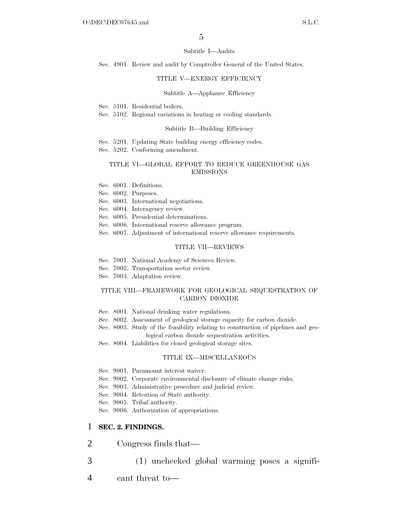#### Subtitle I—Audits

Sec. 4901. Review and audit by Comptroller General of the United States.

#### TITLE V—ENERGY EFFICIENCY

#### Subtitle A—Appliance Efficiency

Sec. 5101. Residential boilers.

Sec. 5102. Regional variations in heating or cooling standards.

#### Subtitle B—Building Efficiency

Sec. 5201. Updating State building energy efficiency codes.

Sec. 5202. Conforming amendment.

#### TITLE VI—GLOBAL EFFORT TO REDUCE GREENHOUSE GAS EMISSIONS

Sec. 6001. Definitions.

Sec. 6002. Purposes.

Sec. 6003. International negotiations.

Sec. 6004. Interagency review.

Sec. 6005. Presidential determinations.

Sec. 6006. International reserve allowance program.

Sec. 6007. Adjustment of international reserve allowance requirements.

#### TITLE VII—REVIEWS

- Sec. 7001. National Academy of Sciences Review.
- Sec. 7002. Transportation sector review.
- Sec. 7003. Adaptation review.

#### TITLE VIII—FRAMEWORK FOR GEOLOGICAL SEQUESTRATION OF CARBON DIOXIDE

- Sec. 8001. National drinking water regulations.
- Sec. 8002. Assessment of geological storage capacity for carbon dioxide.
- Sec. 8003. Study of the feasibility relating to construction of pipelines and geological carbon dioxide sequestration activities.
- Sec. 8004. Liabilities for closed geological storage sites.

#### TITLE IX—MISCELLANEOUS

- Sec. 9001. Paramount interest waiver.
- Sec. 9002. Corporate environmental disclosure of climate change risks.
- Sec. 9003. Administrative procedure and judicial review.
- Sec. 9004. Retention of State authority.
- Sec. 9005. Tribal authority.
- Sec. 9006. Authorization of appropriations.

# 1 **SEC. 2. FINDINGS.**

- 2 Congress finds that—
- 3 (1) unchecked global warming poses a signifi-
- 4 cant threat to—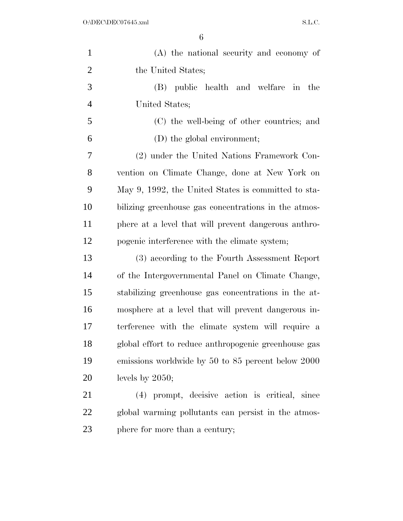| $\mathbf{1}$   | (A) the national security and economy of             |
|----------------|------------------------------------------------------|
| $\overline{2}$ | the United States;                                   |
| 3              | (B) public health and welfare in the                 |
| $\overline{4}$ | United States;                                       |
| 5              | (C) the well-being of other countries; and           |
| 6              | (D) the global environment;                          |
| $\overline{7}$ | (2) under the United Nations Framework Con-          |
| 8              | vention on Climate Change, done at New York on       |
| 9              | May 9, 1992, the United States is committed to sta-  |
| 10             | bilizing greenhouse gas concentrations in the atmos- |
| 11             | phere at a level that will prevent dangerous anthro- |
| 12             | pogenic interference with the climate system;        |
| 13             | (3) according to the Fourth Assessment Report        |
| 14             | of the Intergovernmental Panel on Climate Change,    |
| 15             | stabilizing greenhouse gas concentrations in the at- |
| 16             | mosphere at a level that will prevent dangerous in-  |
| 17             | terference with the climate system will require a    |
| 18             | global effort to reduce anthropogenic greenhouse gas |
| 19             | emissions worldwide by 50 to 85 percent below 2000   |
| 20             | levels by $2050$ ;                                   |
| 21             | (4) prompt, decisive action is critical, since       |
| 22             | global warming pollutants can persist in the atmos-  |
| 23             | phere for more than a century;                       |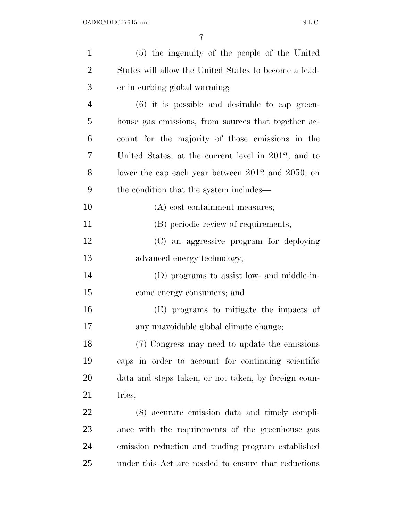| $\mathbf{1}$   | (5) the ingenuity of the people of the United         |
|----------------|-------------------------------------------------------|
| $\overline{2}$ | States will allow the United States to become a lead- |
| 3              | er in curbing global warming;                         |
| $\overline{4}$ | $(6)$ it is possible and desirable to cap green-      |
| 5              | house gas emissions, from sources that together ac-   |
| 6              | count for the majority of those emissions in the      |
| 7              | United States, at the current level in 2012, and to   |
| 8              | lower the cap each year between 2012 and 2050, on     |
| 9              | the condition that the system includes—               |
| 10             | (A) cost containment measures;                        |
| 11             | (B) periodic review of requirements;                  |
| 12             | (C) an aggressive program for deploying               |
| 13             | advanced energy technology;                           |
| 14             | (D) programs to assist low- and middle-in-            |
| 15             | come energy consumers; and                            |
| 16             | (E) programs to mitigate the impacts of               |
| 17             | any unavoidable global climate change;                |
| 18             | (7) Congress may need to update the emissions         |
| 19             | caps in order to account for continuing scientific    |
| 20             | data and steps taken, or not taken, by foreign coun-  |
| 21             | tries;                                                |
| 22             | (8) accurate emission data and timely compli-         |
| 23             | ance with the requirements of the greenhouse gas      |
| 24             | emission reduction and trading program established    |
| 25             | under this Act are needed to ensure that reductions   |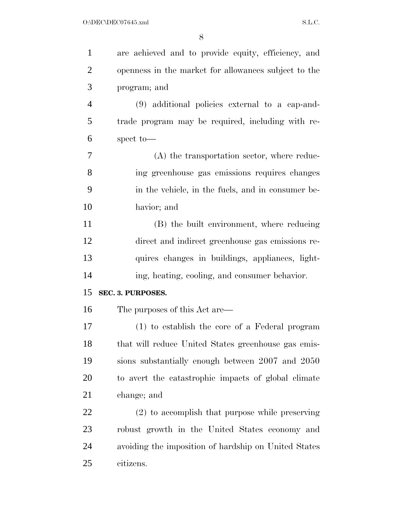| $\mathbf{1}$   | are achieved and to provide equity, efficiency, and  |
|----------------|------------------------------------------------------|
| $\overline{2}$ | openness in the market for allowances subject to the |
| 3              | program; and                                         |
| $\overline{4}$ | (9) additional policies external to a cap-and-       |
| 5              | trade program may be required, including with re-    |
| 6              | spect to-                                            |
| 7              | $(A)$ the transportation sector, where reduc-        |
| 8              | ing greenhouse gas emissions requires changes        |
| 9              | in the vehicle, in the fuels, and in consumer be-    |
| 10             | havior; and                                          |
| 11             | (B) the built environment, where reducing            |
| 12             | direct and indirect greenhouse gas emissions re-     |
| 13             | quires changes in buildings, appliances, light-      |
| 14             | ing, heating, cooling, and consumer behavior.        |
|                |                                                      |
| 15             | SEC. 3. PURPOSES.                                    |
| 16             | The purposes of this Act are—                        |
| 17             | (1) to establish the core of a Federal program       |
| 18             | that will reduce United States greenhouse gas emis-  |
| 19             | sions substantially enough between 2007 and 2050     |
| 20             | to avert the catastrophic impacts of global climate  |
| 21             | change; and                                          |
| 22             | (2) to accomplish that purpose while preserving      |
| 23             | robust growth in the United States economy and       |
| 24             | avoiding the imposition of hardship on United States |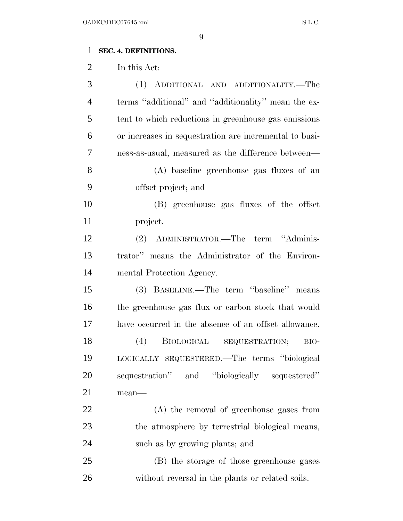# **SEC. 4. DEFINITIONS.**

In this Act:

| 3              | (1) ADDITIONAL AND ADDITIONALITY.—The                  |
|----------------|--------------------------------------------------------|
| $\overline{4}$ | terms "additional" and "additionality" mean the ex-    |
| 5              | tent to which reductions in greenhouse gas emissions   |
| 6              | or increases in sequestration are incremental to busi- |
| 7              | ness-as-usual, measured as the difference between—     |
| 8              | (A) baseline greenhouse gas fluxes of an               |
| 9              | offset project; and                                    |
| 10             | (B) greenhouse gas fluxes of the offset                |
| 11             | project.                                               |
| 12             | (2) ADMINISTRATOR.—The term "Adminis-                  |
| 13             | trator" means the Administrator of the Environ-        |
| 14             | mental Protection Agency.                              |
| 15             | (3) BASELINE.—The term "baseline" means                |
| 16             | the greenhouse gas flux or carbon stock that would     |
| 17             | have occurred in the absence of an offset allowance.   |
| 18             | (4)<br>BIOLOGICAL SEQUESTRATION;<br>BIO-               |
| 19             | LOGICALLY SEQUESTERED.—The terms "biological           |
| 20             | sequestration" and "biologically sequestered"          |
| 21             | mean-                                                  |
| 22             | (A) the removal of greenhouse gases from               |
| 23             | the atmosphere by terrestrial biological means,        |
| 24             | such as by growing plants; and                         |
| 25             | (B) the storage of those greenhouse gases              |
| 26             | without reversal in the plants or related soils.       |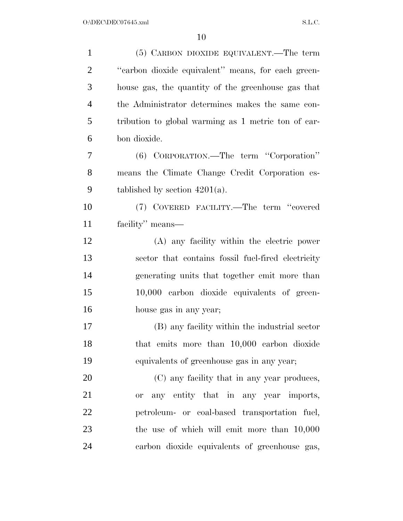| $\mathbf{1}$   | (5) CARBON DIOXIDE EQUIVALENT.—The term             |
|----------------|-----------------------------------------------------|
| $\overline{2}$ | "carbon dioxide equivalent" means, for each green-  |
| 3              | house gas, the quantity of the greenhouse gas that  |
| $\overline{4}$ | the Administrator determines makes the same con-    |
| 5              | tribution to global warming as 1 metric ton of car- |
| 6              | bon dioxide.                                        |
| 7              | (6) CORPORATION.—The term "Corporation"             |
| 8              | means the Climate Change Credit Corporation es-     |
| 9              | tablished by section $4201(a)$ .                    |
| 10             | (7) COVERED FACILITY.—The term "covered             |
| 11             | facility" means—                                    |
| 12             | (A) any facility within the electric power          |
| 13             | sector that contains fossil fuel-fired electricity  |
| 14             | generating units that together emit more than       |
| 15             | 10,000 carbon dioxide equivalents of green-         |
| 16             | house gas in any year;                              |
| 17             | (B) any facility within the industrial sector       |
| 18             | that emits more than 10,000 carbon dioxide          |
| 19             | equivalents of greenhouse gas in any year;          |
| 20             | (C) any facility that in any year produces,         |
| 21             | or any entity that in any year imports,             |
| <u>22</u>      | petroleum- or coal-based transportation fuel,       |
| 23             | the use of which will emit more than 10,000         |
| 24             | carbon dioxide equivalents of greenhouse gas,       |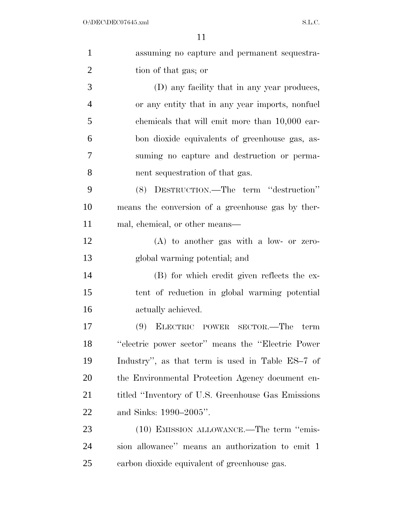| $\mathbf{1}$   | assuming no capture and permanent sequestra-        |
|----------------|-----------------------------------------------------|
| $\overline{2}$ | tion of that gas; or                                |
| 3              | (D) any facility that in any year produces,         |
| 4              | or any entity that in any year imports, nonfuel     |
| 5              | chemicals that will emit more than 10,000 car-      |
| 6              | bon dioxide equivalents of greenhouse gas, as-      |
| 7              | suming no capture and destruction or perma-         |
| 8              | nent sequestration of that gas.                     |
| 9              | (8) DESTRUCTION.—The term "destruction"             |
| 10             | means the conversion of a greenhouse gas by ther-   |
| 11             | mal, chemical, or other means—                      |
| 12             | $(A)$ to another gas with a low- or zero-           |
| 13             | global warming potential; and                       |
| 14             | (B) for which credit given reflects the ex-         |
| 15             | tent of reduction in global warming potential       |
| 16             | actually achieved.                                  |
| 17             | (9) ELECTRIC POWER SECTOR.—The term                 |
| 18             | "electric power sector" means the "Electric Power"  |
| 19             | Industry", as that term is used in Table ES-7 of    |
| 20             | the Environmental Protection Agency document en-    |
| 21             | titled "Inventory of U.S. Greenhouse Gas Emissions" |
| 22             | and Sinks: 1990–2005".                              |
| 23             | (10) EMISSION ALLOWANCE.—The term "emis-            |
| 24             | sion allowance" means an authorization to emit 1    |
| 25             | carbon dioxide equivalent of greenhouse gas.        |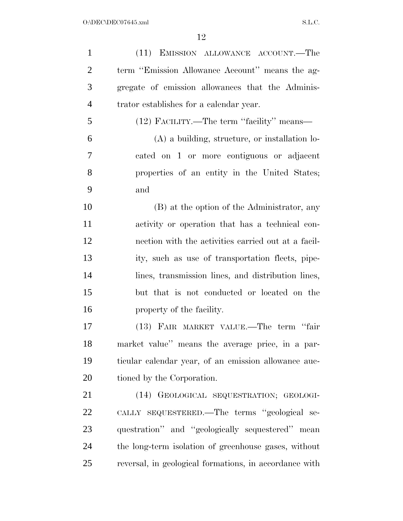| $\mathbf{1}$   | (11) EMISSION ALLOWANCE ACCOUNT.—The                   |
|----------------|--------------------------------------------------------|
| $\overline{2}$ | term "Emission Allowance Account" means the ag-        |
| 3              | gregate of emission allowances that the Adminis-       |
| $\overline{4}$ | trator establishes for a calendar year.                |
| 5              | (12) FACILITY.—The term "facility" means—              |
| 6              | $(A)$ a building, structure, or installation lo-       |
| 7              | cated on 1 or more contiguous or adjacent              |
| 8              | properties of an entity in the United States;          |
| 9              | and                                                    |
| 10             | (B) at the option of the Administrator, any            |
| 11             | activity or operation that has a technical con-        |
| 12             | nection with the activities carried out at a facil-    |
| 13             | ity, such as use of transportation fleets, pipe-       |
| 14             | lines, transmission lines, and distribution lines,     |
| 15             | but that is not conducted or located on the            |
| 16             | property of the facility.                              |
| 17             | (13) FAIR MARKET VALUE.—The term "fair                 |
| 18             | market value" means the average price, in a par-       |
| 19             | ticular calendar year, of an emission allowance auc-   |
| 20             | tioned by the Corporation.                             |
| 21             | (14) GEOLOGICAL SEQUESTRATION; GEOLOGI-                |
| 22             | CALLY SEQUESTERED.—The terms "geological se-           |
| 23             | questration" and "geologically sequestered" mean       |
| 24             | the long-term isolation of greenhouse gases, without   |
| 25             | reversal, in geological formations, in accordance with |
|                |                                                        |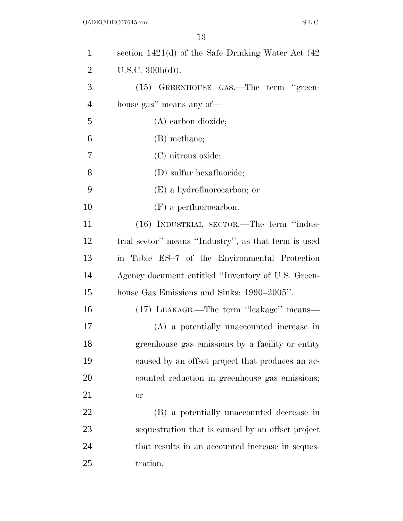| $\mathbf{1}$   | section $1421(d)$ of the Safe Drinking Water Act $(42)$ |
|----------------|---------------------------------------------------------|
| $\overline{2}$ | U.S.C. 300h(d)).                                        |
| 3              | (15) GREENHOUSE GAS.—The term "green-                   |
| $\overline{4}$ | house gas" means any of-                                |
| 5              | (A) carbon dioxide;                                     |
| 6              | (B) methane;                                            |
| 7              | (C) nitrous oxide;                                      |
| 8              | (D) sulfur hexafluoride;                                |
| 9              | (E) a hydrofluorocarbon; or                             |
| 10             | $(F)$ a perfluorocarbon.                                |
| 11             | (16) INDUSTRIAL SECTOR.—The term "indus-                |
| 12             | trial sector" means "Industry", as that term is used    |
| 13             | in Table ES-7 of the Environmental Protection           |
| 14             | Agency document entitled "Inventory of U.S. Green-      |
| 15             | house Gas Emissions and Sinks: 1990–2005".              |
| 16             | (17) LEAKAGE.—The term "leakage" means—                 |
| 17             | (A) a potentially unaccounted increase in               |
| 18             | greenhouse gas emissions by a facility or entity        |
| 19             | caused by an offset project that produces an ac-        |
| 20             | counted reduction in greenhouse gas emissions;          |
| 21             | <b>or</b>                                               |
| 22             | (B) a potentially unaccounted decrease in               |
| 23             | sequestration that is caused by an offset project       |
| 24             | that results in an accounted increase in seques-        |
| 25             | tration.                                                |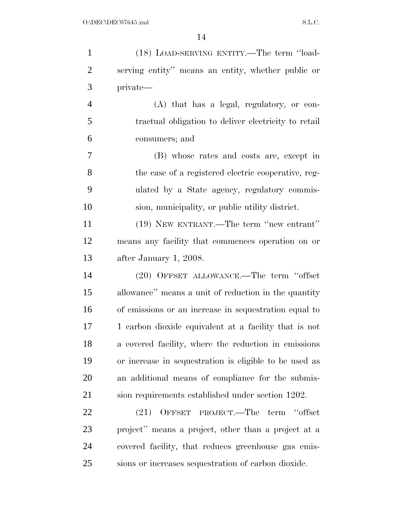| $\mathbf{1}$   | (18) LOAD-SERVING ENTITY.—The term "load-              |
|----------------|--------------------------------------------------------|
| $\overline{2}$ | serving entity" means an entity, whether public or     |
| 3              | private—                                               |
| $\overline{4}$ | (A) that has a legal, regulatory, or con-              |
| 5              | tractual obligation to deliver electricity to retail   |
| 6              | consumers; and                                         |
| $\tau$         | (B) whose rates and costs are, except in               |
| 8              | the case of a registered electric cooperative, reg-    |
| 9              | ulated by a State agency, regulatory commis-           |
| 10             | sion, municipality, or public utility district.        |
| 11             | (19) NEW ENTRANT.—The term "new entrant"               |
| 12             | means any facility that commences operation on or      |
| 13             | after January 1, 2008.                                 |
| 14             | (20) OFFSET ALLOWANCE.—The term "offset                |
| 15             | allowance" means a unit of reduction in the quantity   |
| 16             | of emissions or an increase in sequestration equal to  |
| 17             | 1 carbon dioxide equivalent at a facility that is not  |
| 18             | a covered facility, where the reduction in emissions   |
| 19             | or increase in sequestration is eligible to be used as |
| 20             | an additional means of compliance for the submis-      |
| 21             | sion requirements established under section 1202.      |
| 22             | OFFSET PROJECT.—The term "offset<br>(21)               |
| 23             | project" means a project, other than a project at a    |
| 24             | covered facility, that reduces greenhouse gas emis-    |
| 25             | sions or increases sequestration of carbon dioxide.    |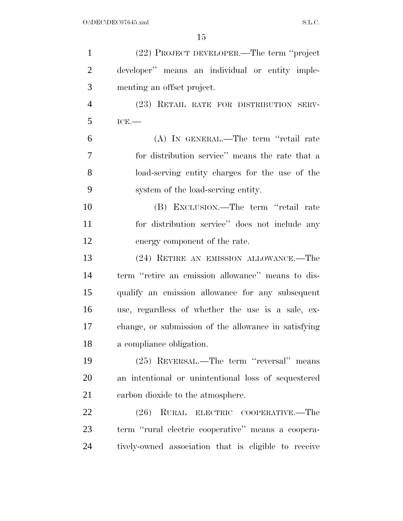| $\mathbf{1}$   | (22) PROJECT DEVELOPER.—The term "project            |
|----------------|------------------------------------------------------|
| $\overline{2}$ | developer" means an individual or entity imple-      |
| 3              | menting an offset project.                           |
| $\overline{4}$ | (23) RETAIL RATE FOR DISTRIBUTION SERV-              |
| 5              | ICE.                                                 |
| 6              | (A) IN GENERAL.—The term "retail rate                |
| 7              | for distribution service" means the rate that a      |
| 8              | load-serving entity charges for the use of the       |
| 9              | system of the load-serving entity.                   |
| 10             | (B) EXCLUSION.—The term "retail rate                 |
| 11             | for distribution service" does not include any       |
| 12             | energy component of the rate.                        |
| 13             | (24) RETIRE AN EMISSION ALLOWANCE.—The               |
| 14             | term "retire an emission allowance" means to dis-    |
| 15             | qualify an emission allowance for any subsequent     |
| 16             | use, regardless of whether the use is a sale, ex-    |
| 17             | change, or submission of the allowance in satisfying |
| 18             | a compliance obligation.                             |
| 19             | (25) REVERSAL.—The term "reversal" means             |
| 20             | an intentional or unintentional loss of sequestered  |
| 21             | carbon dioxide to the atmosphere.                    |
| 22             | (26)<br>RURAL ELECTRIC COOPERATIVE.—The              |
| 23             | term "rural electric cooperative" means a coopera-   |
| 24             | tively-owned association that is eligible to receive |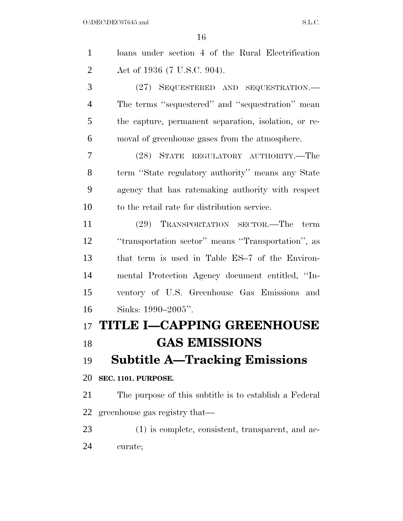| $\mathbf{1}$   | loans under section 4 of the Rural Electrification     |
|----------------|--------------------------------------------------------|
| $\overline{2}$ | Act of 1936 (7 U.S.C. 904).                            |
| 3              | (27) SEQUESTERED AND SEQUESTRATION.-                   |
| $\overline{4}$ | The terms "sequestered" and "sequestration" mean       |
| 5              | the capture, permanent separation, isolation, or re-   |
| 6              | moval of greenhouse gases from the atmosphere.         |
| 7              | (28) STATE REGULATORY AUTHORITY.-The                   |
| 8              | term "State regulatory authority" means any State      |
| 9              | agency that has ratemaking authority with respect      |
| 10             | to the retail rate for distribution service.           |
| 11             | (29) TRANSPORTATION SECTOR.—The<br>term                |
| 12             | "transportation sector" means "Transportation", as     |
| 13             | that term is used in Table ES-7 of the Environ-        |
| 14             | mental Protection Agency document entitled, "In-       |
| 15             | ventory of U.S. Greenhouse Gas Emissions and           |
| 16             | Sinks: 1990-2005".                                     |
| 17             | <b>TITLE I-CAPPING GREENHOUSE</b>                      |
| 18             | <b>GAS EMISSIONS</b>                                   |
| 19             | <b>Subtitle A—Tracking Emissions</b>                   |
| 20             | <b>SEC. 1101. PURPOSE.</b>                             |
| 21             | The purpose of this subtitle is to establish a Federal |
| 22             | greenhouse gas registry that—                          |
| 23             | $(1)$ is complete, consistent, transparent, and ac-    |
| 24             | curate;                                                |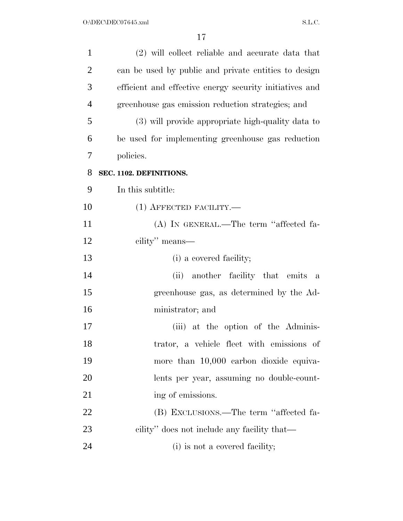| $\mathbf{1}$   | (2) will collect reliable and accurate data that        |
|----------------|---------------------------------------------------------|
| $\overline{2}$ | can be used by public and private entities to design    |
| 3              | efficient and effective energy security initiatives and |
| $\overline{4}$ | greenhouse gas emission reduction strategies; and       |
| 5              | (3) will provide appropriate high-quality data to       |
| 6              | be used for implementing greenhouse gas reduction       |
| 7              | policies.                                               |
| 8              | SEC. 1102. DEFINITIONS.                                 |
| 9              | In this subtitle:                                       |
| 10             | $(1)$ AFFECTED FACILITY.—                               |
| 11             | (A) IN GENERAL.—The term "affected fa-                  |
| 12             | cility" means—                                          |
| 13             | (i) a covered facility;                                 |
| 14             | (ii) another facility that emits<br>$\mathbf{a}$        |
| 15             | greenhouse gas, as determined by the Ad-                |
| 16             | ministrator; and                                        |
| 17             | (iii) at the option of the Adminis-                     |
| 18             | trator, a vehicle fleet with emissions of               |
| 19             | more than 10,000 carbon dioxide equiva-                 |
| 20             | lents per year, assuming no double-count-               |
| 21             | ing of emissions.                                       |
| 22             | (B) EXCLUSIONS.—The term "affected fa-                  |
| 23             | cility" does not include any facility that—             |
| 24             | (i) is not a covered facility;                          |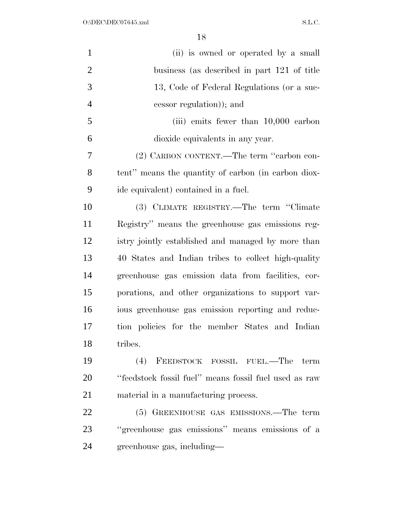| $\mathbf{1}$   | (ii) is owned or operated by a small                  |
|----------------|-------------------------------------------------------|
| $\overline{2}$ | business (as described in part 121 of title           |
| 3              | 13, Code of Federal Regulations (or a suc-            |
| $\overline{4}$ | cessor regulation)); and                              |
| 5              | (iii) emits fewer than $10,000$ carbon                |
| 6              | dioxide equivalents in any year.                      |
| 7              | (2) CARBON CONTENT.—The term "carbon con-             |
| 8              | tent" means the quantity of carbon (in carbon diox-   |
| 9              | ide equivalent) contained in a fuel.                  |
| 10             | (3) CLIMATE REGISTRY.—The term "Climate               |
| 11             | Registry" means the greenhouse gas emissions reg-     |
| 12             | istry jointly established and managed by more than    |
| 13             | 40 States and Indian tribes to collect high-quality   |
| 14             | greenhouse gas emission data from facilities, cor-    |
| 15             | porations, and other organizations to support var-    |
| 16             | ious greenhouse gas emission reporting and reduc-     |
| 17             | tion policies for the member States and Indian        |
| 18             | tribes.                                               |
| 19             | (4) FEEDSTOCK FOSSIL FUEL.—The term                   |
| 20             | "feedstock fossil fuel" means fossil fuel used as raw |
| 21             | material in a manufacturing process.                  |
| 22             | (5) GREENHOUSE GAS EMISSIONS.—The term                |
| 23             | "greenhouse gas emissions" means emissions of a       |
| 24             | greenhouse gas, including—                            |
|                |                                                       |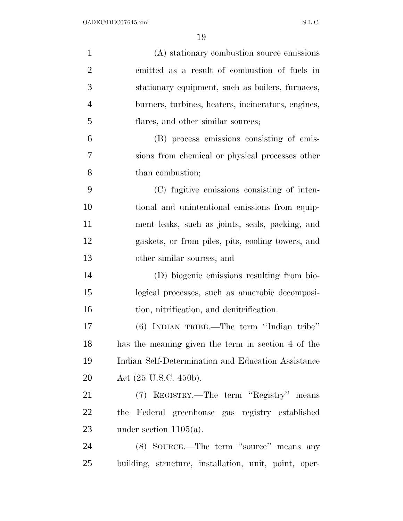| $\mathbf{1}$   | (A) stationary combustion source emissions            |
|----------------|-------------------------------------------------------|
| $\overline{2}$ | emitted as a result of combustion of fuels in         |
| 3              | stationary equipment, such as boilers, furnaces,      |
| $\overline{4}$ | burners, turbines, heaters, incinerators, engines,    |
| 5              | flares, and other similar sources;                    |
| 6              | (B) process emissions consisting of emis-             |
| 7              | sions from chemical or physical processes other       |
| 8              | than combustion;                                      |
| 9              | (C) fugitive emissions consisting of inten-           |
| 10             | tional and unintentional emissions from equip-        |
| 11             | ment leaks, such as joints, seals, packing, and       |
| 12             | gaskets, or from piles, pits, cooling towers, and     |
| 13             | other similar sources; and                            |
| 14             | (D) biogenic emissions resulting from bio-            |
| 15             | logical processes, such as anaerobic decomposi-       |
| 16             | tion, nitrification, and denitrification.             |
| 17             | $(6)$ INDIAN TRIBE.—The term "Indian tribe"           |
| 18             | has the meaning given the term in section 4 of the    |
| 19             | Indian Self-Determination and Education Assistance    |
| 20             | Act (25 U.S.C. 450b).                                 |
| 21             | (7) REGISTRY.—The term "Registry" means               |
| 22             | the Federal greenhouse gas registry established       |
| 23             | under section $1105(a)$ .                             |
| 24             | (8) SOURCE.—The term "source" means any               |
| 25             | building, structure, installation, unit, point, oper- |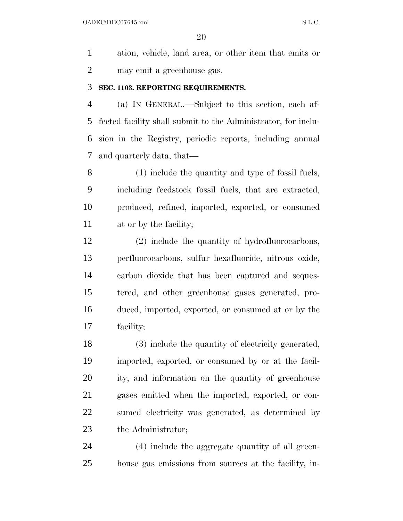$O:\Delta$ DEC $O$ 7645.xml S.L.C.

 ation, vehicle, land area, or other item that emits or may emit a greenhouse gas.

# **SEC. 1103. REPORTING REQUIREMENTS.**

 (a) IN GENERAL.—Subject to this section, each af- fected facility shall submit to the Administrator, for inclu- sion in the Registry, periodic reports, including annual and quarterly data, that—

 (1) include the quantity and type of fossil fuels, including feedstock fossil fuels, that are extracted, produced, refined, imported, exported, or consumed at or by the facility;

 (2) include the quantity of hydrofluorocarbons, perfluorocarbons, sulfur hexafluoride, nitrous oxide, carbon dioxide that has been captured and seques- tered, and other greenhouse gases generated, pro- duced, imported, exported, or consumed at or by the facility;

 (3) include the quantity of electricity generated, imported, exported, or consumed by or at the facil- ity, and information on the quantity of greenhouse gases emitted when the imported, exported, or con- sumed electricity was generated, as determined by 23 the Administrator;

 (4) include the aggregate quantity of all green-house gas emissions from sources at the facility, in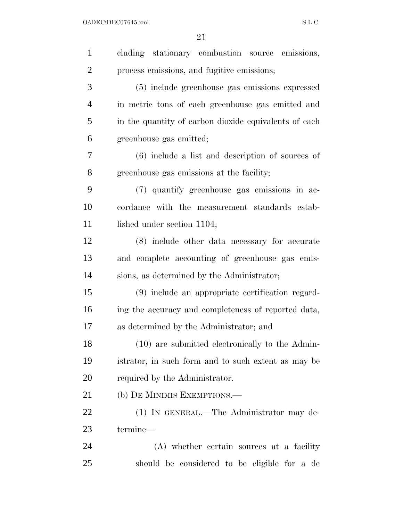$O:\Delta$ DEC\DEC07645.xml S.L.C.

| $\mathbf{1}$   | cluding stationary combustion source emissions,       |
|----------------|-------------------------------------------------------|
| $\overline{2}$ | process emissions, and fugitive emissions;            |
| 3              | (5) include greenhouse gas emissions expressed        |
| $\overline{4}$ | in metric tons of each greenhouse gas emitted and     |
| 5              | in the quantity of carbon dioxide equivalents of each |
| 6              | greenhouse gas emitted;                               |
| 7              | $(6)$ include a list and description of sources of    |
| 8              | greenhouse gas emissions at the facility;             |
| 9              | (7) quantify greenhouse gas emissions in ac-          |
| 10             | cordance with the measurement standards estab-        |
| 11             | lished under section 1104;                            |
| 12             | (8) include other data necessary for accurate         |
| 13             | and complete accounting of greenhouse gas emis-       |
| 14             | sions, as determined by the Administrator;            |
| 15             | (9) include an appropriate certification regard-      |
| 16             | ing the accuracy and completeness of reported data,   |
| 17             | as determined by the Administrator; and               |
| 18             | (10) are submitted electronically to the Admin-       |
| 19             | istrator, in such form and to such extent as may be   |
| 20             | required by the Administrator.                        |
| 21             | (b) DE MINIMIS EXEMPTIONS.—                           |
| 22             | (1) IN GENERAL.—The Administrator may de-             |
| 23             | termine-                                              |
| 24             | (A) whether certain sources at a facility             |
| 25             | should be considered to be eligible for a de          |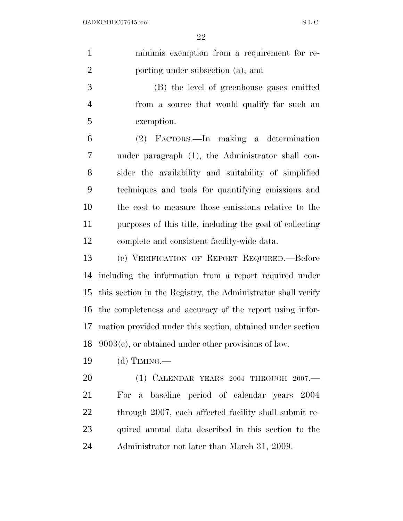| $\mathbf{1}$   | minimis exemption from a requirement for re-                 |
|----------------|--------------------------------------------------------------|
| $\overline{2}$ | porting under subsection (a); and                            |
| 3              | (B) the level of greenhouse gases emitted                    |
| $\overline{4}$ | from a source that would qualify for such an                 |
| 5              | exemption.                                                   |
| 6              | (2) FACTORS.—In making a determination                       |
| 7              | under paragraph (1), the Administrator shall con-            |
| 8              | sider the availability and suitability of simplified         |
| 9              | techniques and tools for quantifying emissions and           |
| 10             | the cost to measure those emissions relative to the          |
| 11             | purposes of this title, including the goal of collecting     |
| 12             | complete and consistent facility-wide data.                  |
| 13             | (c) VERIFICATION OF REPORT REQUIRED. Before                  |
| 14             | including the information from a report required under       |
| 15             | this section in the Registry, the Administrator shall verify |
| 16             | the completeness and accuracy of the report using infor-     |
| 17             | mation provided under this section, obtained under section   |
| 18             | $9003(c)$ , or obtained under other provisions of law.       |
| 19             | (d) TIMING.—                                                 |
| 20             | $(1)$ CALENDAR YEARS 2004 THROUGH 2007.—                     |
| 21             | For a baseline period of calendar years 2004                 |
| 22             | through 2007, each affected facility shall submit re-        |
| 23             | quired annual data described in this section to the          |
| 24             | Administrator not later than March 31, 2009.                 |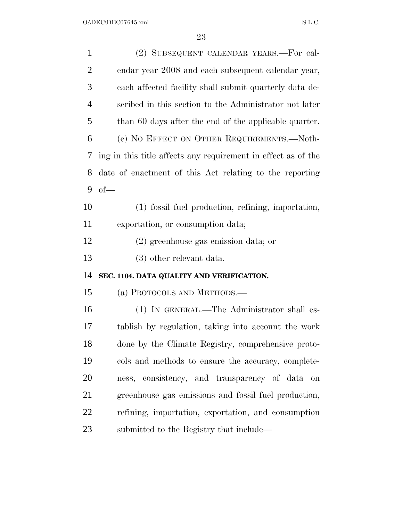| $\mathbf{1}$   | (2) SUBSEQUENT CALENDAR YEARS.—For cal-                       |  |  |
|----------------|---------------------------------------------------------------|--|--|
| $\overline{2}$ | endar year 2008 and each subsequent calendar year,            |  |  |
| 3              | each affected facility shall submit quarterly data de-        |  |  |
| 4              | scribed in this section to the Administrator not later        |  |  |
| 5              | than 60 days after the end of the applicable quarter.         |  |  |
| 6              | (e) NO EFFECT ON OTHER REQUIREMENTS.—Noth-                    |  |  |
| 7              | ing in this title affects any requirement in effect as of the |  |  |
| 8              | date of enactment of this Act relating to the reporting       |  |  |
| 9              | $of$ —                                                        |  |  |
| 10             | (1) fossil fuel production, refining, importation,            |  |  |
| 11             | exportation, or consumption data;                             |  |  |
| 12             | $(2)$ greenhouse gas emission data; or                        |  |  |
| 13             | $(3)$ other relevant data.                                    |  |  |
| 14             | SEC. 1104. DATA QUALITY AND VERIFICATION.                     |  |  |
| 15             | (a) PROTOCOLS AND METHODS.—                                   |  |  |
| 16             | (1) IN GENERAL.—The Administrator shall es-                   |  |  |
| 17             | tablish by regulation, taking into account the work           |  |  |
| 18             | done by the Climate Registry, comprehensive proto-            |  |  |
| 19             | cols and methods to ensure the accuracy, complete-            |  |  |
| 20             | ness, consistency, and transparency of data<br>on             |  |  |
| 21             | greenhouse gas emissions and fossil fuel production,          |  |  |
| 22             | refining, importation, exportation, and consumption           |  |  |
| 23             | submitted to the Registry that include—                       |  |  |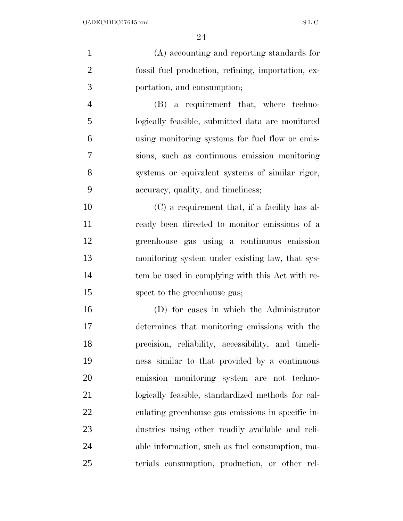| $\mathbf{1}$   | (A) accounting and reporting standards for         |
|----------------|----------------------------------------------------|
| $\overline{2}$ | fossil fuel production, refining, importation, ex- |
| 3              | portation, and consumption;                        |
| $\overline{4}$ | (B) a requirement that, where techno-              |
| 5              | logically feasible, submitted data are monitored   |
| 6              | using monitoring systems for fuel flow or emis-    |
| 7              | sions, such as continuous emission monitoring      |
| 8              | systems or equivalent systems of similar rigor,    |
| 9              | accuracy, quality, and timeliness;                 |
| 10             | (C) a requirement that, if a facility has al-      |
| 11             | ready been directed to monitor emissions of a      |
| 12             | greenhouse gas using a continuous emission         |
| 13             | monitoring system under existing law, that sys-    |
| 14             | tem be used in complying with this Act with re-    |
| 15             | spect to the greenhouse gas;                       |
| 16             | (D) for cases in which the Administrator           |
| 17             | determines that monitoring emissions with the      |
| 18             | precision, reliability, accessibility, and timeli- |
| 19             | ness similar to that provided by a continuous      |
| 20             | emission monitoring system are not techno-         |
| 21             | logically feasible, standardized methods for cal-  |
| 22             | culating greenhouse gas emissions in specific in-  |
| 23             | dustries using other readily available and reli-   |

able information, such as fuel consumption, ma-

terials consumption, production, or other rel-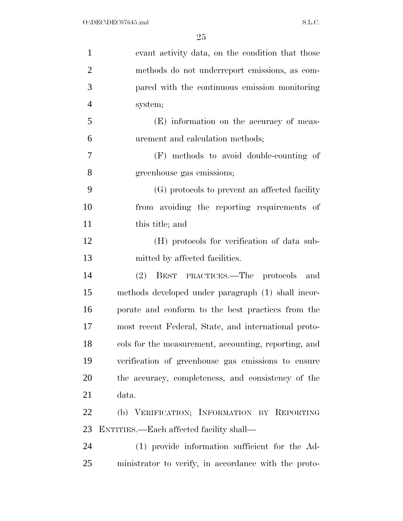| $\mathbf{1}$   | evant activity data, on the condition that those     |
|----------------|------------------------------------------------------|
| $\overline{2}$ | methods do not underreport emissions, as com-        |
| 3              | pared with the continuous emission monitoring        |
| $\overline{4}$ | system;                                              |
| 5              | (E) information on the accuracy of meas-             |
| 6              | urement and calculation methods;                     |
| 7              | (F) methods to avoid double-counting of              |
| 8              | greenhouse gas emissions;                            |
| 9              | (G) protocols to prevent an affected facility        |
| 10             | from avoiding the reporting requirements of          |
| 11             | this title; and                                      |
| 12             | (H) protocols for verification of data sub-          |
| 13             | mitted by affected facilities.                       |
| 14             | (2)<br>BEST PRACTICES.—The protocols<br>and          |
| 15             | methods developed under paragraph (1) shall incor-   |
| 16             | porate and conform to the best practices from the    |
| 17             | most recent Federal, State, and international proto- |
| 18             | cols for the measurement, accounting, reporting, and |
| 19             | verification of greenhouse gas emissions to ensure   |
| 20             | the accuracy, completeness, and consistency of the   |
| 21             | data.                                                |
| 22             | (b) VERIFICATION; INFORMATION BY REPORTING           |
| 23             | ENTITIES.—Each affected facility shall—              |
| 24             | (1) provide information sufficient for the Ad-       |
| 25             | ministrator to verify, in accordance with the proto- |
|                |                                                      |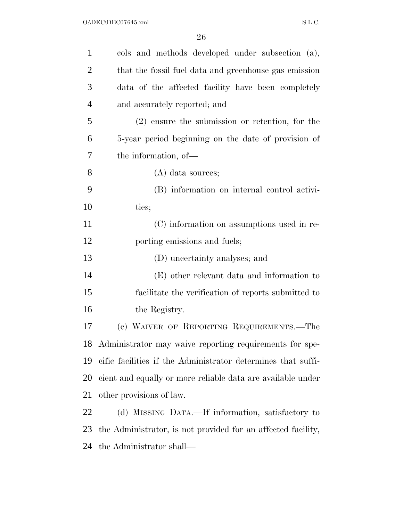| cols and methods developed under subsection (a),             |  |
|--------------------------------------------------------------|--|
| that the fossil fuel data and greenhouse gas emission        |  |
| data of the affected facility have been completely           |  |
| and accurately reported; and                                 |  |
| $(2)$ ensure the submission or retention, for the            |  |
| 5-year period beginning on the date of provision of          |  |
| the information, of-                                         |  |
| $(A)$ data sources;                                          |  |
| (B) information on internal control activi-                  |  |
| ties;                                                        |  |
| (C) information on assumptions used in re-                   |  |
| porting emissions and fuels;                                 |  |
| (D) uncertainty analyses; and                                |  |
| (E) other relevant data and information to                   |  |
| facilitate the verification of reports submitted to          |  |
| the Registry.                                                |  |
| (c) WAIVER OF REPORTING REQUIREMENTS.-The                    |  |
| 18 Administrator may waive reporting requirements for spe-   |  |
| cific facilities if the Administrator determines that suffi- |  |
| cient and equally or more reliable data are available under  |  |
| other provisions of law.                                     |  |
| (d) MISSING DATA.—If information, satisfactory to            |  |
| the Administrator, is not provided for an affected facility, |  |
| the Administrator shall—                                     |  |
|                                                              |  |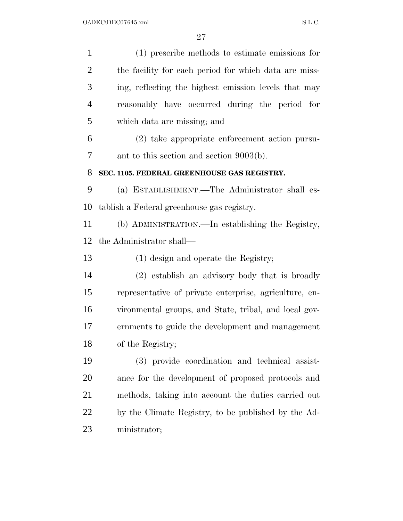(1) prescribe methods to estimate emissions for the facility for each period for which data are miss- ing, reflecting the highest emission levels that may reasonably have occurred during the period for which data are missing; and (2) take appropriate enforcement action pursu- ant to this section and section 9003(b). **SEC. 1105. FEDERAL GREENHOUSE GAS REGISTRY.**  (a) ESTABLISHMENT.—The Administrator shall es- tablish a Federal greenhouse gas registry. (b) ADMINISTRATION.—In establishing the Registry, the Administrator shall— (1) design and operate the Registry; (2) establish an advisory body that is broadly representative of private enterprise, agriculture, en- vironmental groups, and State, tribal, and local gov- ernments to guide the development and management of the Registry; (3) provide coordination and technical assist- ance for the development of proposed protocols and methods, taking into account the duties carried out by the Climate Registry, to be published by the Ad-ministrator;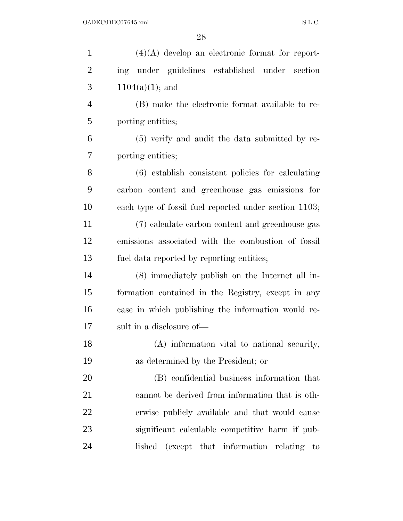| $\mathbf{1}$   | $(4)(A)$ develop an electronic format for report-                        |
|----------------|--------------------------------------------------------------------------|
| $\overline{2}$ | under guidelines established under section<br>ing                        |
| 3              | $1104(a)(1)$ ; and                                                       |
| $\overline{4}$ | (B) make the electronic format available to re-                          |
| 5              | porting entities;                                                        |
| 6              | (5) verify and audit the data submitted by re-                           |
| 7              | porting entities;                                                        |
| 8              | (6) establish consistent policies for calculating                        |
| 9              | carbon content and greenhouse gas emissions for                          |
| 10             | each type of fossil fuel reported under section 1103;                    |
| 11             | (7) calculate carbon content and greenhouse gas                          |
| 12             | emissions associated with the combustion of fossil                       |
| 13             | fuel data reported by reporting entities;                                |
| 14             | (8) immediately publish on the Internet all in-                          |
| 15             | formation contained in the Registry, except in any                       |
| 16             | case in which publishing the information would re-                       |
| 17             | sult in a disclosure of—                                                 |
| 18             | (A) information vital to national security,                              |
| 19             | as determined by the President; or                                       |
| 20             | (B) confidential business information that                               |
| 21             | cannot be derived from information that is oth-                          |
| 22             | erwise publicly available and that would cause                           |
| 23             | significant calculable competitive harm if pub-                          |
| 24             | (except that information<br>lished<br>relating<br>$\mathop{\mathrm{to}}$ |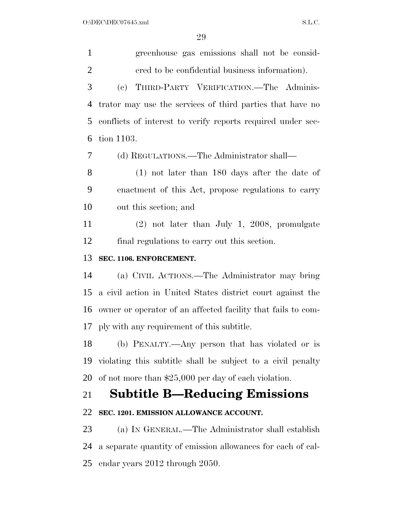$O:\DEC\DECO7645.xml$  S.L.C.

 greenhouse gas emissions shall not be consid- ered to be confidential business information). (c) THIRD-PARTY VERIFICATION.—The Adminis- trator may use the services of third parties that have no conflicts of interest to verify reports required under sec- tion 1103. (d) REGULATIONS.—The Administrator shall— (1) not later than 180 days after the date of enactment of this Act, propose regulations to carry out this section; and (2) not later than July 1, 2008, promulgate final regulations to carry out this section. **SEC. 1106. ENFORCEMENT.**  (a) CIVIL ACTIONS.—The Administrator may bring a civil action in United States district court against the owner or operator of an affected facility that fails to com- ply with any requirement of this subtitle. (b) PENALTY.—Any person that has violated or is violating this subtitle shall be subject to a civil penalty of not more than \$25,000 per day of each violation. **Subtitle B—Reducing Emissions SEC. 1201. EMISSION ALLOWANCE ACCOUNT.**  (a) IN GENERAL.—The Administrator shall establish a separate quantity of emission allowances for each of cal-endar years 2012 through 2050.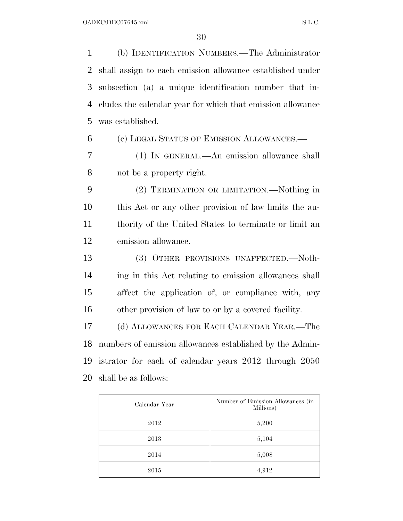(b) IDENTIFICATION NUMBERS.—The Administrator shall assign to each emission allowance established under subsection (a) a unique identification number that in- cludes the calendar year for which that emission allowance was established. (c) LEGAL STATUS OF EMISSION ALLOWANCES.—

 (1) IN GENERAL.—An emission allowance shall not be a property right.

 (2) TERMINATION OR LIMITATION.—Nothing in this Act or any other provision of law limits the au- thority of the United States to terminate or limit an emission allowance.

 (3) OTHER PROVISIONS UNAFFECTED.—Noth- ing in this Act relating to emission allowances shall affect the application of, or compliance with, any other provision of law to or by a covered facility.

 (d) ALLOWANCES FOR EACH CALENDAR YEAR.—The numbers of emission allowances established by the Admin- istrator for each of calendar years 2012 through 2050 shall be as follows:

| Calendar Year | Number of Emission Allowances (in<br>Millions) |
|---------------|------------------------------------------------|
| 2012          | 5,200                                          |
| 2013          | 5,104                                          |
| 2014          | 5,008                                          |
| 2015          | 4,912                                          |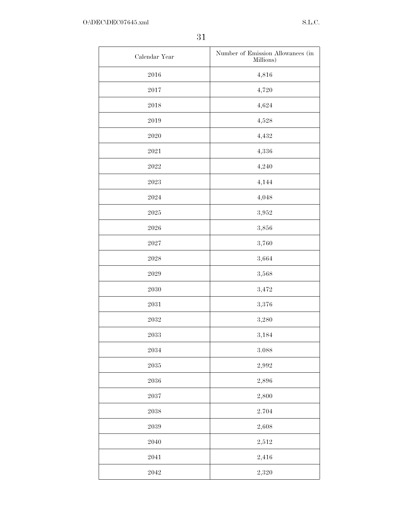| Calendar Year       | Number of Emission Allowances (in<br>Millions) |
|---------------------|------------------------------------------------|
| 2016                | 4,816                                          |
| $\bf 2017$          | 4,720                                          |
| 2018                | 4,624                                          |
| 2019                | 4,528                                          |
| 2020                | 4,432                                          |
| 2021                | 4,336                                          |
| $\boldsymbol{2022}$ | 4,240                                          |
| $\boldsymbol{2023}$ | 4,144                                          |
| $\,2024$            | 4,048                                          |
| $\boldsymbol{2025}$ | 3,952                                          |
| 2026                | 3,856                                          |
| $\boldsymbol{2027}$ | 3,760                                          |
| $\boldsymbol{2028}$ | 3,664                                          |
| 2029                | 3,568                                          |
| 2030                | 3,472                                          |
| $\,2031$            | 3,376                                          |
| $\boldsymbol{2032}$ | 3,280                                          |
| $\boldsymbol{2033}$ | 3,184                                          |
| $\,2034$            | $\;\:3.088$                                    |
| $\boldsymbol{2035}$ | 2,992                                          |
| $\,2036\,$          | $2,\!896$                                      |
| $\boldsymbol{2037}$ | 2,800                                          |
| $\boldsymbol{2038}$ | $2.704\,$                                      |
| $\boldsymbol{2039}$ | 2,608                                          |
| 2040                | $2,\!512$                                      |
| $\,2041$            | $2,\!416$                                      |
| $2042\,$            | $2,\!320$                                      |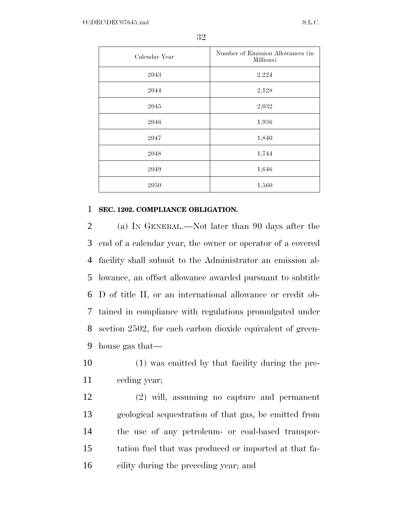| Calendar Year | Number of Emission Allowances (in<br>Millions) |
|---------------|------------------------------------------------|
| 2043          | 2.224                                          |
| 2044          | 2,128                                          |
| 2045          | 2,032                                          |
| 2046          | 1,936                                          |
| 2047          | 1,840                                          |
| 2048          | 1,744                                          |
| 2049          | 1,646                                          |
| 2050          | 1,560                                          |

# **SEC. 1202. COMPLIANCE OBLIGATION.**

 (a) IN GENERAL.—Not later than 90 days after the end of a calendar year, the owner or operator of a covered facility shall submit to the Administrator an emission al- lowance, an offset allowance awarded pursuant to subtitle D of title II, or an international allowance or credit ob- tained in compliance with regulations promulgated under section 2502, for each carbon dioxide equivalent of green-house gas that—

 (1) was emitted by that facility during the pre-ceding year;

 (2) will, assuming no capture and permanent geological sequestration of that gas, be emitted from the use of any petroleum- or coal-based transpor- tation fuel that was produced or imported at that fa-cility during the preceding year; and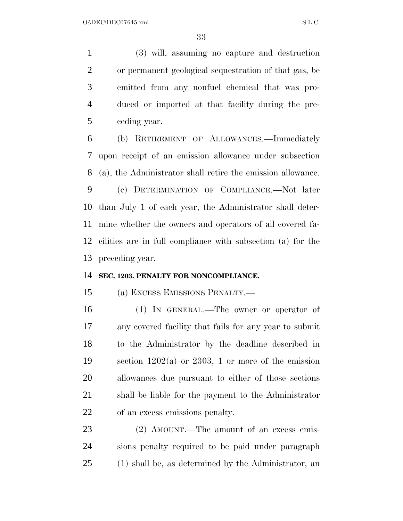(3) will, assuming no capture and destruction or permanent geological sequestration of that gas, be emitted from any nonfuel chemical that was pro- duced or imported at that facility during the pre-ceding year.

 (b) RETIREMENT OF ALLOWANCES.—Immediately upon receipt of an emission allowance under subsection (a), the Administrator shall retire the emission allowance.

 (c) DETERMINATION OF COMPLIANCE.—Not later than July 1 of each year, the Administrator shall deter- mine whether the owners and operators of all covered fa- cilities are in full compliance with subsection (a) for the preceding year.

# **SEC. 1203. PENALTY FOR NONCOMPLIANCE.**

(a) EXCESS EMISSIONS PENALTY.—

 (1) IN GENERAL.—The owner or operator of any covered facility that fails for any year to submit to the Administrator by the deadline described in section 1202(a) or 2303, 1 or more of the emission allowances due pursuant to either of those sections shall be liable for the payment to the Administrator of an excess emissions penalty.

23 (2) AMOUNT.—The amount of an excess emis- sions penalty required to be paid under paragraph (1) shall be, as determined by the Administrator, an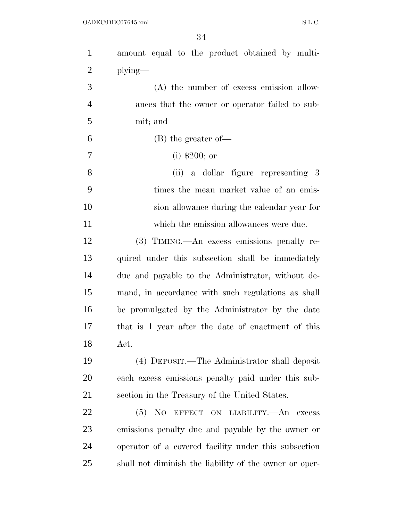| $\mathbf{1}$   | amount equal to the product obtained by multi-         |
|----------------|--------------------------------------------------------|
| $\overline{2}$ | $plying$ —                                             |
| 3              | $(A)$ the number of excess emission allow-             |
| $\overline{4}$ | ances that the owner or operator failed to sub-        |
| 5              | mit; and                                               |
| 6              | $(B)$ the greater of —                                 |
| 7              | $(i)$ \$200; or                                        |
| 8              | (ii) a dollar figure representing 3                    |
| 9              | times the mean market value of an emis-                |
| 10             | sion allowance during the calendar year for            |
| 11             | which the emission allowances were due.                |
| 12             | (3) TIMING.—An excess emissions penalty re-            |
| 13             | quired under this subsection shall be immediately      |
| 14             | due and payable to the Administrator, without de-      |
| 15             | mand, in accordance with such regulations as shall     |
| 16             | be promulgated by the Administrator by the date        |
| 17             | that is 1 year after the date of enactment of this     |
| 18             | Act.                                                   |
| 19             | (4) DEPOSIT.—The Administrator shall deposit           |
| 20             | each excess emissions penalty paid under this sub-     |
| 21             | section in the Treasury of the United States.          |
| 22             | (5) NO EFFECT ON LIABILITY.—An excess                  |
| 23             | emissions penalty due and payable by the owner or      |
| 24             | operator of a covered facility under this subsection   |
| 25             | shall not diminish the liability of the owner or oper- |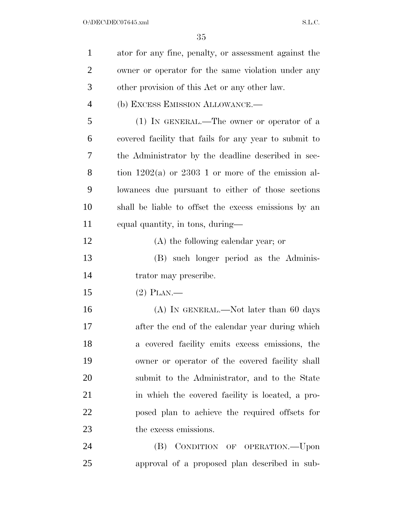| $\mathbf{1}$   | ator for any fine, penalty, or assessment against the  |
|----------------|--------------------------------------------------------|
| $\overline{2}$ | owner or operator for the same violation under any     |
| 3              | other provision of this Act or any other law.          |
| $\overline{4}$ | (b) EXCESS EMISSION ALLOWANCE.-                        |
| 5              | $(1)$ IN GENERAL.—The owner or operator of a           |
| 6              | covered facility that fails for any year to submit to  |
| 7              | the Administrator by the deadline described in sec-    |
| 8              | tion $1202(a)$ or $2303$ 1 or more of the emission al- |
| 9              | lowances due pursuant to either of those sections      |
| 10             | shall be liable to offset the excess emissions by an   |
| 11             | equal quantity, in tons, during-                       |
| 12             | $(A)$ the following calendar year; or                  |
| 13             | (B) such longer period as the Adminis-                 |
| 14             | trator may prescribe.                                  |
| 15             | $(2)$ PLAN.—                                           |
| 16             | $(A)$ In GENERAL.—Not later than 60 days               |
| 17             | after the end of the calendar year during which        |
| 18             | a covered facility emits excess emissions, the         |
| 19             | owner or operator of the covered facility shall        |
| 20             | submit to the Administrator, and to the State          |
| 21             | in which the covered facility is located, a pro-       |
| 22             | posed plan to achieve the required offsets for         |
| 23             | the excess emissions.                                  |
| 24             | (B) CONDITION OF OPERATION.--Upon                      |
| 25             | approval of a proposed plan described in sub-          |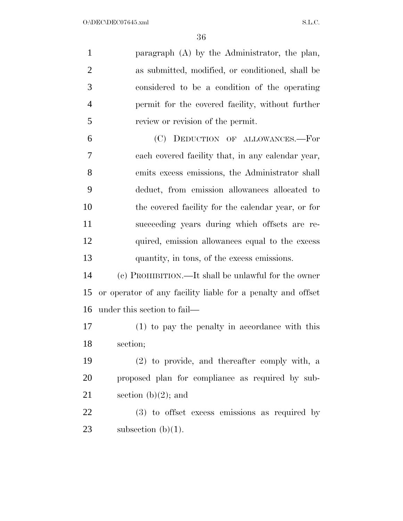| $\mathbf{1}$   | paragraph (A) by the Administrator, the plan,               |
|----------------|-------------------------------------------------------------|
| $\overline{2}$ | as submitted, modified, or conditioned, shall be            |
| 3              | considered to be a condition of the operating               |
| $\overline{4}$ | permit for the covered facility, without further            |
| 5              | review or revision of the permit.                           |
| 6              | (C) DEDUCTION OF ALLOWANCES.-For                            |
| 7              | each covered facility that, in any calendar year,           |
| 8              | emits excess emissions, the Administrator shall             |
| 9              | deduct, from emission allowances allocated to               |
| 10             | the covered facility for the calendar year, or for          |
| 11             | succeeding years during which offsets are re-               |
| 12             | quired, emission allowances equal to the excess             |
| 13             | quantity, in tons, of the excess emissions.                 |
| 14             | (c) PROHIBITION.—It shall be unlawful for the owner         |
| 15             | or operator of any facility liable for a penalty and offset |
| 16             | under this section to fail—                                 |
| 17             | (1) to pay the penalty in accordance with this              |
| 18             | section;                                                    |
| 19             | (2) to provide, and thereafter comply with, a               |
| 20             | proposed plan for compliance as required by sub-            |
| 21             | section (b) $(2)$ ; and                                     |
| 22             | $(3)$ to offset excess emissions as required by             |
| 23             | subsection $(b)(1)$ .                                       |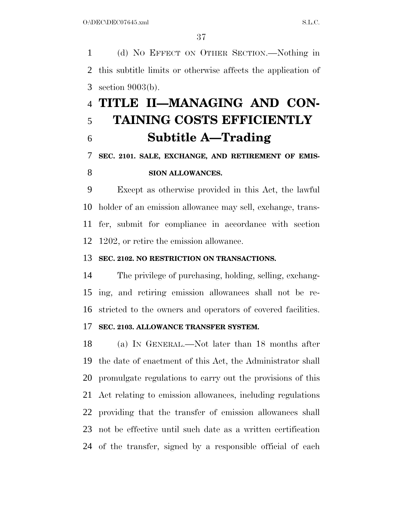(d) NO EFFECT ON OTHER SECTION.—Nothing in this subtitle limits or otherwise affects the application of section 9003(b).

# **TITLE II—MANAGING AND CON- TAINING COSTS EFFICIENTLY Subtitle A—Trading**

## **SEC. 2101. SALE, EXCHANGE, AND RETIREMENT OF EMIS-**

### **SION ALLOWANCES.**

 Except as otherwise provided in this Act, the lawful holder of an emission allowance may sell, exchange, trans- fer, submit for compliance in accordance with section 1202, or retire the emission allowance.

#### **SEC. 2102. NO RESTRICTION ON TRANSACTIONS.**

 The privilege of purchasing, holding, selling, exchang- ing, and retiring emission allowances shall not be re-stricted to the owners and operators of covered facilities.

#### **SEC. 2103. ALLOWANCE TRANSFER SYSTEM.**

 (a) IN GENERAL.—Not later than 18 months after the date of enactment of this Act, the Administrator shall promulgate regulations to carry out the provisions of this Act relating to emission allowances, including regulations providing that the transfer of emission allowances shall not be effective until such date as a written certification of the transfer, signed by a responsible official of each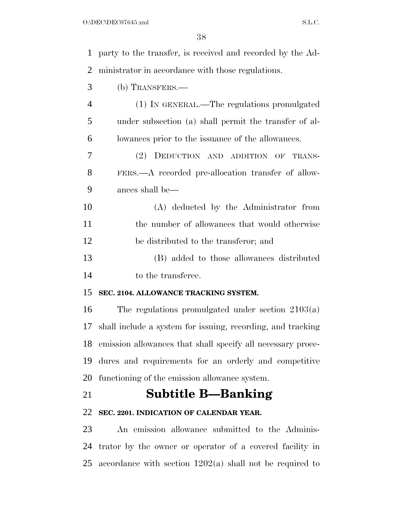| $\mathbf 1$    | party to the transfer, is received and recorded by the Ad-  |
|----------------|-------------------------------------------------------------|
| $\overline{2}$ | ministrator in accordance with those regulations.           |
| 3              | (b) TRANSFERS.—                                             |
| $\overline{4}$ | (1) IN GENERAL.—The regulations promulgated                 |
| 5              | under subsection (a) shall permit the transfer of al-       |
| 6              | lowances prior to the issuance of the allowances.           |
| 7              | (2) DEDUCTION AND ADDITION OF TRANS-                        |
| 8              | FERS.—A recorded pre-allocation transfer of allow-          |
| 9              | ances shall be—                                             |
| 10             | (A) deducted by the Administrator from                      |
| 11             | the number of allowances that would otherwise               |
| 12             | be distributed to the transferor; and                       |
| 13             | (B) added to those allowances distributed                   |
| 14             | to the transferee.                                          |
| 15             | SEC. 2104. ALLOWANCE TRACKING SYSTEM.                       |
| 16             | The regulations promulgated under section $2103(a)$         |
| 17             | shall include a system for issuing, recording, and tracking |
| 18             | emission allowances that shall specify all necessary proce- |
| 19             | dures and requirements for an orderly and competitive       |
| 20             | functioning of the emission allowance system.               |
| 21             | <b>Subtitle B—Banking</b>                                   |
| 22             | SEC. 2201. INDICATION OF CALENDAR YEAR.                     |
| 23             | An emission allowance submitted to the Adminis-             |
| 24             | trator by the owner or operator of a covered facility in    |
| 25             | accordance with section $1202(a)$ shall not be required to  |
|                |                                                             |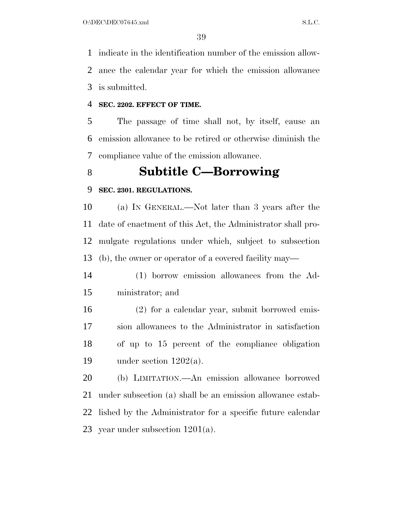indicate in the identification number of the emission allow- ance the calendar year for which the emission allowance is submitted.

#### **SEC. 2202. EFFECT OF TIME.**

 The passage of time shall not, by itself, cause an emission allowance to be retired or otherwise diminish the compliance value of the emission allowance.

## **Subtitle C—Borrowing**

#### **SEC. 2301. REGULATIONS.**

 (a) IN GENERAL.—Not later than 3 years after the date of enactment of this Act, the Administrator shall pro- mulgate regulations under which, subject to subsection (b), the owner or operator of a covered facility may—

- (1) borrow emission allowances from the Ad-ministrator; and
- (2) for a calendar year, submit borrowed emis- sion allowances to the Administrator in satisfaction of up to 15 percent of the compliance obligation 19 under section  $1202(a)$ .

 (b) LIMITATION.—An emission allowance borrowed under subsection (a) shall be an emission allowance estab- lished by the Administrator for a specific future calendar year under subsection 1201(a).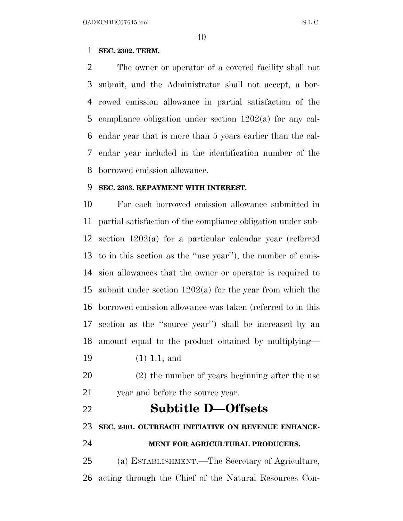#### **SEC. 2302. TERM.**

 The owner or operator of a covered facility shall not submit, and the Administrator shall not accept, a bor- rowed emission allowance in partial satisfaction of the compliance obligation under section 1202(a) for any cal- endar year that is more than 5 years earlier than the cal- endar year included in the identification number of the borrowed emission allowance.

#### **SEC. 2303. REPAYMENT WITH INTEREST.**

 For each borrowed emission allowance submitted in partial satisfaction of the compliance obligation under sub- section 1202(a) for a particular calendar year (referred to in this section as the ''use year''), the number of emis- sion allowances that the owner or operator is required to submit under section 1202(a) for the year from which the borrowed emission allowance was taken (referred to in this section as the ''source year'') shall be increased by an amount equal to the product obtained by multiplying—

- (1) 1.1; and
- (2) the number of years beginning after the use 21 year and before the source year.
- **Subtitle D—Offsets SEC. 2401. OUTREACH INITIATIVE ON REVENUE ENHANCE-MENT FOR AGRICULTURAL PRODUCERS.**

 (a) ESTABLISHMENT.—The Secretary of Agriculture, acting through the Chief of the Natural Resources Con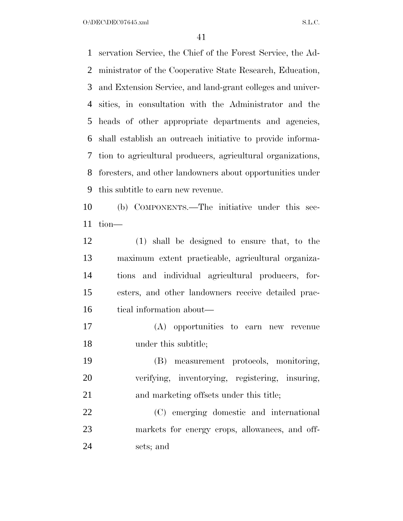O:\DEC\DEC07645.xml S.L.C.

 servation Service, the Chief of the Forest Service, the Ad- ministrator of the Cooperative State Research, Education, and Extension Service, and land-grant colleges and univer- sities, in consultation with the Administrator and the heads of other appropriate departments and agencies, shall establish an outreach initiative to provide informa- tion to agricultural producers, agricultural organizations, foresters, and other landowners about opportunities under this subtitle to earn new revenue.

 (b) COMPONENTS.—The initiative under this sec-tion—

 (1) shall be designed to ensure that, to the maximum extent practicable, agricultural organiza- tions and individual agricultural producers, for- esters, and other landowners receive detailed prac-tical information about—

 (A) opportunities to earn new revenue under this subtitle;

 (B) measurement protocols, monitoring, verifying, inventorying, registering, insuring, 21 and marketing offsets under this title;

 (C) emerging domestic and international markets for energy crops, allowances, and off-sets; and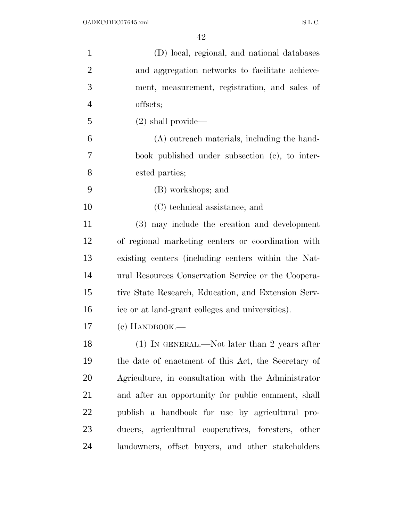| $\mathbf{1}$   | (D) local, regional, and national databases         |
|----------------|-----------------------------------------------------|
| $\overline{2}$ | and aggregation networks to facilitate achieve-     |
| 3              | ment, measurement, registration, and sales of       |
| $\overline{4}$ | offsets;                                            |
| 5              | $(2)$ shall provide—                                |
| 6              | (A) outreach materials, including the hand-         |
| 7              | book published under subsection (c), to inter-      |
| 8              | ested parties;                                      |
| 9              | (B) workshops; and                                  |
| 10             | (C) technical assistance; and                       |
| 11             | (3) may include the creation and development        |
| 12             | of regional marketing centers or coordination with  |
| 13             | existing centers (including centers within the Nat- |
| 14             | ural Resources Conservation Service or the Coopera- |
| 15             | tive State Research, Education, and Extension Serv- |
| 16             | ice or at land-grant colleges and universities).    |
| 17             | $(e)$ HANDBOOK.—                                    |
| 18             | $(1)$ IN GENERAL.—Not later than 2 years after      |
| 19             | the date of enactment of this Act, the Secretary of |
| 20             | Agriculture, in consultation with the Administrator |
| 21             | and after an opportunity for public comment, shall  |
| 22             | publish a handbook for use by agricultural pro-     |
| 23             | ducers, agricultural cooperatives, foresters, other |
| 24             | landowners, offset buyers, and other stakeholders   |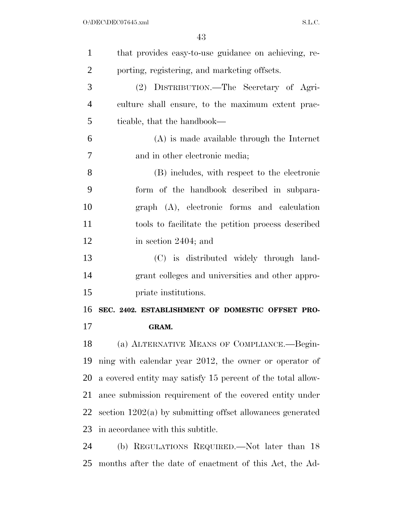| $\mathbf{1}$   | that provides easy-to-use guidance on achieving, re-        |
|----------------|-------------------------------------------------------------|
| $\overline{2}$ | porting, registering, and marketing offsets.                |
| 3              | (2) DISTRIBUTION.—The Secretary of Agri-                    |
| $\overline{4}$ | culture shall ensure, to the maximum extent prac-           |
| 5              | ticable, that the handbook—                                 |
| 6              | $(A)$ is made available through the Internet                |
| 7              | and in other electronic media;                              |
| 8              | (B) includes, with respect to the electronic                |
| 9              | form of the handbook described in subpara-                  |
| 10             | graph (A), electronic forms and calculation                 |
| 11             | tools to facilitate the petition process described          |
| 12             | in section 2404; and                                        |
| 13             | (C) is distributed widely through land-                     |
| 14             | grant colleges and universities and other appro-            |
| 15             | priate institutions.                                        |
| 16             | SEC. 2402. ESTABLISHMENT OF DOMESTIC OFFSET PRO-            |
| 17             | GRAM.                                                       |
| 18             | (a) ALTERNATIVE MEANS OF COMPLIANCE.--Begin-                |
| 19             | ning with calendar year 2012, the owner or operator of      |
| 20             | a covered entity may satisfy 15 percent of the total allow- |
| 21             | ance submission requirement of the covered entity under     |
| 22             | section $1202(a)$ by submitting offset allowances generated |
| 23             | in accordance with this subtitle.                           |
| 24             | (b) REGULATIONS REQUIRED.—Not later than 18                 |
| 25             | months after the date of enactment of this Act, the Ad-     |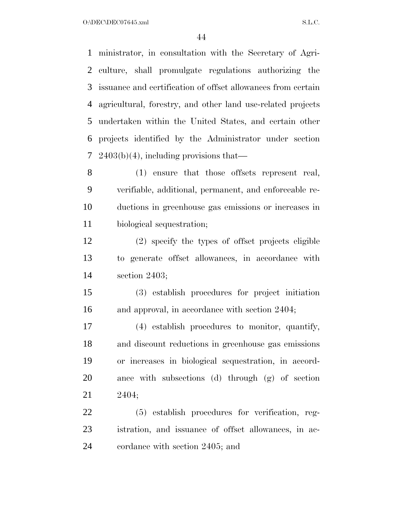O:\DEC\DEC07645.xml S.L.C.

 ministrator, in consultation with the Secretary of Agri- culture, shall promulgate regulations authorizing the issuance and certification of offset allowances from certain agricultural, forestry, and other land use-related projects undertaken within the United States, and certain other projects identified by the Administrator under section 7 2403(b)(4), including provisions that—

 (1) ensure that those offsets represent real, verifiable, additional, permanent, and enforceable re- ductions in greenhouse gas emissions or increases in biological sequestration;

 (2) specify the types of offset projects eligible to generate offset allowances, in accordance with section 2403;

 (3) establish procedures for project initiation 16 and approval, in accordance with section 2404;

 (4) establish procedures to monitor, quantify, and discount reductions in greenhouse gas emissions or increases in biological sequestration, in accord- ance with subsections (d) through (g) of section 2404;

 (5) establish procedures for verification, reg- istration, and issuance of offset allowances, in ac-cordance with section 2405; and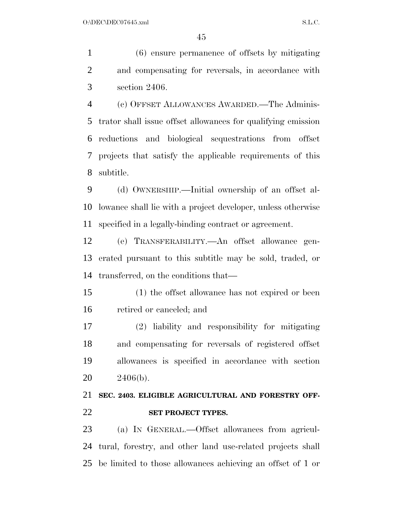(6) ensure permanence of offsets by mitigating and compensating for reversals, in accordance with section 2406.

 (c) OFFSET ALLOWANCES AWARDED.—The Adminis- trator shall issue offset allowances for qualifying emission reductions and biological sequestrations from offset projects that satisfy the applicable requirements of this subtitle.

 (d) OWNERSHIP.—Initial ownership of an offset al- lowance shall lie with a project developer, unless otherwise specified in a legally-binding contract or agreement.

 (e) TRANSFERABILITY.—An offset allowance gen- erated pursuant to this subtitle may be sold, traded, or transferred, on the conditions that—

 (1) the offset allowance has not expired or been retired or canceled; and

 (2) liability and responsibility for mitigating and compensating for reversals of registered offset allowances is specified in accordance with section 2406(b).

# **SEC. 2403. ELIGIBLE AGRICULTURAL AND FORESTRY OFF-SET PROJECT TYPES.**

 (a) IN GENERAL.—Offset allowances from agricul- tural, forestry, and other land use-related projects shall be limited to those allowances achieving an offset of 1 or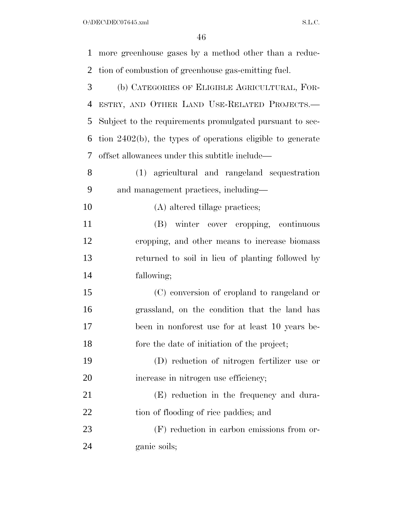$O:\Delta$ DEC\DEC07645.xml S.L.C.

| $\mathbf{1}$ | more greenhouse gases by a method other than a reduc-         |
|--------------|---------------------------------------------------------------|
| 2            | tion of combustion of greenhouse gas-emitting fuel.           |
| 3            | (b) CATEGORIES OF ELIGIBLE AGRICULTURAL, FOR-                 |
| 4            | ESTRY, AND OTHER LAND USE-RELATED PROJECTS.-                  |
| 5            | Subject to the requirements promulgated pursuant to sec-      |
| 6            | tion $2402(b)$ , the types of operations eligible to generate |
| 7            | offset allowances under this subtitle include—                |
| 8            | (1) agricultural and rangeland sequestration                  |
| 9            | and management practices, including—                          |
| 10           | (A) altered tillage practices;                                |
| 11           | (B) winter cover cropping, continuous                         |
| 12           | cropping, and other means to increase biomass                 |
| 13           | returned to soil in lieu of planting followed by              |
| 14           | fallowing;                                                    |
| 15           | (C) conversion of cropland to rangeland or                    |
| 16           | grassland, on the condition that the land has                 |
| 17           | been in nonforest use for at least 10 years be-               |
| 18           | fore the date of initiation of the project;                   |
| 19           | (D) reduction of nitrogen fertilizer use or                   |
| 20           | increase in nitrogen use efficiency;                          |
| 21           | (E) reduction in the frequency and dura-                      |
| 22           | tion of flooding of rice paddies; and                         |
| 23           | (F) reduction in carbon emissions from or-                    |
| 24           | ganic soils;                                                  |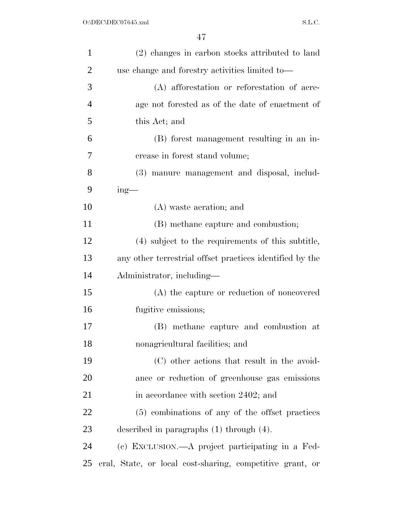| $\mathbf{1}$   | (2) changes in carbon stocks attributed to land           |
|----------------|-----------------------------------------------------------|
| $\overline{2}$ | use change and forestry activities limited to-            |
| 3              | (A) afforestation or reforestation of acre-               |
| $\overline{4}$ | age not forested as of the date of enactment of           |
| 5              | this Act; and                                             |
| 6              | (B) forest management resulting in an in-                 |
| 7              | crease in forest stand volume;                            |
| 8              | (3) manure management and disposal, includ-               |
| 9              | $ing$ —                                                   |
| 10             | (A) waste aeration; and                                   |
| 11             | (B) methane capture and combustion;                       |
| 12             | (4) subject to the requirements of this subtitle,         |
| 13             | any other terrestrial offset practices identified by the  |
| 14             | Administrator, including—                                 |
| 15             | (A) the capture or reduction of noncovered                |
| 16             | fugitive emissions;                                       |
| 17             | (B) methane capture and combustion at                     |
| 18             | nonagricultural facilities; and                           |
| 19             | (C) other actions that result in the avoid-               |
| 20             | ance or reduction of greenhouse gas emissions             |
| 21             | in accordance with section 2402; and                      |
| 22             | (5) combinations of any of the offset practices           |
| 23             | described in paragraphs $(1)$ through $(4)$ .             |
| 24             | (c) EXCLUSION.—A project participating in a Fed-          |
| 25             | eral, State, or local cost-sharing, competitive grant, or |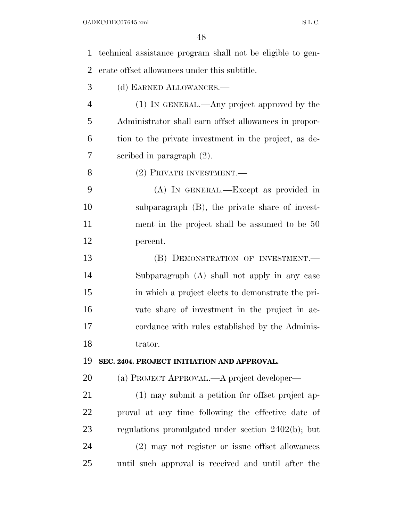| $\mathbf{1}$   | technical assistance program shall not be eligible to gen- |
|----------------|------------------------------------------------------------|
| $\overline{2}$ | erate offset allowances under this subtitle.               |
| 3              | (d) EARNED ALLOWANCES.-                                    |
| $\overline{4}$ | (1) IN GENERAL.—Any project approved by the                |
| 5              | Administrator shall earn offset allowances in propor-      |
| 6              | tion to the private investment in the project, as de-      |
| 7              | scribed in paragraph $(2)$ .                               |
| 8              | (2) PRIVATE INVESTMENT.                                    |
| 9              | (A) IN GENERAL.—Except as provided in                      |
| 10             | subparagraph (B), the private share of invest-             |
| 11             | ment in the project shall be assumed to be 50              |
| 12             | percent.                                                   |
| 13             | (B) DEMONSTRATION OF INVESTMENT.                           |
| 14             | Subparagraph (A) shall not apply in any case               |
| 15             | in which a project elects to demonstrate the pri-          |
| 16             | vate share of investment in the project in ac-             |
| 17             | cordance with rules established by the Adminis-            |
| 18             | trator.                                                    |
| 19             | SEC. 2404. PROJECT INITIATION AND APPROVAL.                |
| 20             | (a) PROJECT APPROVAL.—A project developer—                 |
| 21             | (1) may submit a petition for offset project ap-           |
| 22             | proval at any time following the effective date of         |
| 23             | regulations promulgated under section 2402(b); but         |
| 24             | (2) may not register or issue offset allowances            |
| 25             | until such approval is received and until after the        |
|                |                                                            |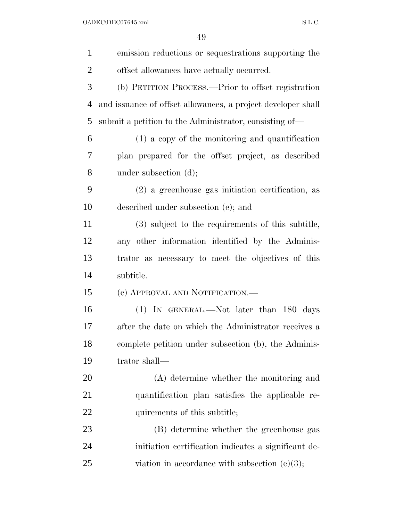$O:\Delta$ DEC\DEC07645.xml S.L.C.

| $\mathbf{1}$   | emission reductions or sequestrations supporting the         |
|----------------|--------------------------------------------------------------|
| $\overline{2}$ | offset allowances have actually occurred.                    |
| 3              | (b) PETITION PROCESS.—Prior to offset registration           |
| 4              | and issuance of offset allowances, a project developer shall |
| 5              | submit a petition to the Administrator, consisting of—       |
| 6              | (1) a copy of the monitoring and quantification              |
| 7              | plan prepared for the offset project, as described           |
| 8              | under subsection (d);                                        |
| 9              | $(2)$ a greenhouse gas initiation certification, as          |
| 10             | described under subsection (e); and                          |
| 11             | (3) subject to the requirements of this subtitle,            |
| 12             | any other information identified by the Adminis-             |
| 13             | trator as necessary to meet the objectives of this           |
| 14             | subtitle.                                                    |
| 15             | (c) APPROVAL AND NOTIFICATION.—                              |
| 16             | $(1)$ IN GENERAL.—Not later than 180 days                    |
| 17             | after the date on which the Administrator receives a         |
| 18             | complete petition under subsection (b), the Adminis-         |
| 19             | trator shall-                                                |
| 20             | (A) determine whether the monitoring and                     |
| 21             | quantification plan satisfies the applicable re-             |
| <u>22</u>      | quirements of this subtitle;                                 |
| 23             | (B) determine whether the greenhouse gas                     |
| 24             | initiation certification indicates a significant de-         |
| 25             | viation in accordance with subsection $(e)(3)$ ;             |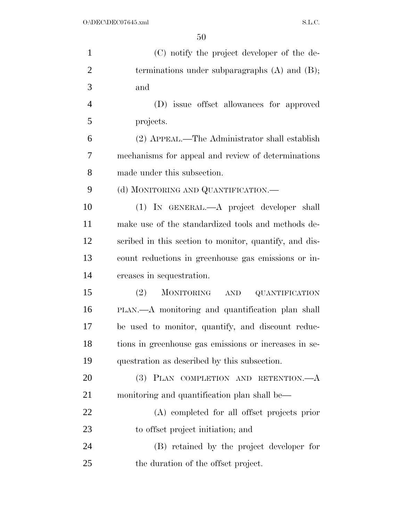| $\mathbf{1}$   | (C) notify the project developer of the de-            |
|----------------|--------------------------------------------------------|
| $\overline{2}$ | terminations under subparagraphs $(A)$ and $(B)$ ;     |
| 3              | and                                                    |
| $\overline{4}$ | (D) issue offset allowances for approved               |
| 5              | projects.                                              |
| 6              | (2) APPEAL.—The Administrator shall establish          |
| 7              | mechanisms for appeal and review of determinations     |
| 8              | made under this subsection.                            |
| 9              | (d) MONITORING AND QUANTIFICATION.—                    |
| 10             | (1) IN GENERAL.—A project developer shall              |
| 11             | make use of the standardized tools and methods de-     |
| 12             | scribed in this section to monitor, quantify, and dis- |
| 13             | count reductions in greenhouse gas emissions or in-    |
| 14             | creases in sequestration.                              |
| 15             | (2)<br>MONITORING AND<br><b>QUANTIFICATION</b>         |
| 16             | PLAN.—A monitoring and quantification plan shall       |
| 17             | be used to monitor, quantify, and discount reduc-      |
| 18             | tions in greenhouse gas emissions or increases in se-  |
| 19             | questration as described by this subsection.           |
| 20             | (3) PLAN COMPLETION AND RETENTION.—A                   |
| 21             | monitoring and quantification plan shall be—           |
| 22             | (A) completed for all offset projects prior            |
| 23             | to offset project initiation; and                      |
| 24             | (B) retained by the project developer for              |
| 25             | the duration of the offset project.                    |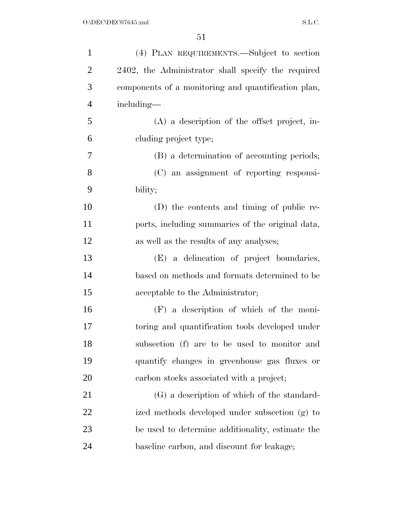| $\mathbf{1}$   | (4) PLAN REQUIREMENTS.—Subject to section           |
|----------------|-----------------------------------------------------|
| $\overline{2}$ | 2402, the Administrator shall specify the required  |
| 3              | components of a monitoring and quantification plan, |
| $\overline{4}$ | including—                                          |
| 5              | $(A)$ a description of the offset project, in-      |
| 6              | cluding project type;                               |
| 7              | (B) a determination of accounting periods;          |
| 8              | (C) an assignment of reporting responsi-            |
| 9              | bility;                                             |
| 10             | (D) the contents and timing of public re-           |
| 11             | ports, including summaries of the original data,    |
| 12             | as well as the results of any analyses;             |
| 13             | (E) a delineation of project boundaries,            |
| 14             | based on methods and formats determined to be       |
| 15             | acceptable to the Administrator;                    |
| 16             | $(F)$ a description of which of the moni-           |
| 17             | toring and quantification tools developed under     |
| 18             | subsection (f) are to be used to monitor and        |
| 19             | quantify changes in greenhouse gas fluxes or        |
| 20             | carbon stocks associated with a project;            |
| 21             | (G) a description of which of the standard-         |
| 22             | ized methods developed under subsection (g) to      |
| 23             | be used to determine additionality, estimate the    |
| 24             | baseline carbon, and discount for leakage;          |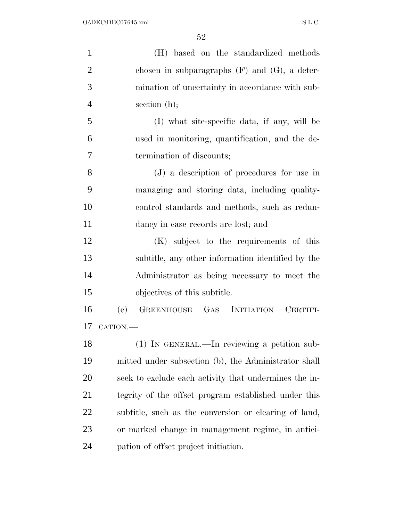| $\mathbf{1}$   | (H) based on the standardized methods                 |
|----------------|-------------------------------------------------------|
| $\overline{2}$ | chosen in subparagraphs $(F)$ and $(G)$ , a deter-    |
| 3              | mination of uncertainty in accordance with sub-       |
| 4              | section $(h)$ ;                                       |
| 5              | (I) what site-specific data, if any, will be          |
| 6              | used in monitoring, quantification, and the de-       |
| 7              | termination of discounts;                             |
| 8              | (J) a description of procedures for use in            |
| 9              | managing and storing data, including quality-         |
| 10             | control standards and methods, such as redun-         |
| 11             | dancy in case records are lost; and                   |
| 12             | (K) subject to the requirements of this               |
| 13             | subtitle, any other information identified by the     |
| 14             | Administrator as being necessary to meet the          |
| 15             | objectives of this subtitle.                          |
| 16             | GREENHOUSE GAS INITIATION<br>(e)<br>CERTIFI-          |
| 17             | CATION.                                               |
| 18             | $(1)$ In GENERAL.—In reviewing a petition sub-        |
| 19             | mitted under subsection (b), the Administrator shall  |
| 20             | seek to exclude each activity that undermines the in- |
| 21             | tegrity of the offset program established under this  |
| 22             | subtitle, such as the conversion or clearing of land, |
| 23             | or marked change in management regime, in antici-     |
| 24             | pation of offset project initiation.                  |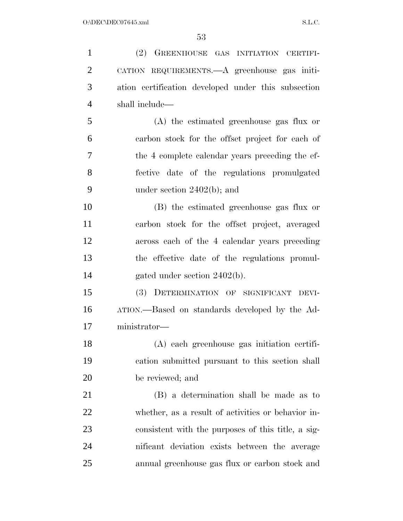(2) GREENHOUSE GAS INITIATION CERTIFI- CATION REQUIREMENTS.—A greenhouse gas initi- ation certification developed under this subsection shall include— (A) the estimated greenhouse gas flux or carbon stock for the offset project for each of the 4 complete calendar years preceding the ef- fective date of the regulations promulgated under section 2402(b); and (B) the estimated greenhouse gas flux or carbon stock for the offset project, averaged across each of the 4 calendar years preceding the effective date of the regulations promul-14 gated under section 2402(b). (3) DETERMINATION OF SIGNIFICANT DEVI- ATION.—Based on standards developed by the Ad- ministrator— (A) each greenhouse gas initiation certifi- cation submitted pursuant to this section shall be reviewed; and (B) a determination shall be made as to whether, as a result of activities or behavior in- consistent with the purposes of this title, a sig- nificant deviation exists between the average annual greenhouse gas flux or carbon stock and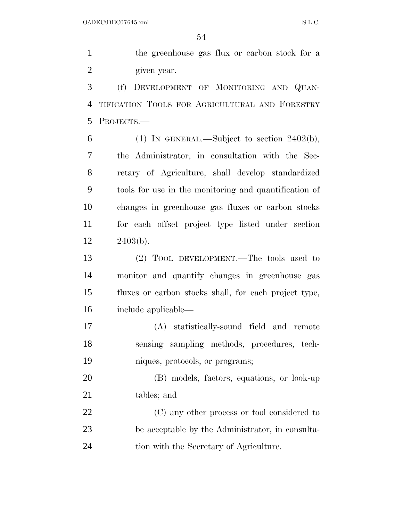the greenhouse gas flux or carbon stock for a given year.

 (f) DEVELOPMENT OF MONITORING AND QUAN- TIFICATION TOOLS FOR AGRICULTURAL AND FORESTRY PROJECTS.—

6 (1) IN GENERAL.—Subject to section  $2402(b)$ , the Administrator, in consultation with the Sec- retary of Agriculture, shall develop standardized tools for use in the monitoring and quantification of changes in greenhouse gas fluxes or carbon stocks for each offset project type listed under section 2403(b).

 (2) TOOL DEVELOPMENT.—The tools used to monitor and quantify changes in greenhouse gas fluxes or carbon stocks shall, for each project type, include applicable—

 (A) statistically-sound field and remote sensing sampling methods, procedures, tech-niques, protocols, or programs;

 (B) models, factors, equations, or look-up tables; and

 (C) any other process or tool considered to be acceptable by the Administrator, in consulta-tion with the Secretary of Agriculture.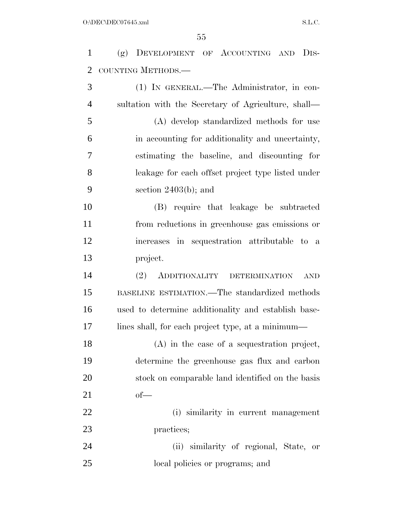(g) DEVELOPMENT OF ACCOUNTING AND DIS-COUNTING METHODS.—

 (1) IN GENERAL.—The Administrator, in con- sultation with the Secretary of Agriculture, shall— (A) develop standardized methods for use in accounting for additionality and uncertainty, estimating the baseline, and discounting for leakage for each offset project type listed under section 2403(b); and

 (B) require that leakage be subtracted from reductions in greenhouse gas emissions or increases in sequestration attributable to a project.

 (2) ADDITIONALITY DETERMINATION AND BASELINE ESTIMATION.—The standardized methods used to determine additionality and establish base-lines shall, for each project type, at a minimum—

 (A) in the case of a sequestration project, determine the greenhouse gas flux and carbon stock on comparable land identified on the basis of—

 (i) similarity in current management practices;

 (ii) similarity of regional, State, or local policies or programs; and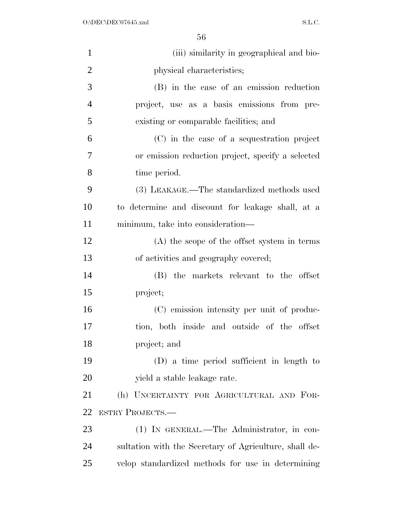| $\mathbf{1}$   | (iii) similarity in geographical and bio-              |
|----------------|--------------------------------------------------------|
| $\overline{2}$ | physical characteristics;                              |
| 3              | (B) in the case of an emission reduction               |
| $\overline{4}$ | project, use as a basis emissions from pre-            |
| 5              | existing or comparable facilities; and                 |
| 6              | (C) in the case of a sequestration project             |
| 7              | or emission reduction project, specify a selected      |
| 8              | time period.                                           |
| 9              | (3) LEAKAGE.—The standardized methods used             |
| 10             | to determine and discount for leakage shall, at a      |
| 11             | minimum, take into consideration—                      |
| 12             | $(A)$ the scope of the offset system in terms          |
| 13             | of activities and geography covered;                   |
| 14             | (B) the markets relevant to the offset                 |
| 15             | project;                                               |
| 16             | (C) emission intensity per unit of produc-             |
| 17             | tion, both inside and outside of the offset            |
| 18             | project; and                                           |
| 19             | (D) a time period sufficient in length to              |
| 20             | yield a stable leakage rate.                           |
| 21             | (h) UNCERTAINTY FOR AGRICULTURAL AND FOR-              |
| 22             | <b>ESTRY PROJECTS.—</b>                                |
| 23             | (1) IN GENERAL.—The Administrator, in con-             |
| 24             | sultation with the Secretary of Agriculture, shall de- |
| 25             | velop standardized methods for use in determining      |
|                |                                                        |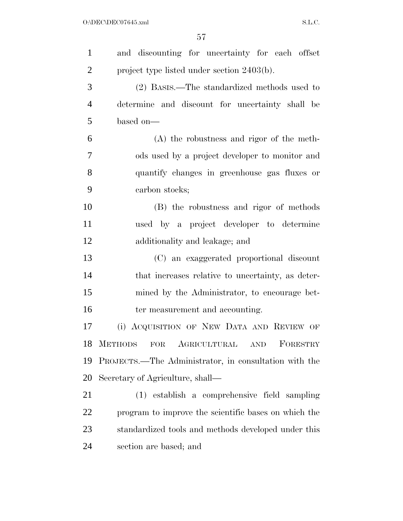| $\mathbf{1}$   | and discounting for uncertainty for each offset                 |
|----------------|-----------------------------------------------------------------|
| $\overline{2}$ | project type listed under section 2403(b).                      |
| 3              | (2) BASIS.—The standardized methods used to                     |
| $\overline{4}$ | determine and discount for uncertainty shall be                 |
| 5              | based on—                                                       |
| 6              | $(A)$ the robustness and rigor of the meth-                     |
| 7              | ods used by a project developer to monitor and                  |
| 8              | quantify changes in greenhouse gas fluxes or                    |
| 9              | carbon stocks;                                                  |
| 10             | (B) the robustness and rigor of methods                         |
| 11             | used by a project developer to determine                        |
| 12             | additionality and leakage; and                                  |
| 13             | (C) an exaggerated proportional discount                        |
| 14             | that increases relative to uncertainty, as deter-               |
| 15             | mined by the Administrator, to encourage bet-                   |
| 16             | ter measurement and accounting.                                 |
| 17             | (i) ACQUISITION OF NEW DATA AND REVIEW OF                       |
| 18             | <b>METHODS</b><br>AGRICULTURAL<br>FORESTRY<br>FOR<br><b>AND</b> |
| 19             | PROJECTS.—The Administrator, in consultation with the           |
| 20             | Secretary of Agriculture, shall—                                |
| 21             | (1) establish a comprehensive field sampling                    |
| 22             | program to improve the scientific bases on which the            |
| 23             | standardized tools and methods developed under this             |
| 24             | section are based; and                                          |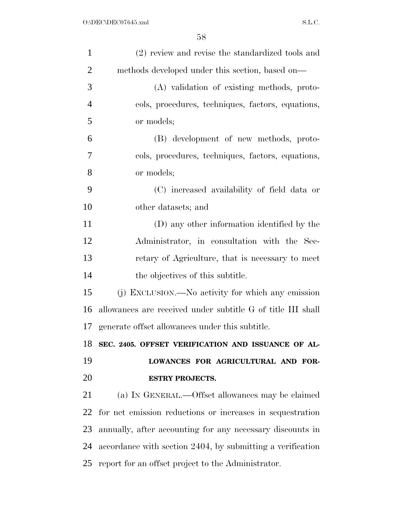| $\mathbf{1}$   | (2) review and revise the standardized tools and            |
|----------------|-------------------------------------------------------------|
| $\overline{2}$ | methods developed under this section, based on—             |
| 3              | (A) validation of existing methods, proto-                  |
| $\overline{4}$ | cols, procedures, techniques, factors, equations,           |
| 5              | or models;                                                  |
| 6              | (B) development of new methods, proto-                      |
| 7              | cols, procedures, techniques, factors, equations,           |
| 8              | or models;                                                  |
| 9              | (C) increased availability of field data or                 |
| 10             | other datasets; and                                         |
| 11             | (D) any other information identified by the                 |
| 12             | Administrator, in consultation with the Sec-                |
| 13             | retary of Agriculture, that is necessary to meet            |
| 14             | the objectives of this subtitle.                            |
| 15             | (j) EXCLUSION.—No activity for which any emission           |
| 16             | allowances are received under subtitle G of title III shall |
| 17             | generate offset allowances under this subtitle.             |
| 18             | SEC. 2405. OFFSET VERIFICATION AND ISSUANCE OF AL-          |
| 19             | LOWANCES FOR AGRICULTURAL AND FOR-                          |
| 20             | <b>ESTRY PROJECTS.</b>                                      |
| 21             | (a) IN GENERAL.—Offset allowances may be claimed            |
| 22             | for net emission reductions or increases in sequestration   |
| 23             | annually, after accounting for any necessary discounts in   |
| 24             | accordance with section 2404, by submitting a verification  |
| 25             | report for an offset project to the Administrator.          |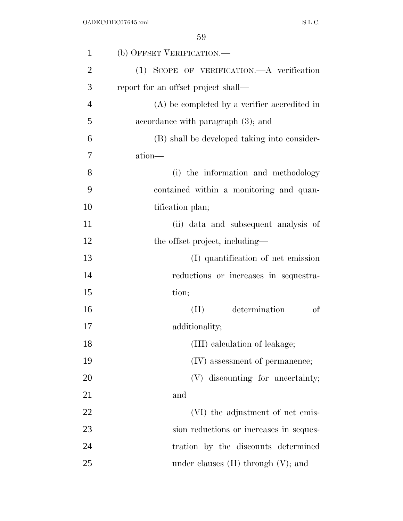| $\mathbf{1}$   | (b) OFFSET VERIFICATION.—                      |
|----------------|------------------------------------------------|
| $\overline{2}$ | (1) SCOPE OF VERIFICATION.—A verification      |
| 3              | report for an offset project shall—            |
| $\overline{4}$ | $(A)$ be completed by a verifier accredited in |
| 5              | accordance with paragraph (3); and             |
| 6              | (B) shall be developed taking into consider-   |
| 7              | ation—                                         |
| 8              | (i) the information and methodology            |
| 9              | contained within a monitoring and quan-        |
| 10             | tification plan;                               |
| 11             | (ii) data and subsequent analysis of           |
| 12             | the offset project, including—                 |
| 13             | (I) quantification of net emission             |
| 14             | reductions or increases in sequestra-          |
| 15             | tion;                                          |
| 16             | determination<br>of<br>(II)                    |
| 17             | additionality;                                 |
| 18             | (III) calculation of leakage;                  |
| 19             | (IV) assessment of permanence;                 |
| 20             | (V) discounting for uncertainty;               |
| 21             | and                                            |
| 22             | (VI) the adjustment of net emis-               |
| 23             | sion reductions or increases in seques-        |
| 24             | tration by the discounts determined            |
| 25             | under clauses $(II)$ through $(V)$ ; and       |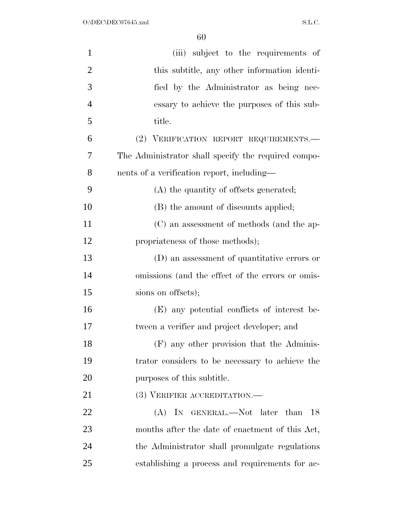| $\mathbf{1}$   | (iii) subject to the requirements of                |
|----------------|-----------------------------------------------------|
| $\overline{2}$ | this subtitle, any other information identi-        |
| 3              | fied by the Administrator as being nec-             |
| $\overline{4}$ | essary to achieve the purposes of this sub-         |
| 5              | title.                                              |
| 6              | (2) VERIFICATION REPORT REQUIREMENTS.               |
| 7              | The Administrator shall specify the required compo- |
| 8              | nents of a verification report, including—          |
| 9              | (A) the quantity of offsets generated;              |
| 10             | (B) the amount of discounts applied;                |
| 11             | (C) an assessment of methods (and the ap-           |
| 12             | propriateness of those methods);                    |
| 13             | (D) an assessment of quantitative errors or         |
| 14             | omissions (and the effect of the errors or omis-    |
| 15             | sions on offsets);                                  |
| 16             | (E) any potential conflicts of interest be-         |
| 17             | tween a verifier and project developer; and         |
| 18             | (F) any other provision that the Adminis-           |
| 19             | trator considers to be necessary to achieve the     |
| 20             | purposes of this subtitle.                          |
| 21             | (3) VERIFIER ACCREDITATION.—                        |
| 22             | (A) IN GENERAL.—Not later than 18                   |
| 23             | months after the date of enactment of this Act,     |
| 24             | the Administrator shall promulgate regulations      |
| 25             | establishing a process and requirements for ac-     |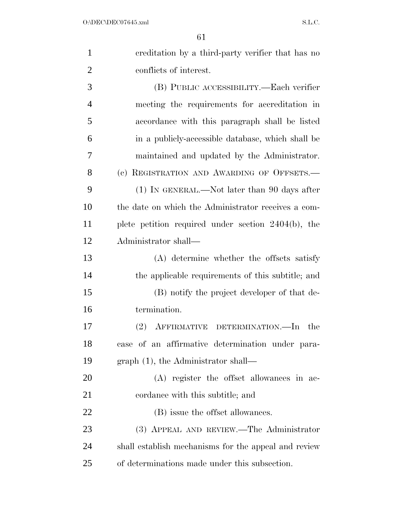| $\mathbf{1}$   | ereditation by a third-party verifier that has no    |
|----------------|------------------------------------------------------|
| $\overline{2}$ | conflicts of interest.                               |
| 3              | (B) PUBLIC ACCESSIBILITY.—Each verifier              |
| $\overline{4}$ | meeting the requirements for accreditation in        |
| 5              | accordance with this paragraph shall be listed       |
| 6              | in a publicly-accessible database, which shall be    |
| 7              | maintained and updated by the Administrator.         |
| 8              | (c) REGISTRATION AND AWARDING OF OFFSETS.            |
| 9              | (1) IN GENERAL.—Not later than 90 days after         |
| 10             | the date on which the Administrator receives a com-  |
| 11             | plete petition required under section 2404(b), the   |
| 12             | Administrator shall—                                 |
| 13             | (A) determine whether the offsets satisfy            |
| 14             | the applicable requirements of this subtitle; and    |
| 15             | (B) notify the project developer of that de-         |
| 16             | termination.                                         |
| 17             | (2) AFFIRMATIVE DETERMINATION.—In the                |
| 18             | case of an affirmative determination under para-     |
| 19             | $graph(1)$ , the Administrator shall—                |
| <b>20</b>      | (A) register the offset allowances in ac-            |
| 21             | cordance with this subtitle; and                     |
| 22             | (B) issue the offset allowances.                     |
| 23             | (3) APPEAL AND REVIEW.—The Administrator             |
| 24             | shall establish mechanisms for the appeal and review |
| 25             | of determinations made under this subsection.        |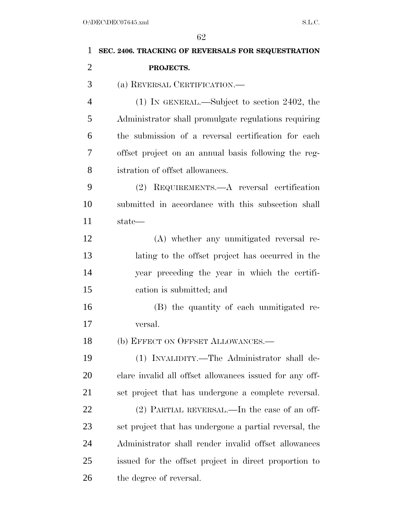| 1              | SEC. 2406. TRACKING OF REVERSALS FOR SEQUESTRATION      |
|----------------|---------------------------------------------------------|
| $\overline{2}$ | PROJECTS.                                               |
| 3              | (a) REVERSAL CERTIFICATION.                             |
| 4              | (1) IN GENERAL.—Subject to section 2402, the            |
| 5              | Administrator shall promulgate regulations requiring    |
| 6              | the submission of a reversal certification for each     |
| 7              | offset project on an annual basis following the reg-    |
| 8              | istration of offset allowances.                         |
| 9              | (2) REQUIREMENTS.—A reversal certification              |
| 10             | submitted in accordance with this subsection shall      |
| 11             | state—                                                  |
| 12             | (A) whether any unmitigated reversal re-                |
| 13             | lating to the offset project has occurred in the        |
| 14             | year preceding the year in which the certifi-           |
| 15             | cation is submitted; and                                |
| 16             | (B) the quantity of each unmitigated re-                |
| 17             | versal.                                                 |
| 18             | (b) EFFECT ON OFFSET ALLOWANCES.-                       |
| 19             | (1) INVALIDITY.—The Administrator shall de-             |
| <b>20</b>      | clare invalid all offset allowances issued for any off- |
| 21             | set project that has undergone a complete reversal.     |
| 22             | (2) PARTIAL REVERSAL.—In the case of an off-            |
| 23             | set project that has undergone a partial reversal, the  |
| 24             | Administrator shall render invalid offset allowances    |
| 25             | issued for the offset project in direct proportion to   |
| 26             | the degree of reversal.                                 |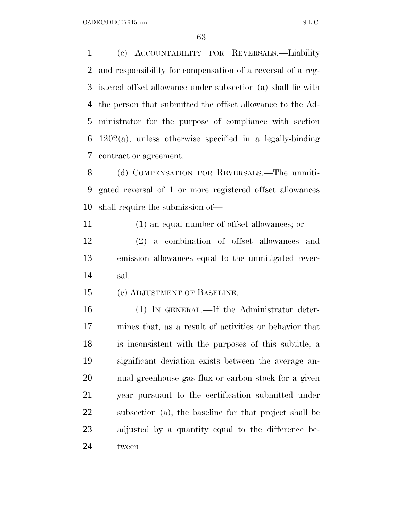(c) ACCOUNTABILITY FOR REVERSALS.—Liability and responsibility for compensation of a reversal of a reg- istered offset allowance under subsection (a) shall lie with the person that submitted the offset allowance to the Ad- ministrator for the purpose of compliance with section 1202(a), unless otherwise specified in a legally-binding contract or agreement.

 (d) COMPENSATION FOR REVERSALS.—The unmiti- gated reversal of 1 or more registered offset allowances shall require the submission of—

(1) an equal number of offset allowances; or

 (2) a combination of offset allowances and emission allowances equal to the unmitigated rever-sal.

(e) ADJUSTMENT OF BASELINE.—

 (1) IN GENERAL.—If the Administrator deter- mines that, as a result of activities or behavior that is inconsistent with the purposes of this subtitle, a significant deviation exists between the average an- nual greenhouse gas flux or carbon stock for a given year pursuant to the certification submitted under subsection (a), the baseline for that project shall be adjusted by a quantity equal to the difference be-tween—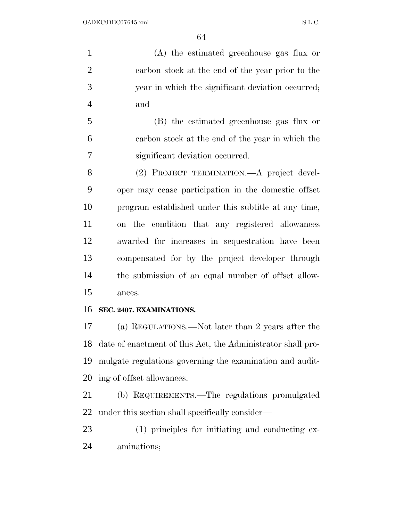(A) the estimated greenhouse gas flux or carbon stock at the end of the year prior to the year in which the significant deviation occurred; and

 (B) the estimated greenhouse gas flux or carbon stock at the end of the year in which the significant deviation occurred.

 (2) PROJECT TERMINATION.—A project devel- oper may cease participation in the domestic offset program established under this subtitle at any time, on the condition that any registered allowances awarded for increases in sequestration have been compensated for by the project developer through the submission of an equal number of offset allow-ances.

#### **SEC. 2407. EXAMINATIONS.**

 (a) REGULATIONS.—Not later than 2 years after the date of enactment of this Act, the Administrator shall pro- mulgate regulations governing the examination and audit-ing of offset allowances.

 (b) REQUIREMENTS.—The regulations promulgated under this section shall specifically consider—

 (1) principles for initiating and conducting ex-aminations;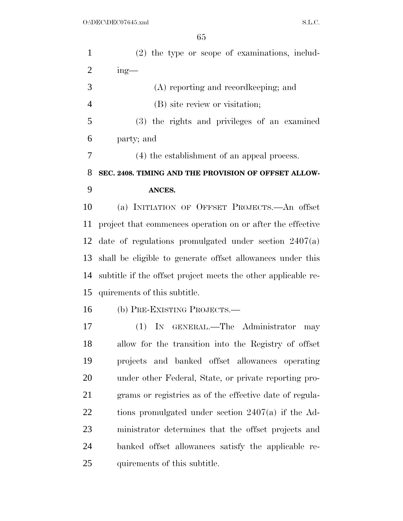| $\mathbf{1}$   | $(2)$ the type or scope of examinations, includ-              |
|----------------|---------------------------------------------------------------|
| $\overline{2}$ | $ing$ —                                                       |
| 3              | (A) reporting and recordkeeping; and                          |
| $\overline{4}$ | (B) site review or visitation;                                |
| 5              | (3) the rights and privileges of an examined                  |
| 6              | party; and                                                    |
| 7              | (4) the establishment of an appeal process.                   |
| 8              | SEC. 2408. TIMING AND THE PROVISION OF OFFSET ALLOW-          |
| 9              | ANCES.                                                        |
| 10             | (a) INITIATION OF OFFSET PROJECTS.—An offset                  |
| 11             | project that commences operation on or after the effective    |
| 12             | date of regulations promulgated under section $2407(a)$       |
| 13             | shall be eligible to generate offset allowances under this    |
| 14             | subtitle if the offset project meets the other applicable re- |
| 15             | quirements of this subtitle.                                  |
| 16             | (b) PRE-EXISTING PROJECTS.—                                   |
| 17             | (1) IN GENERAL.—The Administrator<br>may                      |
| 18             | allow for the transition into the Registry of offset          |
| 19             | projects and banked offset allowances operating               |
| 20             | under other Federal, State, or private reporting pro-         |
| 21             | grams or registries as of the effective date of regula-       |
| 22             | tions promulgated under section $2407(a)$ if the Ad-          |
| 23             | ministrator determines that the offset projects and           |
| 24             | banked offset allowances satisfy the applicable re-           |
| 25             | quirements of this subtitle.                                  |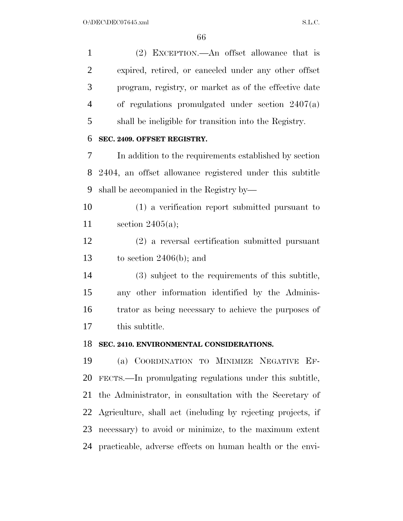(2) EXCEPTION.—An offset allowance that is expired, retired, or canceled under any other offset program, registry, or market as of the effective date of regulations promulgated under section 2407(a) shall be ineligible for transition into the Registry. **SEC. 2409. OFFSET REGISTRY.**  In addition to the requirements established by section 2404, an offset allowance registered under this subtitle shall be accompanied in the Registry by— (1) a verification report submitted pursuant to section 2405(a); (2) a reversal certification submitted pursuant to section 2406(b); and (3) subject to the requirements of this subtitle, any other information identified by the Adminis- trator as being necessary to achieve the purposes of this subtitle. **SEC. 2410. ENVIRONMENTAL CONSIDERATIONS.**  (a) COORDINATION TO MINIMIZE NEGATIVE EF- FECTS.—In promulgating regulations under this subtitle, the Administrator, in consultation with the Secretary of Agriculture, shall act (including by rejecting projects, if

practicable, adverse effects on human health or the envi-

necessary) to avoid or minimize, to the maximum extent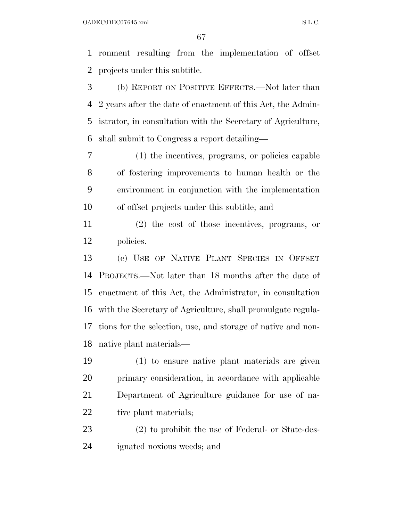$O:\DEC\DECO7645.xml$  S.L.C.

 ronment resulting from the implementation of offset projects under this subtitle.

 (b) REPORT ON POSITIVE EFFECTS.—Not later than 2 years after the date of enactment of this Act, the Admin- istrator, in consultation with the Secretary of Agriculture, shall submit to Congress a report detailing—

 (1) the incentives, programs, or policies capable of fostering improvements to human health or the environment in conjunction with the implementation of offset projects under this subtitle; and

 (2) the cost of those incentives, programs, or policies.

 (c) USE OF NATIVE PLANT SPECIES IN OFFSET PROJECTS.—Not later than 18 months after the date of enactment of this Act, the Administrator, in consultation with the Secretary of Agriculture, shall promulgate regula- tions for the selection, use, and storage of native and non-native plant materials—

 (1) to ensure native plant materials are given primary consideration, in accordance with applicable Department of Agriculture guidance for use of na-22 tive plant materials;

 (2) to prohibit the use of Federal- or State-des-ignated noxious weeds; and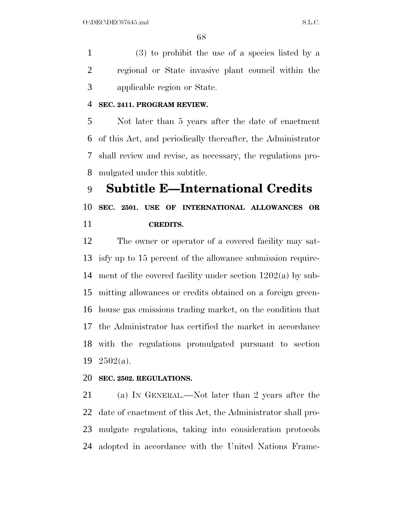(3) to prohibit the use of a species listed by a regional or State invasive plant council within the applicable region or State.

#### **SEC. 2411. PROGRAM REVIEW.**

 Not later than 5 years after the date of enactment of this Act, and periodically thereafter, the Administrator shall review and revise, as necessary, the regulations pro-mulgated under this subtitle.

 **Subtitle E—International Credits SEC. 2501. USE OF INTERNATIONAL ALLOWANCES OR CREDITS.** 

 The owner or operator of a covered facility may sat- isfy up to 15 percent of the allowance submission require- ment of the covered facility under section 1202(a) by sub- mitting allowances or credits obtained on a foreign green- house gas emissions trading market, on the condition that the Administrator has certified the market in accordance with the regulations promulgated pursuant to section 2502(a).

#### **SEC. 2502. REGULATIONS.**

 (a) IN GENERAL.—Not later than 2 years after the date of enactment of this Act, the Administrator shall pro- mulgate regulations, taking into consideration protocols adopted in accordance with the United Nations Frame-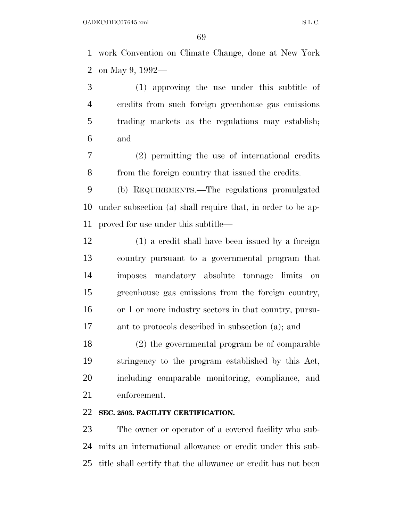work Convention on Climate Change, done at New York on May 9, 1992—

 (1) approving the use under this subtitle of credits from such foreign greenhouse gas emissions trading markets as the regulations may establish; and

 (2) permitting the use of international credits from the foreign country that issued the credits.

 (b) REQUIREMENTS.—The regulations promulgated under subsection (a) shall require that, in order to be ap-proved for use under this subtitle—

 (1) a credit shall have been issued by a foreign country pursuant to a governmental program that imposes mandatory absolute tonnage limits on greenhouse gas emissions from the foreign country, or 1 or more industry sectors in that country, pursu-ant to protocols described in subsection (a); and

 (2) the governmental program be of comparable stringency to the program established by this Act, including comparable monitoring, compliance, and enforcement.

#### **SEC. 2503. FACILITY CERTIFICATION.**

 The owner or operator of a covered facility who sub- mits an international allowance or credit under this sub-title shall certify that the allowance or credit has not been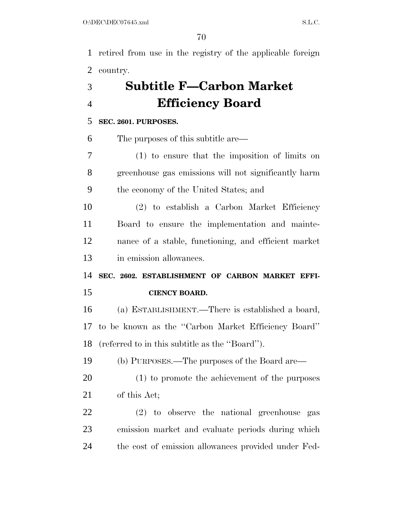retired from use in the registry of the applicable foreign country.

# **Subtitle F—Carbon Market Efficiency Board**

### **SEC. 2601. PURPOSES.**

The purposes of this subtitle are—

 (1) to ensure that the imposition of limits on greenhouse gas emissions will not significantly harm the economy of the United States; and

 (2) to establish a Carbon Market Efficiency Board to ensure the implementation and mainte- nance of a stable, functioning, and efficient market in emission allowances.

 **SEC. 2602. ESTABLISHMENT OF CARBON MARKET EFFI-CIENCY BOARD.** 

 (a) ESTABLISHMENT.—There is established a board, to be known as the ''Carbon Market Efficiency Board'' (referred to in this subtitle as the ''Board'').

(b) PURPOSES.—The purposes of the Board are—

- (1) to promote the achievement of the purposes of this Act;
- (2) to observe the national greenhouse gas emission market and evaluate periods during which the cost of emission allowances provided under Fed-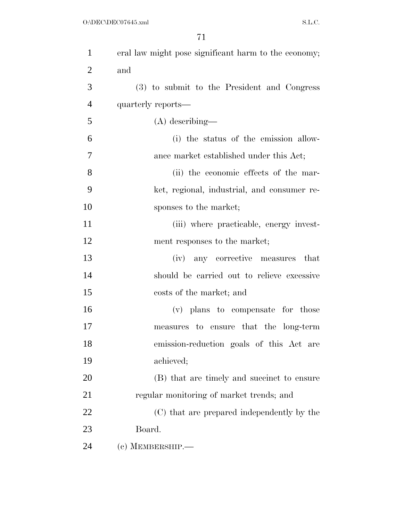| $\mathbf{1}$   | eral law might pose significant harm to the economy; |
|----------------|------------------------------------------------------|
| $\overline{2}$ | and                                                  |
| 3              | (3) to submit to the President and Congress          |
| $\overline{4}$ | quarterly reports—                                   |
| 5              | $(A)$ describing—                                    |
| 6              | (i) the status of the emission allow-                |
| 7              | ance market established under this Act;              |
| 8              | (ii) the economic effects of the mar-                |
| 9              | ket, regional, industrial, and consumer re-          |
| 10             | sponses to the market;                               |
| 11             | (iii) where practicable, energy invest-              |
| 12             | ment responses to the market;                        |
| 13             | (iv) any corrective measures that                    |
| 14             | should be carried out to relieve excessive           |
| 15             | costs of the market; and                             |
| 16             | (v) plans to compensate for those                    |
| 17             | measures to ensure that the long-term                |
| 18             | emission-reduction goals of this Act are             |
| 19             | achieved;                                            |
| 20             | (B) that are timely and succinct to ensure           |
| 21             | regular monitoring of market trends; and             |
| 22             | (C) that are prepared independently by the           |
| 23             | Board.                                               |
| 24             | (c) MEMBERSHIP.-                                     |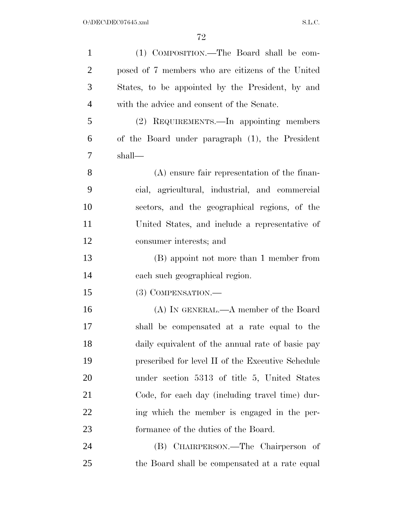| $\mathbf{1}$   | (1) COMPOSITION.—The Board shall be com-          |
|----------------|---------------------------------------------------|
| $\overline{2}$ | posed of 7 members who are citizens of the United |
| 3              | States, to be appointed by the President, by and  |
| $\overline{4}$ | with the advice and consent of the Senate.        |
| 5              | (2) REQUIREMENTS.—In appointing members           |
| 6              | of the Board under paragraph (1), the President   |
| 7              | shall—                                            |
| 8              | $(A)$ ensure fair representation of the finan-    |
| 9              | cial, agricultural, industrial, and commercial    |
| 10             | sectors, and the geographical regions, of the     |
| 11             | United States, and include a representative of    |
| 12             | consumer interests; and                           |
| 13             | (B) appoint not more than 1 member from           |
| 14             | each such geographical region.                    |
| 15             | $(3)$ COMPENSATION.—                              |
| 16             | (A) IN GENERAL.—A member of the Board             |
| 17             | shall be compensated at a rate equal to the       |
| 18             | daily equivalent of the annual rate of basic pay  |
| 19             | prescribed for level II of the Executive Schedule |
| 20             | under section 5313 of title 5, United States      |
| 21             | Code, for each day (including travel time) dur-   |
| 22             | ing which the member is engaged in the per-       |
| 23             | formance of the duties of the Board.              |
| 24             | (B) CHAIRPERSON.—The Chairperson of               |
| 25             | the Board shall be compensated at a rate equal    |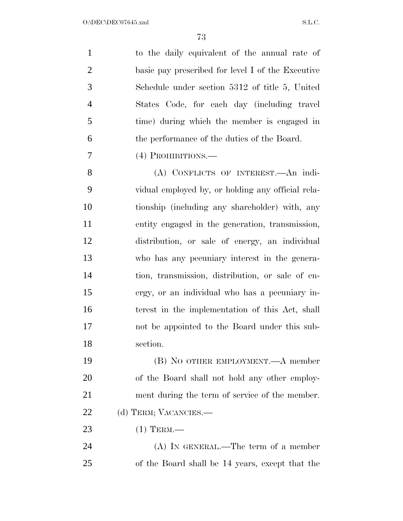| $\mathbf{1}$   | to the daily equivalent of the annual rate of     |
|----------------|---------------------------------------------------|
| $\overline{2}$ | basic pay prescribed for level I of the Executive |
| 3              | Schedule under section 5312 of title 5, United    |
| $\overline{4}$ | States Code, for each day (including travel       |
| 5              | time) during which the member is engaged in       |
| 6              | the performance of the duties of the Board.       |
| 7              | (4) PROHIBITIONS.—                                |
| 8              | (A) CONFLICTS OF INTEREST.—An indi-               |
| 9              | vidual employed by, or holding any official rela- |
| 10             | tionship (including any shareholder) with, any    |
| 11             | entity engaged in the generation, transmission,   |
| 12             | distribution, or sale of energy, an individual    |
| 13             | who has any pecuniary interest in the genera-     |
| 14             | tion, transmission, distribution, or sale of en-  |
| 15             | ergy, or an individual who has a pecuniary in-    |
| 16             | terest in the implementation of this Act, shall   |
| 17             | not be appointed to the Board under this sub-     |
| 18             | section.                                          |
| 19             | (B) NO OTHER EMPLOYMENT.—A member                 |
| 20             | of the Board shall not hold any other employ-     |
| 21             | ment during the term of service of the member.    |
| 22             | (d) TERM; VACANCIES.-                             |
| 23             | $(1)$ TERM.—                                      |
| 24             | $(A)$ IN GENERAL.—The term of a member            |
| 25             | of the Board shall be 14 years, except that the   |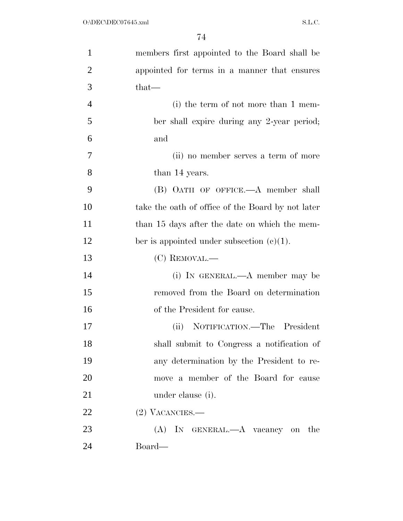| $\mathbf{1}$   | members first appointed to the Board shall be     |
|----------------|---------------------------------------------------|
| $\overline{2}$ | appointed for terms in a manner that ensures      |
| 3              | that—                                             |
| $\overline{4}$ | (i) the term of not more than 1 mem-              |
| 5              | ber shall expire during any 2-year period;        |
| 6              | and                                               |
| 7              | (ii) no member serves a term of more              |
| 8              | than 14 years.                                    |
| 9              | (B) OATH OF OFFICE.—A member shall                |
| 10             | take the oath of office of the Board by not later |
| 11             | than 15 days after the date on which the mem-     |
| 12             | ber is appointed under subsection $(c)(1)$ .      |
| 13             | (C) REMOVAL.—                                     |
| 14             | (i) IN GENERAL.—A member may be                   |
| 15             | removed from the Board on determination           |
| 16             | of the President for cause.                       |
| 17             | NOTIFICATION.—The President<br>(ii)               |
| 18             | shall submit to Congress a notification of        |
| 19             | any determination by the President to re-         |
| 20             | move a member of the Board for cause              |
| 21             | under clause (i).                                 |
| 22             | $(2)$ VACANCIES.—                                 |
| 23             | (A) IN GENERAL.—A vacancy on the                  |
| 24             | Board—                                            |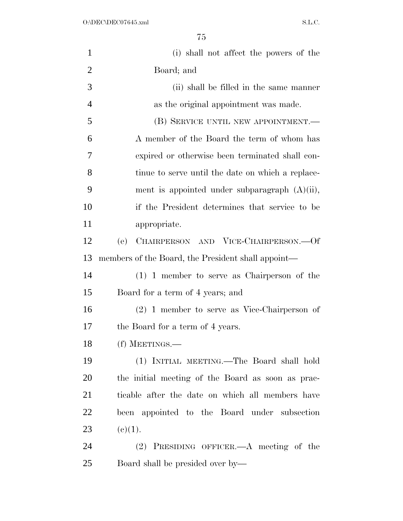| $\mathbf{1}$   | (i) shall not affect the powers of the             |
|----------------|----------------------------------------------------|
| $\overline{2}$ | Board; and                                         |
| 3              | (ii) shall be filled in the same manner            |
| $\overline{4}$ | as the original appointment was made.              |
| 5              | (B) SERVICE UNTIL NEW APPOINTMENT.                 |
| 6              | A member of the Board the term of whom has         |
| 7              | expired or otherwise been terminated shall con-    |
| 8              | tinue to serve until the date on which a replace-  |
| 9              | ment is appointed under subparagraph $(A)(ii)$ ,   |
| 10             | if the President determines that service to be     |
| 11             | appropriate.                                       |
| 12             | (e)<br>CHAIRPERSON AND VICE-CHAIRPERSON.-- Of      |
| 13             | members of the Board, the President shall appoint— |
| 14             | $(1)$ 1 member to serve as Chairperson of the      |
| 15             | Board for a term of 4 years; and                   |
| 16             | $(2)$ 1 member to serve as Vice-Chairperson of     |
| 17             | the Board for a term of 4 years.                   |
| 18             | (f) MEETINGS.—                                     |
| 19             | (1) INITIAL MEETING.—The Board shall hold          |
| 20             | the initial meeting of the Board as soon as prac-  |
| 21             | ticable after the date on which all members have   |
| <u>22</u>      | been appointed to the Board under subsection       |
| 23             | (c)(1).                                            |
| 24             | $(2)$ PRESIDING OFFICER.—A meeting of the          |
| 25             | Board shall be presided over by—                   |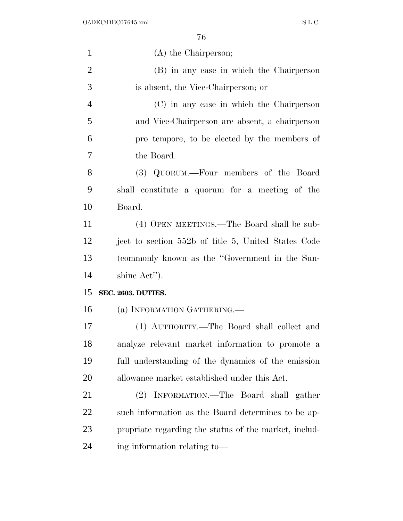| $\mathbf{1}$   | (A) the Chairperson;                                  |
|----------------|-------------------------------------------------------|
| $\overline{2}$ | (B) in any case in which the Chairperson              |
| 3              | is absent, the Vice-Chairperson; or                   |
| $\overline{4}$ | (C) in any case in which the Chairperson              |
| 5              | and Vice-Chairperson are absent, a chairperson        |
| 6              | pro tempore, to be elected by the members of          |
| 7              | the Board.                                            |
| 8              | (3) QUORUM.—Four members of the Board                 |
| 9              | shall constitute a quorum for a meeting of the        |
| 10             | Board.                                                |
| 11             | (4) OPEN MEETINGS.—The Board shall be sub-            |
| 12             | ject to section 552b of title 5, United States Code   |
| 13             | (commonly known as the "Government in the Sun-        |
| 14             | shine Act").                                          |
| 15             | SEC. 2603. DUTIES.                                    |
| 16             | (a) INFORMATION GATHERING.                            |
| 17             | (1) AUTHORITY.—The Board shall collect and            |
| 18             | analyze relevant market information to promote a      |
| 19             | full understanding of the dynamics of the emission    |
| 20             | allowance market established under this Act.          |
| 21             | (2) INFORMATION.—The Board shall gather               |
| 22             | such information as the Board determines to be ap-    |
| 23             | propriate regarding the status of the market, includ- |
| 24             | ing information relating to-                          |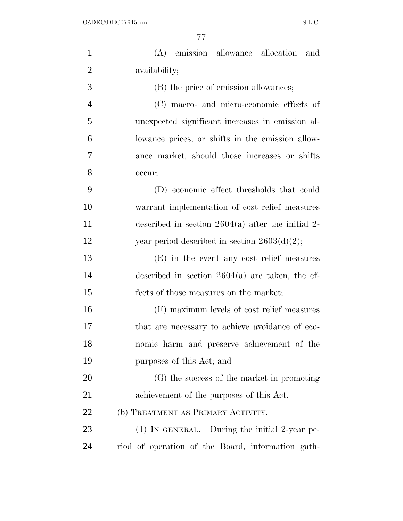| $\mathbf{1}$   | (A) emission allowance allocation and               |
|----------------|-----------------------------------------------------|
| $\overline{2}$ | availability;                                       |
| 3              | (B) the price of emission allowances;               |
| $\overline{4}$ | (C) macro- and micro-economic effects of            |
| 5              | unexpected significant increases in emission al-    |
| 6              | lowance prices, or shifts in the emission allow-    |
| $\overline{7}$ | ance market, should those increases or shifts       |
| 8              | occur;                                              |
| 9              | (D) economic effect thresholds that could           |
| 10             | warrant implementation of cost relief measures      |
| 11             | described in section $2604(a)$ after the initial 2- |
| 12             | year period described in section $2603(d)(2)$ ;     |
| 13             | (E) in the event any cost relief measures           |
| 14             | described in section $2604(a)$ are taken, the ef-   |
| 15             | fects of those measures on the market;              |
| 16             | (F) maximum levels of cost relief measures          |
| 17             | that are necessary to achieve avoidance of eco-     |
| 18             | nomic harm and preserve achievement of the          |
| 19             | purposes of this Act; and                           |
| 20             | (G) the success of the market in promoting          |
| 21             | achievement of the purposes of this Act.            |
| 22             | (b) TREATMENT AS PRIMARY ACTIVITY.-                 |
| 23             | $(1)$ In GENERAL.—During the initial 2-year pe-     |
| 24             | riod of operation of the Board, information gath-   |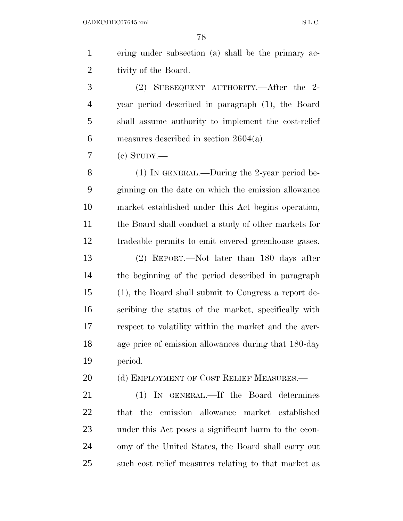ering under subsection (a) shall be the primary ac- tivity of the Board. (2) SUBSEQUENT AUTHORITY.—After the 2-

 year period described in paragraph (1), the Board shall assume authority to implement the cost-relief measures described in section 2604(a).

 $7 \quad$  (c) STUDY.—

 (1) IN GENERAL.—During the 2-year period be- ginning on the date on which the emission allowance market established under this Act begins operation, the Board shall conduct a study of other markets for tradeable permits to emit covered greenhouse gases. (2) REPORT.—Not later than 180 days after the beginning of the period described in paragraph (1), the Board shall submit to Congress a report de- scribing the status of the market, specifically with respect to volatility within the market and the aver- age price of emission allowances during that 180-day period.

20 (d) EMPLOYMENT OF COST RELIEF MEASURES.—

 (1) IN GENERAL.—If the Board determines that the emission allowance market established under this Act poses a significant harm to the econ- omy of the United States, the Board shall carry out such cost relief measures relating to that market as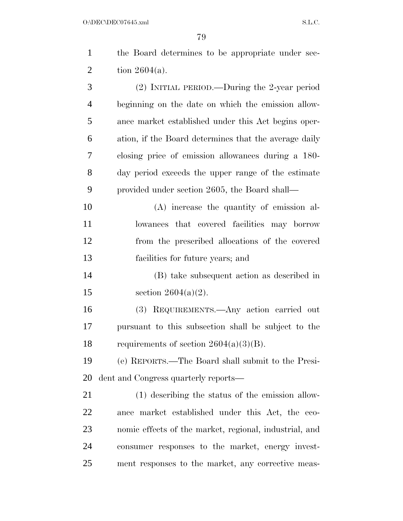| $\mathbf{1}$   | the Board determines to be appropriate under sec-      |
|----------------|--------------------------------------------------------|
| $\overline{2}$ | tion $2604(a)$ .                                       |
| 3              | (2) INITIAL PERIOD.—During the 2-year period           |
| 4              | beginning on the date on which the emission allow-     |
| 5              | ance market established under this Act begins oper-    |
| 6              | ation, if the Board determines that the average daily  |
| 7              | closing price of emission allowances during a 180-     |
| 8              | day period exceeds the upper range of the estimate     |
| 9              | provided under section 2605, the Board shall—          |
| 10             | (A) increase the quantity of emission al-              |
| 11             | lowances that covered facilities may borrow            |
| 12             | from the prescribed allocations of the covered         |
| 13             | facilities for future years; and                       |
| 14             | (B) take subsequent action as described in             |
| 15             | section $2604(a)(2)$ .                                 |
| 16             | (3) REQUIREMENTS.—Any action carried out               |
| 17             | pursuant to this subsection shall be subject to the    |
| 18             | requirements of section $2604(a)(3)(B)$ .              |
| 19             | (e) REPORTS.—The Board shall submit to the Presi-      |
| 20             | dent and Congress quarterly reports—                   |
| 21             | (1) describing the status of the emission allow-       |
| 22             | ance market established under this Act, the eco-       |
| 23             | nomic effects of the market, regional, industrial, and |

consumer responses to the market, energy invest-

ment responses to the market, any corrective meas-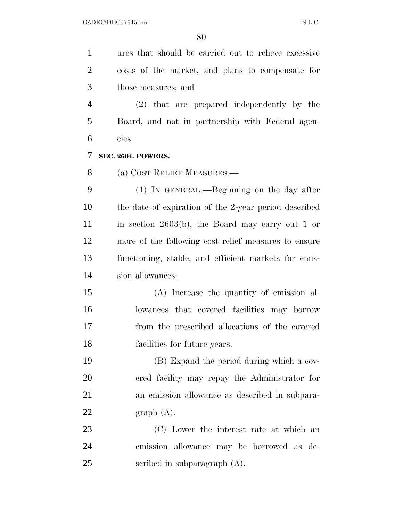ures that should be carried out to relieve excessive costs of the market, and plans to compensate for those measures; and

 (2) that are prepared independently by the Board, and not in partnership with Federal agen-cies.

**SEC. 2604. POWERS.** 

(a) COST RELIEF MEASURES.—

 (1) IN GENERAL.—Beginning on the day after the date of expiration of the 2-year period described in section 2603(b), the Board may carry out 1 or more of the following cost relief measures to ensure functioning, stable, and efficient markets for emis-sion allowances:

 (A) Increase the quantity of emission al- lowances that covered facilities may borrow from the prescribed allocations of the covered facilities for future years.

 (B) Expand the period during which a cov- ered facility may repay the Administrator for an emission allowance as described in subpara-22 graph  $(A)$ .

 (C) Lower the interest rate at which an emission allowance may be borrowed as de-scribed in subparagraph (A).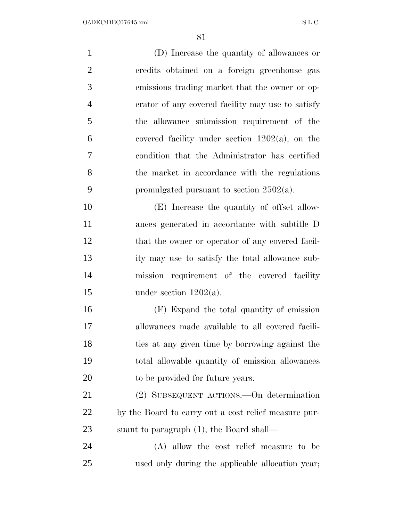| $\mathbf{1}$   | (D) Increase the quantity of allowances or           |
|----------------|------------------------------------------------------|
| $\overline{2}$ | credits obtained on a foreign greenhouse gas         |
| 3              | emissions trading market that the owner or op-       |
| $\overline{4}$ | erator of any covered facility may use to satisfy    |
| 5              | the allowance submission requirement of the          |
| 6              | covered facility under section $1202(a)$ , on the    |
| 7              | condition that the Administrator has certified       |
| 8              | the market in accordance with the regulations        |
| 9              | promulgated pursuant to section $2502(a)$ .          |
| 10             | (E) Increase the quantity of offset allow-           |
| 11             | ances generated in accordance with subtitle D        |
| 12             | that the owner or operator of any covered facil-     |
| 13             | ity may use to satisfy the total allowance sub-      |
| 14             | mission requirement of the covered facility          |
| 15             | under section $1202(a)$ .                            |
| 16             | (F) Expand the total quantity of emission            |
| 17             | allowances made available to all covered facili-     |
| 18             | ties at any given time by borrowing against the      |
| 19             | total allowable quantity of emission allowances      |
| 20             | to be provided for future years.                     |
| 21             | (2) SUBSEQUENT ACTIONS.—On determination             |
| 22             | by the Board to carry out a cost relief measure pur- |
| 23             | suant to paragraph $(1)$ , the Board shall—          |
| 24             | (A) allow the cost relief measure to be              |
| 25             | used only during the applicable allocation year;     |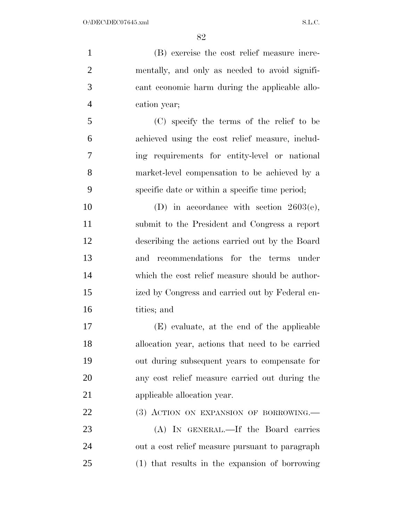(B) exercise the cost relief measure incre- mentally, and only as needed to avoid signifi- cant economic harm during the applicable allo-cation year;

 (C) specify the terms of the relief to be achieved using the cost relief measure, includ- ing requirements for entity-level or national market-level compensation to be achieved by a specific date or within a specific time period;

10 (D) in accordance with section 2603(e), submit to the President and Congress a report describing the actions carried out by the Board and recommendations for the terms under which the cost relief measure should be author- ized by Congress and carried out by Federal en-tities; and

 (E) evaluate, at the end of the applicable allocation year, actions that need to be carried out during subsequent years to compensate for any cost relief measure carried out during the applicable allocation year.

22 (3) ACTION ON EXPANSION OF BORROWING.

 (A) IN GENERAL.—If the Board carries out a cost relief measure pursuant to paragraph (1) that results in the expansion of borrowing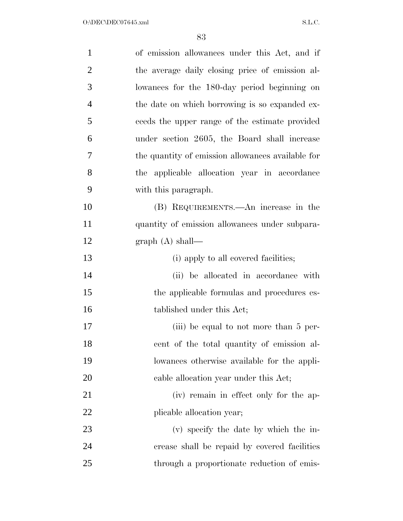| $\mathbf{1}$   | of emission allowances under this Act, and if     |
|----------------|---------------------------------------------------|
| $\overline{2}$ | the average daily closing price of emission al-   |
| 3              | lowances for the 180-day period beginning on      |
| 4              | the date on which borrowing is so expanded ex-    |
| 5              | ceeds the upper range of the estimate provided    |
| 6              | under section 2605, the Board shall increase      |
| 7              | the quantity of emission allowances available for |
| 8              | applicable allocation year in accordance<br>the   |
| 9              | with this paragraph.                              |
| 10             | (B) REQUIREMENTS.—An increase in the              |
| 11             | quantity of emission allowances under subpara-    |
| 12             | graph $(A)$ shall—                                |
| 13             | (i) apply to all covered facilities;              |
| 14             | (ii) be allocated in accordance with              |
| 15             | the applicable formulas and procedures es-        |
| 16             | tablished under this Act;                         |
| 17             | (iii) be equal to not more than 5 per-            |
| 18             | cent of the total quantity of emission al-        |
| 19             | lowances otherwise available for the appli-       |
| <b>20</b>      | cable allocation year under this Act;             |
| 21             | (iv) remain in effect only for the ap-            |
| 22             | plicable allocation year;                         |
| 23             | (v) specify the date by which the in-             |
| 24             | crease shall be repaid by covered facilities      |
| 25             | through a proportionate reduction of emis-        |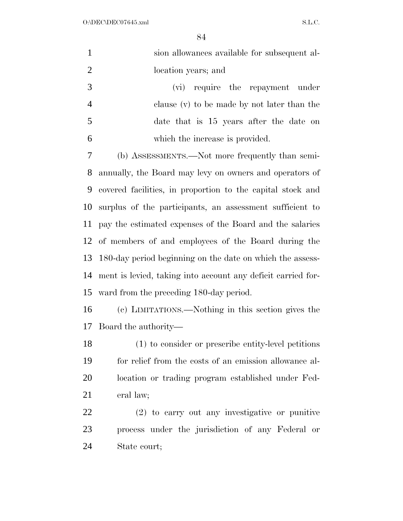$O:\Delta$ DEC\DEC07645.xml S.L.C.

| $\mathbf{1}$   | sion allowances available for subsequent al-                 |  |  |  |
|----------------|--------------------------------------------------------------|--|--|--|
| $\overline{2}$ | location years; and                                          |  |  |  |
| 3              | (vi) require the repayment<br>under                          |  |  |  |
| $\overline{4}$ | clause (v) to be made by not later than the                  |  |  |  |
| 5              | date that is 15 years after the date on                      |  |  |  |
| 6              | which the increase is provided.                              |  |  |  |
| $\tau$         | (b) ASSESSMENTS.—Not more frequently than semi-              |  |  |  |
| 8              | annually, the Board may levy on owners and operators of      |  |  |  |
| 9              | covered facilities, in proportion to the capital stock and   |  |  |  |
| 10             | surplus of the participants, an assessment sufficient to     |  |  |  |
| 11             | pay the estimated expenses of the Board and the salaries     |  |  |  |
| 12             | of members of and employees of the Board during the          |  |  |  |
| 13             | 180-day period beginning on the date on which the assess-    |  |  |  |
| 14             | ment is levied, taking into account any deficit carried for- |  |  |  |
| 15             | ward from the preceding 180-day period.                      |  |  |  |
| 16             | (c) LIMITATIONS.—Nothing in this section gives the           |  |  |  |
|                | 17 Board the authority—                                      |  |  |  |
| 18             | (1) to consider or prescribe entity-level petitions          |  |  |  |
| 19             | for relief from the costs of an emission allowance al-       |  |  |  |
| 20             | location or trading program established under Fed-           |  |  |  |
| 21             | eral law;                                                    |  |  |  |
| 22             | (2) to carry out any investigative or punitive               |  |  |  |
| 23             | process under the jurisdiction of any Federal or             |  |  |  |
| 24             | State court;                                                 |  |  |  |
|                |                                                              |  |  |  |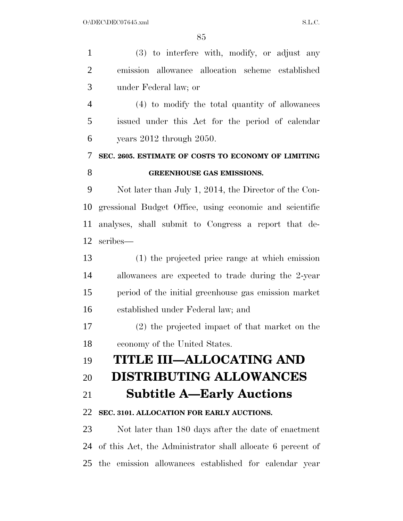(3) to interfere with, modify, or adjust any emission allowance allocation scheme established under Federal law; or (4) to modify the total quantity of allowances issued under this Act for the period of calendar years 2012 through 2050. **SEC. 2605. ESTIMATE OF COSTS TO ECONOMY OF LIMITING GREENHOUSE GAS EMISSIONS.**  Not later than July 1, 2014, the Director of the Con- gressional Budget Office, using economic and scientific analyses, shall submit to Congress a report that de- scribes— (1) the projected price range at which emission allowances are expected to trade during the 2-year period of the initial greenhouse gas emission market established under Federal law; and (2) the projected impact of that market on the economy of the United States. **TITLE III—ALLOCATING AND DISTRIBUTING ALLOWANCES Subtitle A—Early Auctions SEC. 3101. ALLOCATION FOR EARLY AUCTIONS.**  Not later than 180 days after the date of enactment of this Act, the Administrator shall allocate 6 percent of the emission allowances established for calendar year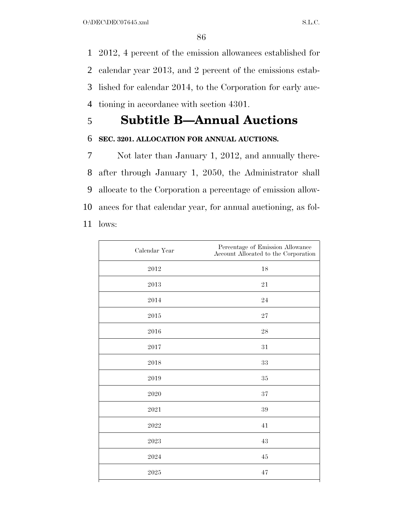2012, 4 percent of the emission allowances established for calendar year 2013, and 2 percent of the emissions estab- lished for calendar 2014, to the Corporation for early auc-tioning in accordance with section 4301.

### 5 **Subtitle B—Annual Auctions**

#### 6 **SEC. 3201. ALLOCATION FOR ANNUAL AUCTIONS.**

 Not later than January 1, 2012, and annually there- after through January 1, 2050, the Administrator shall allocate to the Corporation a percentage of emission allow- ances for that calendar year, for annual auctioning, as fol-11 lows:

| Calendar Year       | Percentage of Emission Allowance<br>Account Allocated to the Corporation |
|---------------------|--------------------------------------------------------------------------|
| 2012                | 18                                                                       |
| 2013                | 21                                                                       |
| 2014                | 24                                                                       |
| 2015                | 27                                                                       |
| $\,2016$            | $\sqrt{28}$                                                              |
| 2017                | $31\,$                                                                   |
| 2018                | 33                                                                       |
| 2019                | $35\,$                                                                   |
| 2020                | 37                                                                       |
| 2021                | $39\,$                                                                   |
| 2022                | 41                                                                       |
| $\boldsymbol{2023}$ | 43                                                                       |
| 2024                | $\rm 45$                                                                 |
| 2025                | 47                                                                       |
|                     |                                                                          |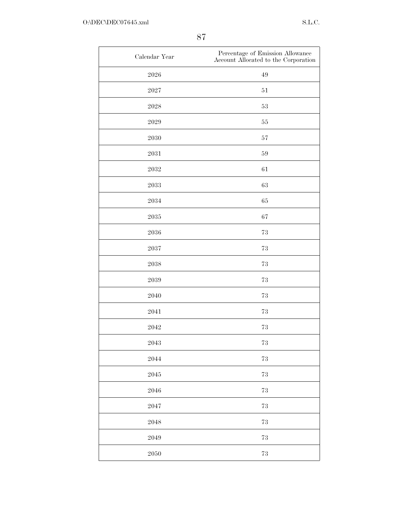| Calendar Year       | Percentage of Emission Allowance<br>Account Allocated to the Corporation |
|---------------------|--------------------------------------------------------------------------|
| $\boldsymbol{2026}$ | $\rm 49$                                                                 |
| 2027                | $51\,$                                                                   |
| $\boldsymbol{2028}$ | $53\,$                                                                   |
| 2029                | $55\,$                                                                   |
| 2030                | $57\,$                                                                   |
| $\,2031$            | $59\,$                                                                   |
| 2032                | $61\,$                                                                   |
| 2033                | $63\,$                                                                   |
| 2034                | 65                                                                       |
| $\boldsymbol{2035}$ | 67                                                                       |
| 2036                | 73                                                                       |
| 2037                | 73                                                                       |
| $\boldsymbol{2038}$ | $73\,$                                                                   |
| 2039                | $73\,$                                                                   |
| 2040                | $73\,$                                                                   |
| 2041                | $73\,$                                                                   |
| 2042                | $73\,$                                                                   |
| 2043                | $73\,$                                                                   |
| 2044                | $73\,$                                                                   |
| 2045                | $73\,$                                                                   |
| 2046                | $73\,$                                                                   |
| $\boldsymbol{2047}$ | $73\,$                                                                   |
| 2048                | $73\,$                                                                   |
| 2049                | $73\,$                                                                   |
| $\boldsymbol{2050}$ | $73\,$                                                                   |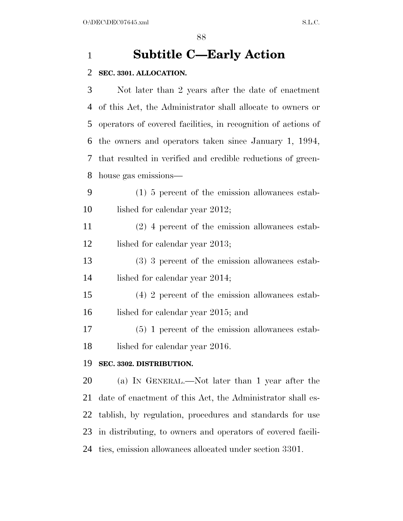### **Subtitle C—Early Action**

#### **SEC. 3301. ALLOCATION.**

 Not later than 2 years after the date of enactment of this Act, the Administrator shall allocate to owners or operators of covered facilities, in recognition of actions of the owners and operators taken since January 1, 1994, that resulted in verified and credible reductions of green-house gas emissions—

 (1) 5 percent of the emission allowances estab-10 lished for calendar year 2012;

 (2) 4 percent of the emission allowances estab-12 lished for calendar year 2013;

- (3) 3 percent of the emission allowances estab-lished for calendar year 2014;
- (4) 2 percent of the emission allowances estab-16 lished for calendar year 2015; and

 (5) 1 percent of the emission allowances estab-18 lished for calendar year 2016.

#### **SEC. 3302. DISTRIBUTION.**

 (a) IN GENERAL.—Not later than 1 year after the date of enactment of this Act, the Administrator shall es- tablish, by regulation, procedures and standards for use in distributing, to owners and operators of covered facili-ties, emission allowances allocated under section 3301.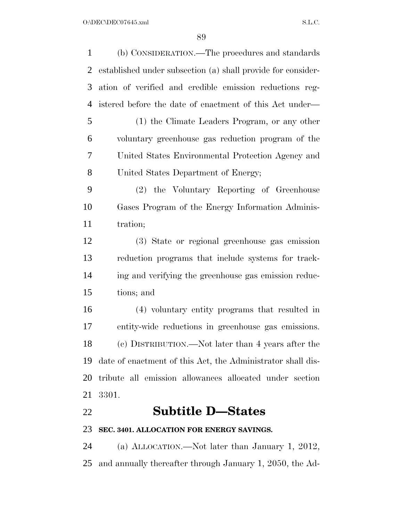| 1         | (b) CONSIDERATION.—The procedures and standards              |
|-----------|--------------------------------------------------------------|
| 2         | established under subsection (a) shall provide for consider- |
| 3         | ation of verified and credible emission reductions reg-      |
| 4         | istered before the date of enactment of this Act under—      |
| 5         | (1) the Climate Leaders Program, or any other                |
| 6         | voluntary greenhouse gas reduction program of the            |
| 7         | United States Environmental Protection Agency and            |
| 8         | United States Department of Energy;                          |
| 9         | (2) the Voluntary Reporting of Greenhouse                    |
| 10        | Gases Program of the Energy Information Adminis-             |
| 11        | tration;                                                     |
| 12        | (3) State or regional greenhouse gas emission                |
| 13        | reduction programs that include systems for track-           |
| 14        | ing and verifying the greenhouse gas emission reduc-         |
| 15        | tions; and                                                   |
| 16        | (4) voluntary entity programs that resulted in               |
| 17        | entity-wide reductions in greenhouse gas emissions.          |
| 18        | (c) DISTRIBUTION.—Not later than 4 years after the           |
| 19        | date of enactment of this Act, the Administrator shall dis-  |
| <b>20</b> | tribute all emission allowances allocated under section      |
| 21        | 3301.                                                        |
| 22        | <b>Subtitle D-States</b>                                     |
| 23        | SEC. 3401. ALLOCATION FOR ENERGY SAVINGS.                    |
| 24        | (a) ALLOCATION.—Not later than January 1, 2012,              |
| 25        | and annually thereafter through January 1, 2050, the Ad-     |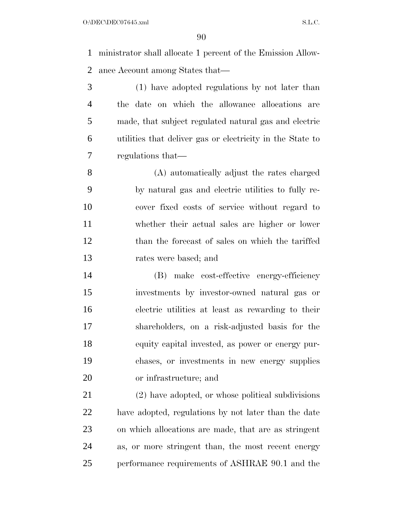ministrator shall allocate 1 percent of the Emission Allow-ance Account among States that—

 (1) have adopted regulations by not later than the date on which the allowance allocations are made, that subject regulated natural gas and electric utilities that deliver gas or electricity in the State to regulations that—

 (A) automatically adjust the rates charged by natural gas and electric utilities to fully re- cover fixed costs of service without regard to whether their actual sales are higher or lower than the forecast of sales on which the tariffed rates were based; and

 (B) make cost-effective energy-efficiency investments by investor-owned natural gas or electric utilities at least as rewarding to their shareholders, on a risk-adjusted basis for the equity capital invested, as power or energy pur- chases, or investments in new energy supplies or infrastructure; and

 (2) have adopted, or whose political subdivisions have adopted, regulations by not later than the date on which allocations are made, that are as stringent as, or more stringent than, the most recent energy performance requirements of ASHRAE 90.1 and the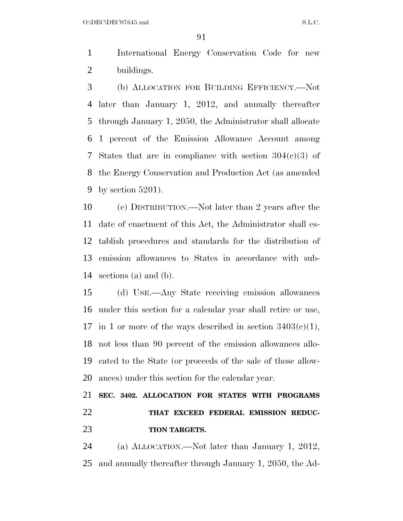$O:\DEC\DECO7645.xml$  S.L.C.

 International Energy Conservation Code for new buildings.

 (b) ALLOCATION FOR BUILDING EFFICIENCY.—Not later than January 1, 2012, and annually thereafter through January 1, 2050, the Administrator shall allocate 1 percent of the Emission Allowance Account among States that are in compliance with section 304(c)(3) of the Energy Conservation and Production Act (as amended by section 5201).

 (c) DISTRIBUTION.—Not later than 2 years after the date of enactment of this Act, the Administrator shall es- tablish procedures and standards for the distribution of emission allowances to States in accordance with sub-sections (a) and (b).

 (d) USE.—Any State receiving emission allowances under this section for a calendar year shall retire or use, 17 in 1 or more of the ways described in section  $3403(c)(1)$ , not less than 90 percent of the emission allowances allo- cated to the State (or proceeds of the sale of those allow-ances) under this section for the calendar year.

 **SEC. 3402. ALLOCATION FOR STATES WITH PROGRAMS THAT EXCEED FEDERAL EMISSION REDUC-TION TARGETS.** 

 (a) ALLOCATION.—Not later than January 1, 2012, and annually thereafter through January 1, 2050, the Ad-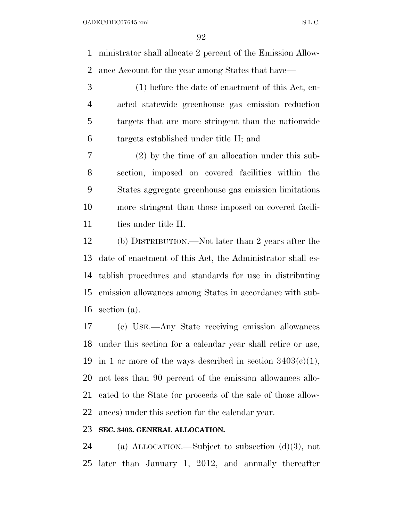ministrator shall allocate 2 percent of the Emission Allow-ance Account for the year among States that have—

 (1) before the date of enactment of this Act, en- acted statewide greenhouse gas emission reduction targets that are more stringent than the nationwide targets established under title II; and

 (2) by the time of an allocation under this sub- section, imposed on covered facilities within the States aggregate greenhouse gas emission limitations more stringent than those imposed on covered facili-11 ties under title II.

 (b) DISTRIBUTION.—Not later than 2 years after the date of enactment of this Act, the Administrator shall es- tablish procedures and standards for use in distributing emission allowances among States in accordance with sub-section (a).

 (c) USE.—Any State receiving emission allowances under this section for a calendar year shall retire or use, 19 in 1 or more of the ways described in section  $3403(c)(1)$ , not less than 90 percent of the emission allowances allo- cated to the State (or proceeds of the sale of those allow-ances) under this section for the calendar year.

#### **SEC. 3403. GENERAL ALLOCATION.**

 (a) ALLOCATION.—Subject to subsection (d)(3), not later than January 1, 2012, and annually thereafter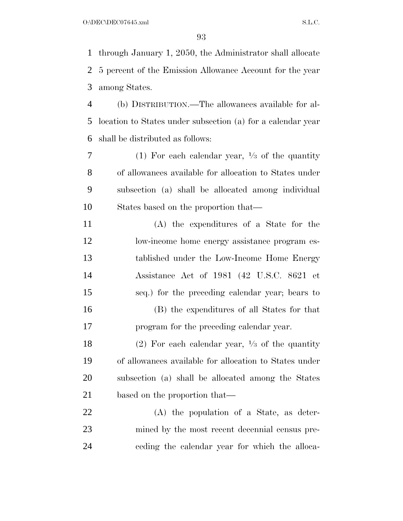through January 1, 2050, the Administrator shall allocate 5 percent of the Emission Allowance Account for the year among States.

 (b) DISTRIBUTION.—The allowances available for al- location to States under subsection (a) for a calendar year shall be distributed as follows:

(1) For each calendar year, 1 ⁄3 of the quantity of allowances available for allocation to States under subsection (a) shall be allocated among individual States based on the proportion that—

 (A) the expenditures of a State for the 12 low-income home energy assistance program es- tablished under the Low-Income Home Energy Assistance Act of 1981 (42 U.S.C. 8621 et seq.) for the preceding calendar year; bears to (B) the expenditures of all States for that program for the preceding calendar year.

18 (2) For each calendar year,  $\frac{1}{3}$  of the quantity of allowances available for allocation to States under subsection (a) shall be allocated among the States based on the proportion that—

 (A) the population of a State, as deter- mined by the most recent decennial census pre-ceding the calendar year for which the alloca-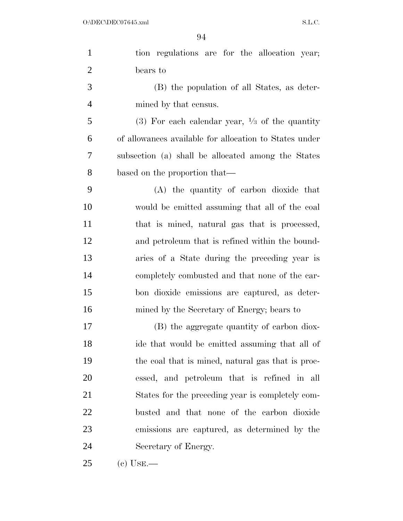| $\mathbf{1}$   | tion regulations are for the allocation year;             |
|----------------|-----------------------------------------------------------|
| $\overline{2}$ | bears to                                                  |
| 3              | (B) the population of all States, as deter-               |
| $\overline{4}$ | mined by that census.                                     |
| 5              | (3) For each calendar year, $\frac{1}{3}$ of the quantity |
| 6              | of allowances available for allocation to States under    |
| 7              | subsection (a) shall be allocated among the States        |
| 8              | based on the proportion that—                             |
| 9              | (A) the quantity of carbon dioxide that                   |
| 10             | would be emitted assuming that all of the coal            |
| 11             | that is mined, natural gas that is processed,             |
| 12             | and petroleum that is refined within the bound-           |
| 13             | aries of a State during the preceding year is             |
| 14             | completely combusted and that none of the car-            |
| 15             | bon dioxide emissions are captured, as deter-             |
| 16             | mined by the Secretary of Energy; bears to                |
| 17             | (B) the aggregate quantity of carbon diox-                |
| 18             | ide that would be emitted assuming that all of            |
| 19             | the coal that is mined, natural gas that is proc-         |
| 20             | essed, and petroleum that is refined in all               |
| 21             | States for the preceding year is completely com-          |
| 22             | busted and that none of the carbon dioxide                |
| 23             | emissions are captured, as determined by the              |
| 24             | Secretary of Energy.                                      |
| 25             | (c) Use.—                                                 |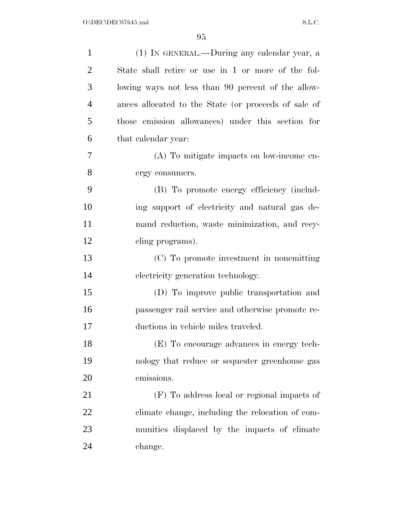| 1              | (1) IN GENERAL.—During any calendar year, a          |
|----------------|------------------------------------------------------|
| $\overline{2}$ | State shall retire or use in 1 or more of the fol-   |
| 3              | lowing ways not less than 90 percent of the allow-   |
| $\overline{4}$ | ances allocated to the State (or proceeds of sale of |
| 5              | those emission allowances) under this section for    |
| 6              | that calendar year:                                  |
| 7              | (A) To mitigate impacts on low-income en-            |
| 8              | ergy consumers.                                      |
| 9              | (B) To promote energy efficiency (includ-            |
| 10             | ing support of electricity and natural gas de-       |
| 11             | mand reduction, waste minimization, and recy-        |
| 12             | cling programs).                                     |
| 13             | (C) To promote investment in nonemitting             |
| 14             | electricity generation technology.                   |
| 15             | (D) To improve public transportation and             |
| 16             | passenger rail service and otherwise promote re-     |
| 17             | ductions in vehicle miles traveled.                  |
| 18             | (E) To encourage advances in energy tech-            |
| 19             | nology that reduce or sequester greenhouse gas       |
| 20             | emissions.                                           |
| 21             | (F) To address local or regional impacts of          |
| 22             | climate change, including the relocation of com-     |
| 23             | munities displaced by the impacts of climate         |
| 24             | change.                                              |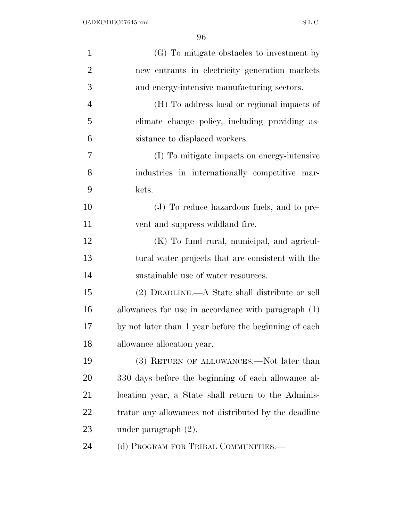| $\mathbf{1}$   | (G) To mitigate obstacles to investment by            |
|----------------|-------------------------------------------------------|
| $\overline{2}$ | new entrants in electricity generation markets        |
| 3              | and energy-intensive manufacturing sectors.           |
| $\overline{4}$ | (H) To address local or regional impacts of           |
| 5              | climate change policy, including providing as-        |
| 6              | sistance to displaced workers.                        |
| 7              | (I) To mitigate impacts on energy-intensive           |
| 8              | industries in internationally competitive mar-        |
| 9              | kets.                                                 |
| 10             | (J) To reduce hazardous fuels, and to pre-            |
| 11             | vent and suppress wildland fire.                      |
| 12             | (K) To fund rural, municipal, and agricul-            |
| 13             | tural water projects that are consistent with the     |
| 14             | sustainable use of water resources.                   |
| 15             | (2) DEADLINE.—A State shall distribute or sell        |
| 16             | allowances for use in accordance with paragraph (1)   |
| 17             | by not later than 1 year before the beginning of each |
| 18             | allowance allocation year.                            |
| 19             | (3) RETURN OF ALLOWANCES.—Not later than              |
| 20             | 330 days before the beginning of each allowance al-   |
| 21             | location year, a State shall return to the Adminis-   |
| 22             | trator any allowances not distributed by the deadline |
| 23             | under paragraph $(2)$ .                               |
| 24             | (d) PROGRAM FOR TRIBAL COMMUNITIES.—                  |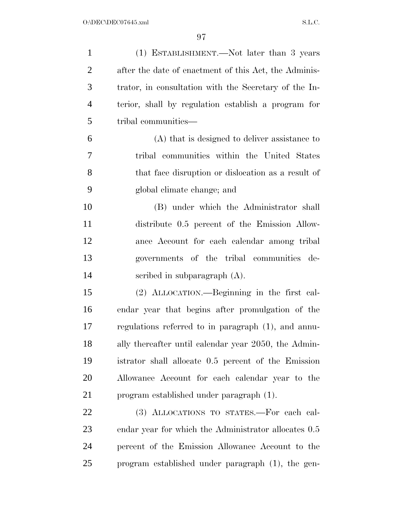| $\mathbf{1}$   | (1) ESTABLISHMENT.—Not later than 3 years             |
|----------------|-------------------------------------------------------|
| $\overline{2}$ | after the date of enactment of this Act, the Adminis- |
| 3              | trator, in consultation with the Secretary of the In- |
| $\overline{4}$ | terior, shall by regulation establish a program for   |
| 5              | tribal communities—                                   |
| 6              | (A) that is designed to deliver assistance to         |
| $\overline{7}$ | tribal communities within the United States           |
| 8              | that face disruption or dislocation as a result of    |
| 9              | global climate change; and                            |
| 10             | (B) under which the Administrator shall               |
| 11             | distribute 0.5 percent of the Emission Allow-         |
| 12             | ance Account for each calendar among tribal           |
| 13             | governments of the tribal communities de-             |
| 14             | scribed in subparagraph $(A)$ .                       |
| 15             | (2) ALLOCATION.—Beginning in the first cal-           |
| 16             | endar year that begins after promulgation of the      |
| 17             | regulations referred to in paragraph (1), and annu-   |
| 18             | ally thereafter until calendar year 2050, the Admin-  |
| 19             | istrator shall allocate 0.5 percent of the Emission   |
| 20             | Allowance Account for each calendar year to the       |
| 21             | program established under paragraph (1).              |
| 22             | (3) ALLOCATIONS TO STATES.-For each cal-              |
| 23             | endar year for which the Administrator allocates 0.5  |
| 24             | percent of the Emission Allowance Account to the      |
| 25             | program established under paragraph (1), the gen-     |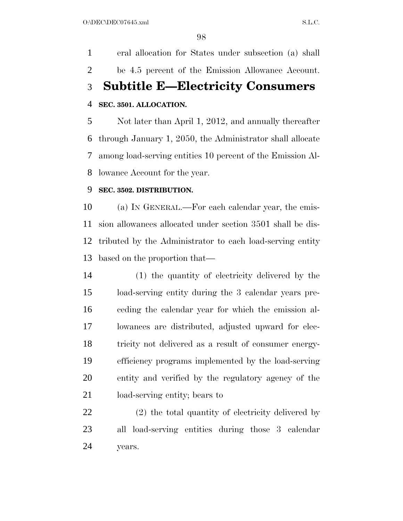eral allocation for States under subsection (a) shall be 4.5 percent of the Emission Allowance Account. **Subtitle E—Electricity Consumers SEC. 3501. ALLOCATION.** 

 Not later than April 1, 2012, and annually thereafter through January 1, 2050, the Administrator shall allocate among load-serving entities 10 percent of the Emission Al-lowance Account for the year.

#### **SEC. 3502. DISTRIBUTION.**

 (a) IN GENERAL.—For each calendar year, the emis- sion allowances allocated under section 3501 shall be dis- tributed by the Administrator to each load-serving entity based on the proportion that—

 (1) the quantity of electricity delivered by the load-serving entity during the 3 calendar years pre- ceding the calendar year for which the emission al- lowances are distributed, adjusted upward for elec- tricity not delivered as a result of consumer energy- efficiency programs implemented by the load-serving entity and verified by the regulatory agency of the load-serving entity; bears to

 (2) the total quantity of electricity delivered by all load-serving entities during those 3 calendar years.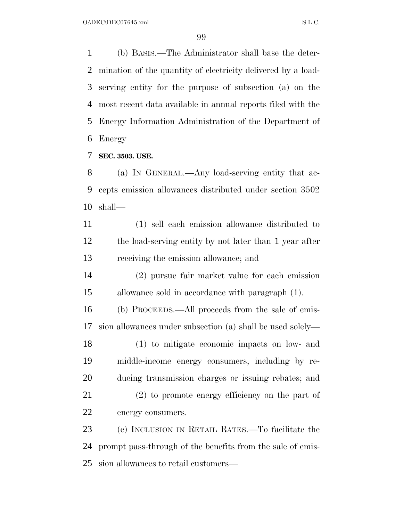(b) BASIS.—The Administrator shall base the deter- mination of the quantity of electricity delivered by a load- serving entity for the purpose of subsection (a) on the most recent data available in annual reports filed with the Energy Information Administration of the Department of Energy

**SEC. 3503. USE.** 

 (a) IN GENERAL.—Any load-serving entity that ac- cepts emission allowances distributed under section 3502 shall—

 (1) sell each emission allowance distributed to the load-serving entity by not later than 1 year after receiving the emission allowance; and

 (2) pursue fair market value for each emission allowance sold in accordance with paragraph (1).

 (b) PROCEEDS.—All proceeds from the sale of emis-sion allowances under subsection (a) shall be used solely—

 (1) to mitigate economic impacts on low- and middle-income energy consumers, including by re-ducing transmission charges or issuing rebates; and

 (2) to promote energy efficiency on the part of energy consumers.

 (c) INCLUSION IN RETAIL RATES.—To facilitate the prompt pass-through of the benefits from the sale of emis-sion allowances to retail customers—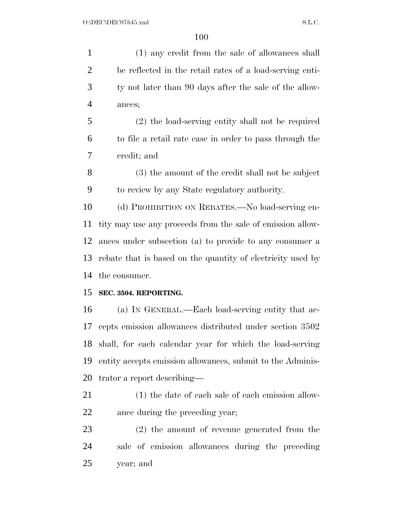(1) any credit from the sale of allowances shall be reflected in the retail rates of a load-serving enti- ty not later than 90 days after the sale of the allow- ances; (2) the load-serving entity shall not be required to file a retail rate case in order to pass through the credit; and (3) the amount of the credit shall not be subject to review by any State regulatory authority. (d) PROHIBITION ON REBATES.—No load-serving en- tity may use any proceeds from the sale of emission allow- ances under subsection (a) to provide to any consumer a rebate that is based on the quantity of electricity used by the consumer. **SEC. 3504. REPORTING.**  (a) IN GENERAL.—Each load-serving entity that ac- cepts emission allowances distributed under section 3502 shall, for each calendar year for which the load-serving entity accepts emission allowances, submit to the Adminis- trator a report describing— (1) the date of each sale of each emission allow- ance during the preceding year; (2) the amount of revenue generated from the sale of emission allowances during the preceding

year; and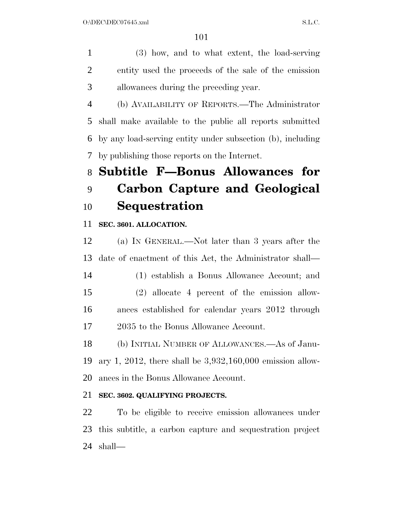(3) how, and to what extent, the load-serving entity used the proceeds of the sale of the emission allowances during the preceding year.

 (b) AVAILABILITY OF REPORTS.—The Administrator shall make available to the public all reports submitted by any load-serving entity under subsection (b), including by publishing those reports on the Internet.

# **Subtitle F—Bonus Allowances for Carbon Capture and Geological Sequestration**

**SEC. 3601. ALLOCATION.** 

 (a) IN GENERAL.—Not later than 3 years after the date of enactment of this Act, the Administrator shall—

 (1) establish a Bonus Allowance Account; and (2) allocate 4 percent of the emission allow- ances established for calendar years 2012 through 2035 to the Bonus Allowance Account.

 (b) INITIAL NUMBER OF ALLOWANCES.—As of Janu- ary 1, 2012, there shall be 3,932,160,000 emission allow-ances in the Bonus Allowance Account.

#### **SEC. 3602. QUALIFYING PROJECTS.**

 To be eligible to receive emission allowances under this subtitle, a carbon capture and sequestration project shall—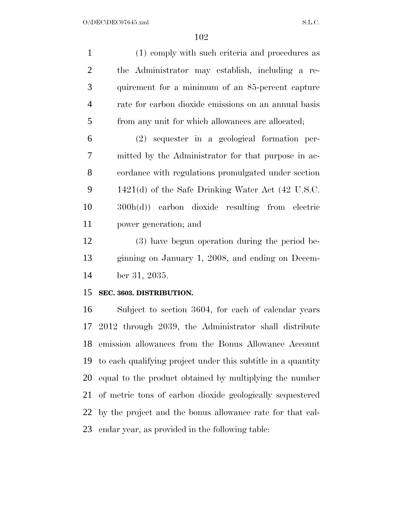(1) comply with such criteria and procedures as the Administrator may establish, including a re- quirement for a minimum of an 85-percent capture rate for carbon dioxide emissions on an annual basis from any unit for which allowances are allocated;

 (2) sequester in a geological formation per- mitted by the Administrator for that purpose in ac- cordance with regulations promulgated under section 1421(d) of the Safe Drinking Water Act (42 U.S.C. 300h(d)) carbon dioxide resulting from electric power generation; and

 (3) have begun operation during the period be- ginning on January 1, 2008, and ending on Decem-ber 31, 2035.

#### **SEC. 3603. DISTRIBUTION.**

 Subject to section 3604, for each of calendar years 2012 through 2039, the Administrator shall distribute emission allowances from the Bonus Allowance Account to each qualifying project under this subtitle in a quantity equal to the product obtained by multiplying the number of metric tons of carbon dioxide geologically sequestered by the project and the bonus allowance rate for that cal-endar year, as provided in the following table: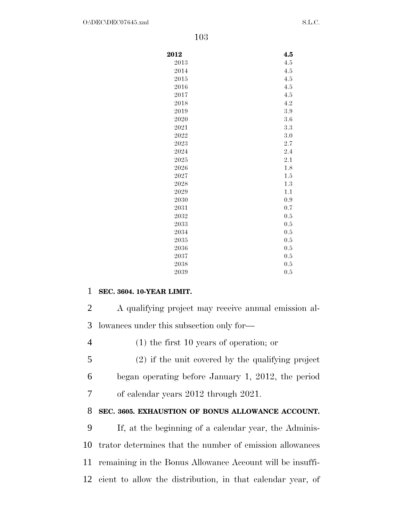| 2012 | 4.5 |
|------|-----|
| 2013 | 4.5 |
| 2014 | 4.5 |
| 2015 | 4.5 |
| 2016 | 4.5 |
| 2017 | 4.5 |
| 2018 | 4.2 |
| 2019 | 3.9 |
| 2020 | 3.6 |
| 2021 | 3.3 |
| 2022 | 3.0 |
| 2023 | 2.7 |
| 2024 | 2.4 |
| 2025 | 2.1 |
| 2026 | 1.8 |
| 2027 | 1.5 |
| 2028 | 1.3 |
| 2029 | 1.1 |
| 2030 | 0.9 |
| 2031 | 0.7 |
| 2032 | 0.5 |
| 2033 | 0.5 |
| 2034 | 0.5 |
| 2035 | 0.5 |
| 2036 | 0.5 |
| 2037 | 0.5 |
| 2038 | 0.5 |
| 2039 | 0.5 |

#### 1 **SEC. 3604. 10-YEAR LIMIT.**

2 A qualifying project may receive annual emission al-3 lowances under this subsection only for—

4 (1) the first 10 years of operation; or

5 (2) if the unit covered by the qualifying project 6 began operating before January 1, 2012, the period 7 of calendar years 2012 through 2021.

#### 8 **SEC. 3605. EXHAUSTION OF BONUS ALLOWANCE ACCOUNT.**

 If, at the beginning of a calendar year, the Adminis- trator determines that the number of emission allowances remaining in the Bonus Allowance Account will be insuffi-cient to allow the distribution, in that calendar year, of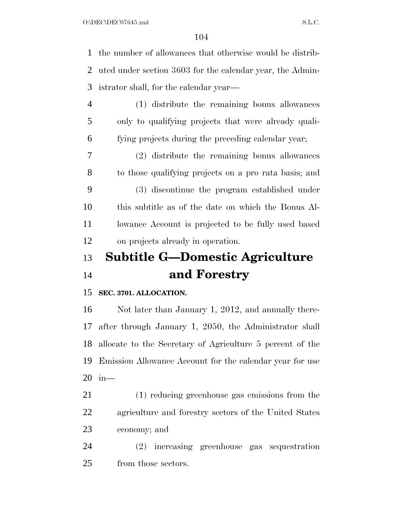the number of allowances that otherwise would be distrib- uted under section 3603 for the calendar year, the Admin- istrator shall, for the calendar year— (1) distribute the remaining bonus allowances

 only to qualifying projects that were already quali-fying projects during the preceding calendar year;

 (2) distribute the remaining bonus allowances to those qualifying projects on a pro rata basis; and (3) discontinue the program established under this subtitle as of the date on which the Bonus Al-11 lowance Account is projected to be fully used based on projects already in operation.

## **Subtitle G—Domestic Agriculture and Forestry**

#### **SEC. 3701. ALLOCATION.**

 Not later than January 1, 2012, and annually there- after through January 1, 2050, the Administrator shall allocate to the Secretary of Agriculture 5 percent of the Emission Allowance Account for the calendar year for use in—

 (1) reducing greenhouse gas emissions from the agriculture and forestry sectors of the United States economy; and

 (2) increasing greenhouse gas sequestration from those sectors.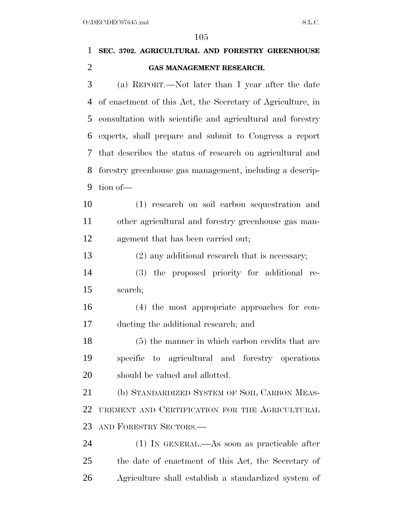# **SEC. 3702. AGRICULTURAL AND FORESTRY GREENHOUSE GAS MANAGEMENT RESEARCH.**  (a) REPORT.—Not later than 1 year after the date of enactment of this Act, the Secretary of Agriculture, in consultation with scientific and agricultural and forestry experts, shall prepare and submit to Congress a report that describes the status of research on agricultural and forestry greenhouse gas management, including a descrip- tion of— (1) research on soil carbon sequestration and other agricultural and forestry greenhouse gas man- agement that has been carried out; (2) any additional research that is necessary; (3) the proposed priority for additional re- search; (4) the most appropriate approaches for con- ducting the additional research; and (5) the manner in which carbon credits that are specific to agricultural and forestry operations should be valued and allotted. 21 (b) STANDARDIZED SYSTEM OF SOIL CARBON MEAS- UREMENT AND CERTIFICATION FOR THE AGRICULTURAL AND FORESTRY SECTORS.— (1) IN GENERAL.—As soon as practicable after

 the date of enactment of this Act, the Secretary of Agriculture shall establish a standardized system of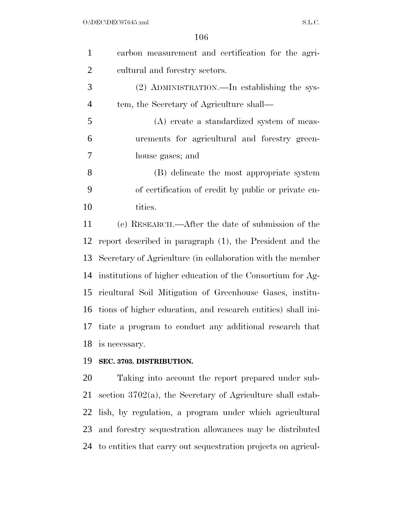| carbon measurement and certification for the agri-           |
|--------------------------------------------------------------|
| cultural and forestry sectors.                               |
| (2) ADMINISTRATION.—In establishing the sys-                 |
| tem, the Secretary of Agriculture shall—                     |
| (A) create a standardized system of meas-                    |
| urements for agricultural and forestry green-                |
| house gases; and                                             |
| (B) delineate the most appropriate system                    |
| of certification of credit by public or private en-          |
| tities.                                                      |
| (c) RESEARCH.—After the date of submission of the            |
| report described in paragraph (1), the President and the     |
| Secretary of Agriculture (in collaboration with the member   |
| institutions of higher education of the Consortium for Ag-   |
| ricultural Soil Mitigation of Greenhouse Gases, institu-     |
| tions of higher education, and research entities) shall ini- |
| tiate a program to conduct any additional research that      |
| is necessary.                                                |
| SEC. 3703. DISTRIBUTION.                                     |
|                                                              |

 Taking into account the report prepared under sub- section 3702(a), the Secretary of Agriculture shall estab- lish, by regulation, a program under which agricultural and forestry sequestration allowances may be distributed to entities that carry out sequestration projects on agricul-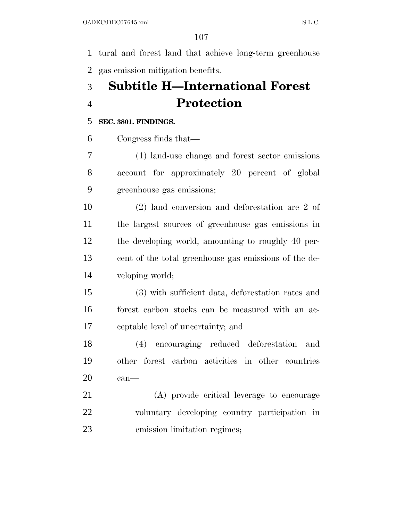tural and forest land that achieve long-term greenhouse gas emission mitigation benefits.

## **Subtitle H—International Forest Protection**

#### **SEC. 3801. FINDINGS.**

Congress finds that—

 (1) land-use change and forest sector emissions account for approximately 20 percent of global greenhouse gas emissions;

 (2) land conversion and deforestation are 2 of the largest sources of greenhouse gas emissions in the developing world, amounting to roughly 40 per- cent of the total greenhouse gas emissions of the de-veloping world;

 (3) with sufficient data, deforestation rates and forest carbon stocks can be measured with an ac-ceptable level of uncertainty; and

 (4) encouraging reduced deforestation and other forest carbon activities in other countries can—

 (A) provide critical leverage to encourage voluntary developing country participation in emission limitation regimes;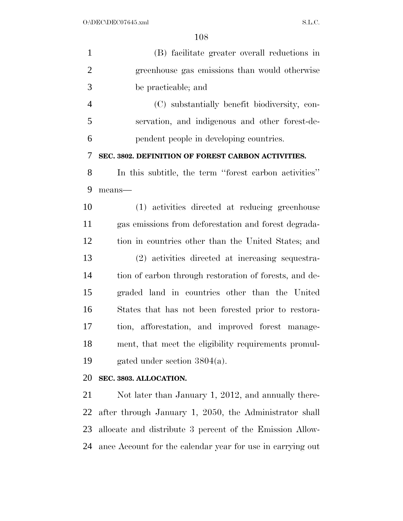| $\mathbf{1}$   | (B) facilitate greater overall reductions in           |
|----------------|--------------------------------------------------------|
| $\overline{2}$ | greenhouse gas emissions than would otherwise          |
| 3              | be practicable; and                                    |
| $\overline{4}$ | (C) substantially benefit biodiversity, con-           |
| 5              | servation, and indigenous and other forest-de-         |
| 6              | pendent people in developing countries.                |
| 7              | SEC. 3802. DEFINITION OF FOREST CARBON ACTIVITIES.     |
| 8              | In this subtitle, the term "forest carbon activities"  |
| 9              | means-                                                 |
| 10             | (1) activities directed at reducing greenhouse         |
| 11             | gas emissions from deforestation and forest degrada-   |
| 12             | tion in countries other than the United States; and    |
| 13             | (2) activities directed at increasing sequestra-       |
| 14             | tion of carbon through restoration of forests, and de- |
| 15             | graded land in countries other than the United         |
| 16             | States that has not been forested prior to restora-    |
| 17             | tion, afforestation, and improved forest manage-       |
| 18             | ment, that meet the eligibility requirements promul-   |
| 19             | gated under section $3804(a)$ .                        |
| 20             | SEC. 3803. ALLOCATION.                                 |

21 Not later than January 1, 2012, and annually there- after through January 1, 2050, the Administrator shall allocate and distribute 3 percent of the Emission Allow-ance Account for the calendar year for use in carrying out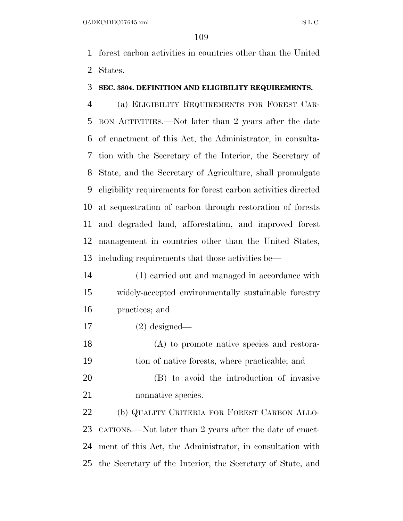forest carbon activities in countries other than the United States.

## **SEC. 3804. DEFINITION AND ELIGIBILITY REQUIREMENTS.**

 (a) ELIGIBILITY REQUIREMENTS FOR FOREST CAR- BON ACTIVITIES.—Not later than 2 years after the date of enactment of this Act, the Administrator, in consulta- tion with the Secretary of the Interior, the Secretary of State, and the Secretary of Agriculture, shall promulgate eligibility requirements for forest carbon activities directed at sequestration of carbon through restoration of forests and degraded land, afforestation, and improved forest management in countries other than the United States, including requirements that those activities be—

- (1) carried out and managed in accordance with widely-accepted environmentally sustainable forestry practices; and
- (2) designed—

 (A) to promote native species and restora-tion of native forests, where practicable; and

 (B) to avoid the introduction of invasive nonnative species.

 (b) QUALITY CRITERIA FOR FOREST CARBON ALLO- CATIONS.—Not later than 2 years after the date of enact- ment of this Act, the Administrator, in consultation with the Secretary of the Interior, the Secretary of State, and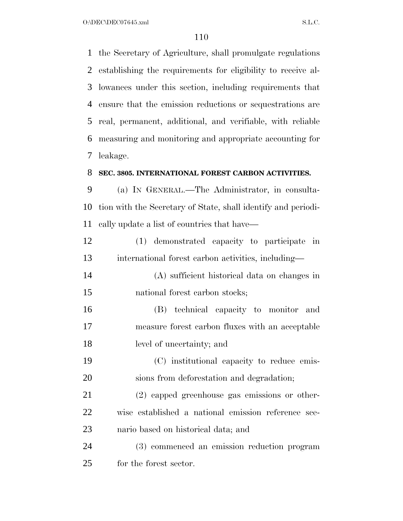O:\DEC\DEC07645.xml S.L.C.

 the Secretary of Agriculture, shall promulgate regulations establishing the requirements for eligibility to receive al- lowances under this section, including requirements that ensure that the emission reductions or sequestrations are real, permanent, additional, and verifiable, with reliable measuring and monitoring and appropriate accounting for leakage.

#### **SEC. 3805. INTERNATIONAL FOREST CARBON ACTIVITIES.**

 (a) IN GENERAL.—The Administrator, in consulta- tion with the Secretary of State, shall identify and periodi-cally update a list of countries that have—

| 12 | (1) demonstrated capacity to participate in        |  |  |
|----|----------------------------------------------------|--|--|
| 13 | international forest carbon activities, including— |  |  |

- (A) sufficient historical data on changes in national forest carbon stocks;
- (B) technical capacity to monitor and measure forest carbon fluxes with an acceptable level of uncertainty; and
- (C) institutional capacity to reduce emis-sions from deforestation and degradation;

 (2) capped greenhouse gas emissions or other- wise established a national emission reference sce-nario based on historical data; and

 (3) commenced an emission reduction program for the forest sector.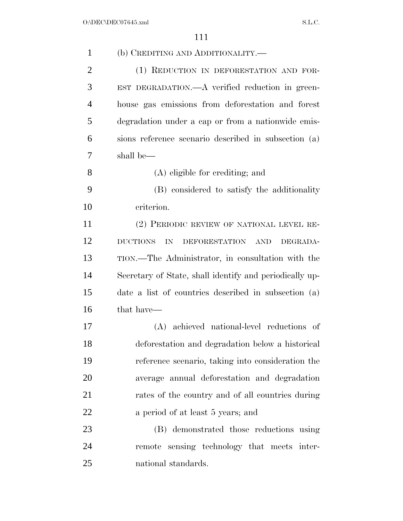| $\mathbf{1}$   | (b) CREDITING AND ADDITIONALITY.—                       |
|----------------|---------------------------------------------------------|
| $\overline{2}$ | (1) REDUCTION IN DEFORESTATION AND FOR-                 |
| 3              | EST DEGRADATION.—A verified reduction in green-         |
| 4              | house gas emissions from deforestation and forest       |
| 5              | degradation under a cap or from a nationwide emis-      |
| 6              | sions reference scenario described in subsection (a)    |
| 7              | shall be—                                               |
| 8              | (A) eligible for crediting; and                         |
| 9              | (B) considered to satisfy the additionality             |
| 10             | criterion.                                              |
| 11             | (2) PERIODIC REVIEW OF NATIONAL LEVEL RE-               |
| 12             | <b>DUCTIONS</b><br>DEFORESTATION AND<br>IN<br>DEGRADA-  |
| 13             | TION.—The Administrator, in consultation with the       |
| 14             | Secretary of State, shall identify and periodically up- |
| 15             | date a list of countries described in subsection (a)    |
| 16             | that have—                                              |
| 17             | (A) achieved national-level reductions of               |
| 18             | deforestation and degradation below a historical        |
| 19             | reference scenario, taking into consideration the       |
| 20             | average annual deforestation and degradation            |
| 21             | rates of the country and of all countries during        |
| 22             | a period of at least 5 years; and                       |
| 23             | (B) demonstrated those reductions using                 |
| 24             | remote sensing technology that meets inter-             |
| 25             | national standards.                                     |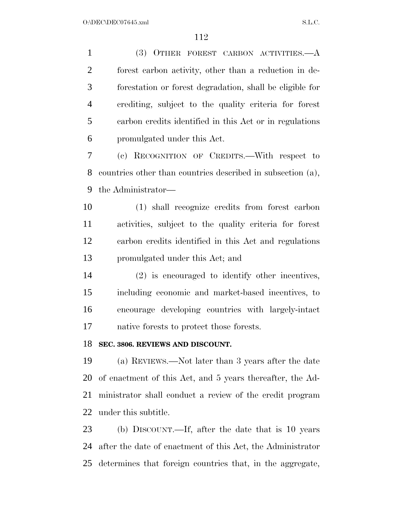(3) OTHER FOREST CARBON ACTIVITIES.—A forest carbon activity, other than a reduction in de- forestation or forest degradation, shall be eligible for crediting, subject to the quality criteria for forest carbon credits identified in this Act or in regulations promulgated under this Act.

 (c) RECOGNITION OF CREDITS.—With respect to countries other than countries described in subsection (a), the Administrator—

 (1) shall recognize credits from forest carbon activities, subject to the quality criteria for forest carbon credits identified in this Act and regulations promulgated under this Act; and

 (2) is encouraged to identify other incentives, including economic and market-based incentives, to encourage developing countries with largely-intact native forests to protect those forests.

# **SEC. 3806. REVIEWS AND DISCOUNT.**

 (a) REVIEWS.—Not later than 3 years after the date of enactment of this Act, and 5 years thereafter, the Ad- ministrator shall conduct a review of the credit program under this subtitle.

 (b) DISCOUNT.—If, after the date that is 10 years after the date of enactment of this Act, the Administrator determines that foreign countries that, in the aggregate,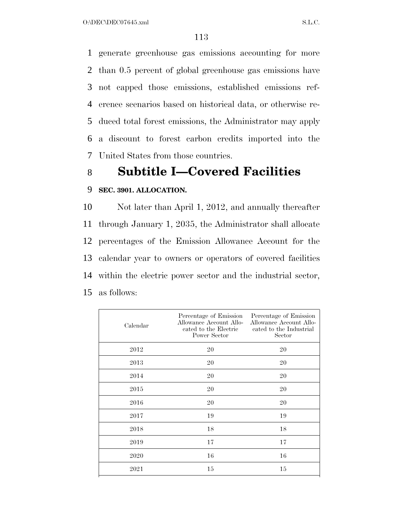generate greenhouse gas emissions accounting for more than 0.5 percent of global greenhouse gas emissions have not capped those emissions, established emissions ref- erence scenarios based on historical data, or otherwise re- duced total forest emissions, the Administrator may apply a discount to forest carbon credits imported into the United States from those countries.

# 8 **Subtitle I—Covered Facilities**

# 9 **SEC. 3901. ALLOCATION.**

 Not later than April 1, 2012, and annually thereafter through January 1, 2035, the Administrator shall allocate percentages of the Emission Allowance Account for the calendar year to owners or operators of covered facilities within the electric power sector and the industrial sector, as follows:

| Calendar | Percentage of Emission<br>Allowance Account Allo-<br>cated to the Electric<br>Power Sector | Percentage of Emission<br>Allowance Account Allo-<br>cated to the Industrial<br>Sector |
|----------|--------------------------------------------------------------------------------------------|----------------------------------------------------------------------------------------|
| 2012     | 20                                                                                         | 20                                                                                     |
| 2013     | 20                                                                                         | 20                                                                                     |
| 2014     | 20                                                                                         | 20                                                                                     |
| 2015     | 20                                                                                         | 20                                                                                     |
| 2016     | 20                                                                                         | 20                                                                                     |
| 2017     | 19                                                                                         | 19                                                                                     |
| 2018     | 18                                                                                         | 18                                                                                     |
| 2019     | 17                                                                                         | 17                                                                                     |
| 2020     | 16                                                                                         | 16                                                                                     |
| 2021     | 15                                                                                         | 15                                                                                     |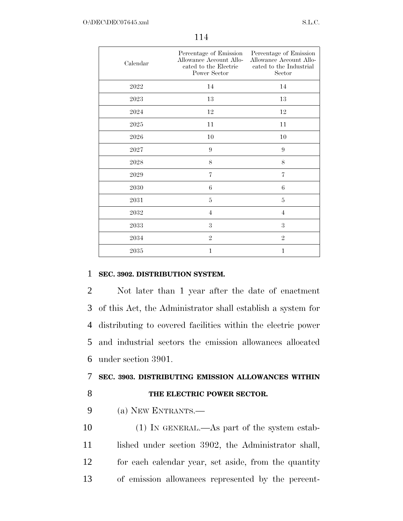| Calendar            | Percentage of Emission<br>Allowance Account Allo-<br>cated to the Electric<br>Power Sector | Percentage of Emission<br>Allowance Account Allo-<br>cated to the Industrial<br>Sector |
|---------------------|--------------------------------------------------------------------------------------------|----------------------------------------------------------------------------------------|
| 2022                | 14                                                                                         | 14                                                                                     |
| $\boldsymbol{2023}$ | $13\,$                                                                                     | 13                                                                                     |
| 2024                | $12\,$                                                                                     | 12                                                                                     |
| $\boldsymbol{2025}$ | 11                                                                                         | 11                                                                                     |
| 2026                | 10                                                                                         | 10                                                                                     |
| 2027                | 9                                                                                          | 9                                                                                      |
| 2028                | 8                                                                                          | 8                                                                                      |
| 2029                | $\overline{7}$                                                                             | $\overline{7}$                                                                         |
| 2030                | $\;6\;$                                                                                    | $\,6$                                                                                  |
| 2031                | 5                                                                                          | 5                                                                                      |
| 2032                | $\overline{4}$                                                                             | $\overline{4}$                                                                         |
| 2033                | 3                                                                                          | 3                                                                                      |
| 2034                | $\overline{2}$                                                                             | $\overline{2}$                                                                         |
| 2035                | $\mathbf{1}$                                                                               | $\mathbf{1}$                                                                           |

# 1 **SEC. 3902. DISTRIBUTION SYSTEM.**

 Not later than 1 year after the date of enactment of this Act, the Administrator shall establish a system for distributing to covered facilities within the electric power and industrial sectors the emission allowances allocated under section 3901.

# 7 **SEC. 3903. DISTRIBUTING EMISSION ALLOWANCES WITHIN**  8 **THE ELECTRIC POWER SECTOR.**

9 (a) NEW ENTRANTS.—

 (1) IN GENERAL.—As part of the system estab-11 lished under section 3902, the Administrator shall, for each calendar year, set aside, from the quantity of emission allowances represented by the percent-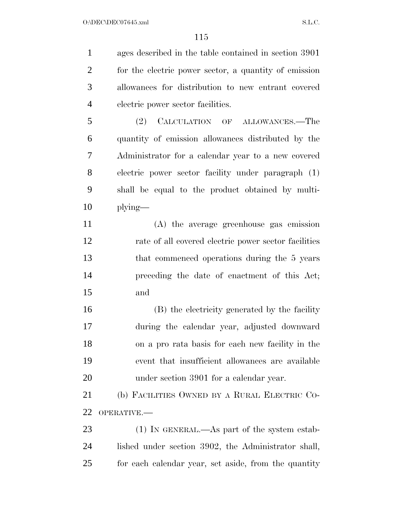ages described in the table contained in section 3901 for the electric power sector, a quantity of emission allowances for distribution to new entrant covered electric power sector facilities.

 (2) CALCULATION OF ALLOWANCES.—The quantity of emission allowances distributed by the Administrator for a calendar year to a new covered electric power sector facility under paragraph (1) shall be equal to the product obtained by multi-plying—

 (A) the average greenhouse gas emission rate of all covered electric power sector facilities that commenced operations during the 5 years preceding the date of enactment of this Act; and

 (B) the electricity generated by the facility during the calendar year, adjusted downward on a pro rata basis for each new facility in the event that insufficient allowances are available under section 3901 for a calendar year.

 (b) FACILITIES OWNED BY A RURAL ELECTRIC CO-OPERATIVE.—

23 (1) IN GENERAL.—As part of the system estab- lished under section 3902, the Administrator shall, for each calendar year, set aside, from the quantity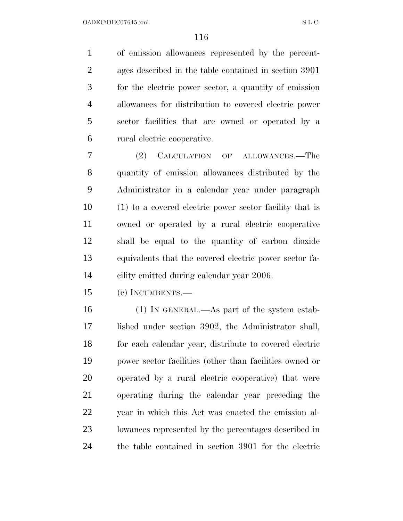of emission allowances represented by the percent- ages described in the table contained in section 3901 for the electric power sector, a quantity of emission allowances for distribution to covered electric power sector facilities that are owned or operated by a rural electric cooperative.

 (2) CALCULATION OF ALLOWANCES.—The quantity of emission allowances distributed by the Administrator in a calendar year under paragraph (1) to a covered electric power sector facility that is owned or operated by a rural electric cooperative shall be equal to the quantity of carbon dioxide equivalents that the covered electric power sector fa-cility emitted during calendar year 2006.

(c) INCUMBENTS.—

 (1) IN GENERAL.—As part of the system estab- lished under section 3902, the Administrator shall, for each calendar year, distribute to covered electric power sector facilities (other than facilities owned or operated by a rural electric cooperative) that were operating during the calendar year preceding the year in which this Act was enacted the emission al- lowances represented by the percentages described in the table contained in section 3901 for the electric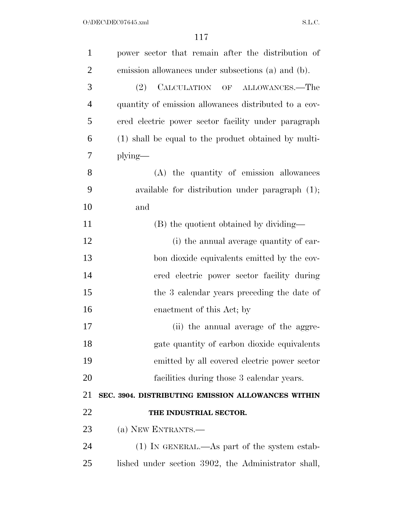| $\mathbf{1}$   | power sector that remain after the distribution of    |
|----------------|-------------------------------------------------------|
| $\overline{2}$ | emission allowances under subsections (a) and (b).    |
| 3              | CALCULATION OF ALLOWANCES.—The<br>(2)                 |
| $\overline{4}$ | quantity of emission allowances distributed to a cov- |
| 5              | ered electric power sector facility under paragraph   |
| 6              | (1) shall be equal to the product obtained by multi-  |
| 7              | $plying$ —                                            |
| 8              | (A) the quantity of emission allowances               |
| 9              | available for distribution under paragraph $(1)$ ;    |
| 10             | and                                                   |
| 11             | (B) the quotient obtained by dividing—                |
| 12             | (i) the annual average quantity of car-               |
| 13             | bon dioxide equivalents emitted by the cov-           |
| 14             | ered electric power sector facility during            |
| 15             | the 3 calendar years preceding the date of            |
| 16             | enactment of this Act; by                             |
| 17             | (ii) the annual average of the aggre-                 |
| 18             | gate quantity of carbon dioxide equivalents           |
| 19             | emitted by all covered electric power sector          |
| 20             | facilities during those 3 calendar years.             |
| 21             | SEC. 3904. DISTRIBUTING EMISSION ALLOWANCES WITHIN    |
| 22             | THE INDUSTRIAL SECTOR.                                |
| 23             | (a) NEW ENTRANTS.—                                    |
| 24             | $(1)$ In GENERAL.—As part of the system estab-        |
| 25             | lished under section 3902, the Administrator shall,   |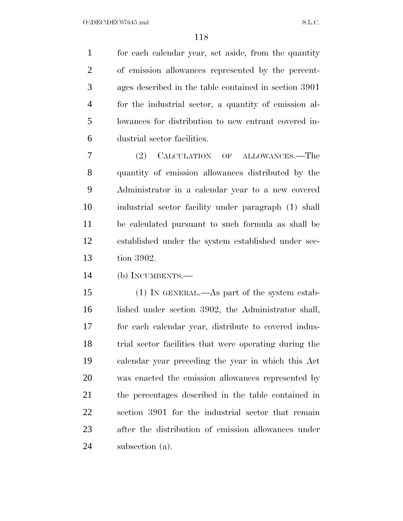for each calendar year, set aside, from the quantity of emission allowances represented by the percent- ages described in the table contained in section 3901 for the industrial sector, a quantity of emission al- lowances for distribution to new entrant covered in-dustrial sector facilities.

 (2) CALCULATION OF ALLOWANCES.—The quantity of emission allowances distributed by the Administrator in a calendar year to a new covered industrial sector facility under paragraph (1) shall be calculated pursuant to such formula as shall be established under the system established under sec-tion 3902.

(b) INCUMBENTS.—

 (1) IN GENERAL.—As part of the system estab-16 lished under section 3902, the Administrator shall, for each calendar year, distribute to covered indus- trial sector facilities that were operating during the calendar year preceding the year in which this Act was enacted the emission allowances represented by the percentages described in the table contained in section 3901 for the industrial sector that remain after the distribution of emission allowances under subsection (a).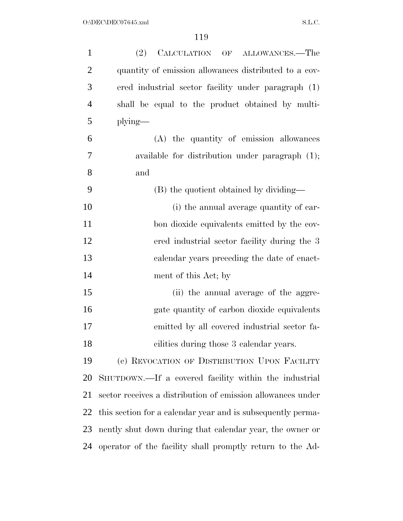| $\mathbf{1}$   | (2)<br>CALCULATION OF ALLOWANCES.—The                       |
|----------------|-------------------------------------------------------------|
| $\overline{2}$ | quantity of emission allowances distributed to a cov-       |
| 3              | ered industrial sector facility under paragraph (1)         |
| $\overline{4}$ | shall be equal to the product obtained by multi-            |
| 5              | $plying$ —                                                  |
| 6              | (A) the quantity of emission allowances                     |
| 7              | available for distribution under paragraph $(1)$ ;          |
| 8              | and                                                         |
| 9              | (B) the quotient obtained by dividing—                      |
| 10             | (i) the annual average quantity of car-                     |
| 11             | bon dioxide equivalents emitted by the cov-                 |
| 12             | ered industrial sector facility during the 3                |
| 13             | calendar years preceding the date of enact-                 |
| 14             | ment of this Act; by                                        |
| 15             | (ii) the annual average of the aggre-                       |
| 16             | gate quantity of carbon dioxide equivalents                 |
| 17             | emitted by all covered industrial sector fa-                |
| 18             | cilities during those 3 calendar years.                     |
| 19             | (c) REVOCATION OF DISTRIBUTION UPON FACILITY                |
| 20             | SHUTDOWN.—If a covered facility within the industrial       |
| 21             | sector receives a distribution of emission allowances under |
| 22             | this section for a calendar year and is subsequently perma- |
| 23             | nently shut down during that calendar year, the owner or    |
| 24             | operator of the facility shall promptly return to the Ad-   |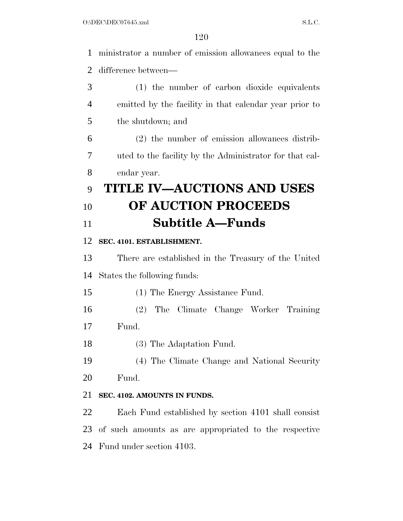ministrator a number of emission allowances equal to the difference between— (1) the number of carbon dioxide equivalents emitted by the facility in that calendar year prior to the shutdown; and (2) the number of emission allowances distrib- uted to the facility by the Administrator for that cal- endar year. **TITLE IV—AUCTIONS AND USES OF AUCTION PROCEEDS Subtitle A—Funds SEC. 4101. ESTABLISHMENT.**  There are established in the Treasury of the United States the following funds:

(1) The Energy Assistance Fund.

 (2) The Climate Change Worker Training Fund.

(3) The Adaptation Fund.

(4) The Climate Change and National Security

Fund.

# **SEC. 4102. AMOUNTS IN FUNDS.**

 Each Fund established by section 4101 shall consist of such amounts as are appropriated to the respective Fund under section 4103.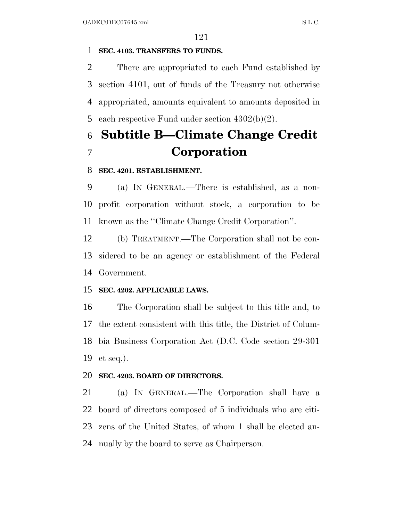# **SEC. 4103. TRANSFERS TO FUNDS.**

 There are appropriated to each Fund established by section 4101, out of funds of the Treasury not otherwise appropriated, amounts equivalent to amounts deposited in each respective Fund under section 4302(b)(2).

# **Subtitle B—Climate Change Credit Corporation**

# **SEC. 4201. ESTABLISHMENT.**

 (a) IN GENERAL.—There is established, as a non- profit corporation without stock, a corporation to be known as the ''Climate Change Credit Corporation''.

 (b) TREATMENT.—The Corporation shall not be con- sidered to be an agency or establishment of the Federal Government.

# **SEC. 4202. APPLICABLE LAWS.**

 The Corporation shall be subject to this title and, to the extent consistent with this title, the District of Colum- bia Business Corporation Act (D.C. Code section 29-301 et seq.).

# **SEC. 4203. BOARD OF DIRECTORS.**

 (a) IN GENERAL.—The Corporation shall have a board of directors composed of 5 individuals who are citi- zens of the United States, of whom 1 shall be elected an-nually by the board to serve as Chairperson.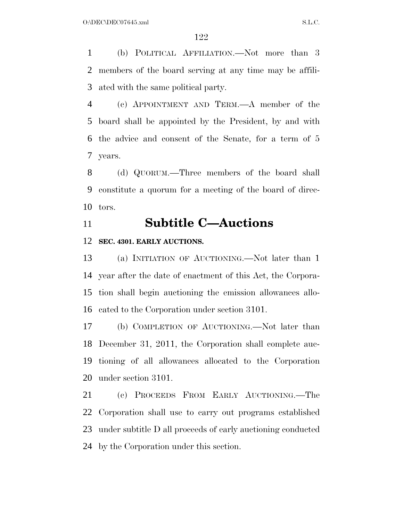(b) POLITICAL AFFILIATION.—Not more than 3 members of the board serving at any time may be affili-ated with the same political party.

 (c) APPOINTMENT AND TERM.—A member of the board shall be appointed by the President, by and with the advice and consent of the Senate, for a term of 5 years.

 (d) QUORUM.—Three members of the board shall constitute a quorum for a meeting of the board of direc-tors.

# **Subtitle C—Auctions**

## **SEC. 4301. EARLY AUCTIONS.**

 (a) INITIATION OF AUCTIONING.—Not later than 1 year after the date of enactment of this Act, the Corpora- tion shall begin auctioning the emission allowances allo-cated to the Corporation under section 3101.

 (b) COMPLETION OF AUCTIONING.—Not later than December 31, 2011, the Corporation shall complete auc- tioning of all allowances allocated to the Corporation under section 3101.

 (c) PROCEEDS FROM EARLY AUCTIONING.—The Corporation shall use to carry out programs established under subtitle D all proceeds of early auctioning conducted by the Corporation under this section.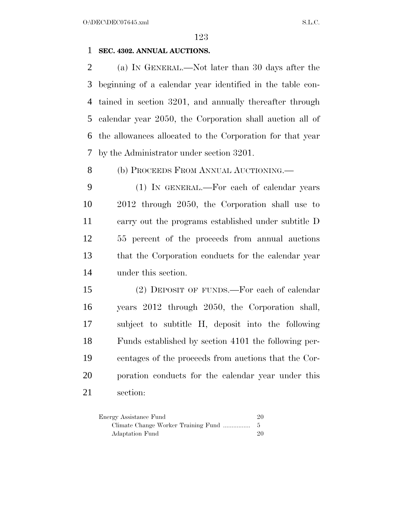# **SEC. 4302. ANNUAL AUCTIONS.**

 (a) IN GENERAL.—Not later than 30 days after the beginning of a calendar year identified in the table con- tained in section 3201, and annually thereafter through calendar year 2050, the Corporation shall auction all of the allowances allocated to the Corporation for that year by the Administrator under section 3201.

8 (b) PROCEEDS FROM ANNUAL AUCTIONING.

 (1) IN GENERAL.—For each of calendar years 2012 through 2050, the Corporation shall use to carry out the programs established under subtitle D 55 percent of the proceeds from annual auctions that the Corporation conducts for the calendar year under this section.

 (2) DEPOSIT OF FUNDS.—For each of calendar years 2012 through 2050, the Corporation shall, subject to subtitle H, deposit into the following Funds established by section 4101 the following per- centages of the proceeds from auctions that the Cor- poration conducts for the calendar year under this section:

| Energy Assistance Fund | 20 |
|------------------------|----|
|                        |    |
| Adaptation Fund        | 20 |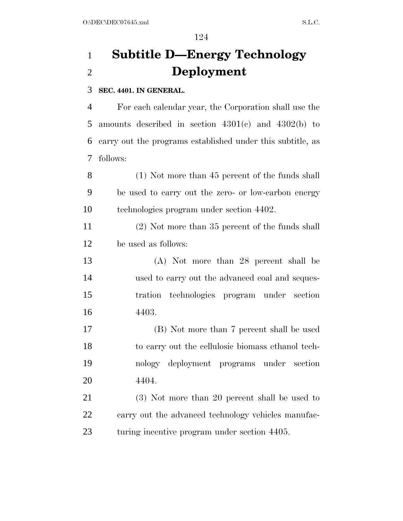# **Subtitle D—Energy Technology Deployment**

# **SEC. 4401. IN GENERAL.**

 For each calendar year, the Corporation shall use the amounts described in section 4301(c) and 4302(b) to carry out the programs established under this subtitle, as follows:

 (1) Not more than 45 percent of the funds shall be used to carry out the zero- or low-carbon energy technologies program under section 4402.

 (2) Not more than 35 percent of the funds shall be used as follows:

 (A) Not more than 28 percent shall be used to carry out the advanced coal and seques- tration technologies program under section 4403.

 (B) Not more than 7 percent shall be used to carry out the cellulosic biomass ethanol tech- nology deployment programs under section 4404.

 (3) Not more than 20 percent shall be used to 22 carry out the advanced technology vehicles manufac-turing incentive program under section 4405.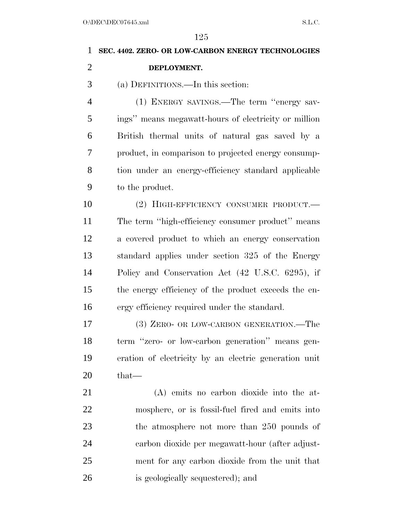| 1              | SEC. 4402. ZERO- OR LOW-CARBON ENERGY TECHNOLOGIES    |
|----------------|-------------------------------------------------------|
| $\overline{2}$ | DEPLOYMENT.                                           |
| 3              | (a) DEFINITIONS.—In this section:                     |
| 4              | (1) ENERGY SAVINGS.—The term "energy sav-             |
| 5              | ings" means megawatt-hours of electricity or million  |
| 6              | British thermal units of natural gas saved by a       |
| 7              | product, in comparison to projected energy consump-   |
| 8              | tion under an energy-efficiency standard applicable   |
| 9              | to the product.                                       |
| 10             | (2) HIGH-EFFICIENCY CONSUMER PRODUCT.                 |
| 11             | The term "high-efficiency consumer product" means     |
| 12             | a covered product to which an energy conservation     |
| 13             | standard applies under section 325 of the Energy      |
| 14             | Policy and Conservation Act (42 U.S.C. 6295), if      |
| 15             | the energy efficiency of the product exceeds the en-  |
| 16             | ergy efficiency required under the standard.          |
| 17             | (3) ZERO- OR LOW-CARBON GENERATION.—The               |
| 18             | term "zero- or low-carbon generation" means gen-      |
| 19             | eration of electricity by an electric generation unit |
| 20             | that—                                                 |
| 21             | (A) emits no carbon dioxide into the at-              |
| 22             | mosphere, or is fossil-fuel fired and emits into      |
| 23             | the atmosphere not more than 250 pounds of            |
| 24             | carbon dioxide per megawatt-hour (after adjust-       |
| 25             | ment for any carbon dioxide from the unit that        |
| 26             | is geologically sequestered); and                     |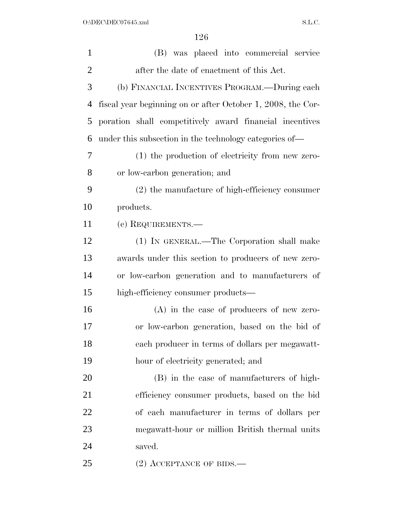| $\mathbf{1}$   | (B) was placed into commercial service                      |
|----------------|-------------------------------------------------------------|
| $\overline{2}$ | after the date of enactment of this Act.                    |
| 3              | (b) FINANCIAL INCENTIVES PROGRAM.—During each               |
| $\overline{4}$ | fiscal year beginning on or after October 1, 2008, the Cor- |
| 5              | poration shall competitively award financial incentives     |
| 6              | under this subsection in the technology categories of—      |
| 7              | (1) the production of electricity from new zero-            |
| 8              | or low-carbon generation; and                               |
| 9              | $(2)$ the manufacture of high-efficiency consumer           |
| 10             | products.                                                   |
| 11             | (c) REQUIREMENTS.—                                          |
| 12             | (1) IN GENERAL.—The Corporation shall make                  |
| 13             | awards under this section to producers of new zero-         |
| 14             | or low-carbon generation and to manufacturers of            |
| 15             | high-efficiency consumer products—                          |
| 16             | $(A)$ in the case of producers of new zero-                 |
| 17             | or low-carbon generation, based on the bid of               |
| 18             | each producer in terms of dollars per megawatt-             |
| 19             | hour of electricity generated; and                          |
| 20             | (B) in the case of manufacturers of high-                   |
| 21             | efficiency consumer products, based on the bid              |
| 22             | of each manufacturer in terms of dollars per                |
| 23             | megawatt-hour or million British thermal units              |
| 24             | saved.                                                      |
| 25             | $(2)$ ACCEPTANCE OF BIDS.—                                  |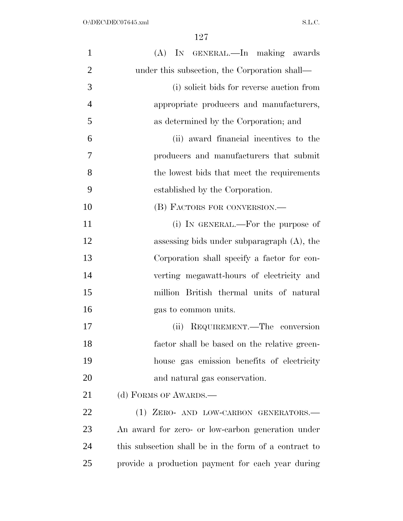| $\mathbf{1}$   | (A) IN GENERAL.—In making awards                      |
|----------------|-------------------------------------------------------|
| $\overline{2}$ | under this subsection, the Corporation shall—         |
| 3              | (i) solicit bids for reverse auction from             |
| $\overline{4}$ | appropriate producers and manufacturers,              |
| 5              | as determined by the Corporation; and                 |
| 6              | (ii) award financial incentives to the                |
| 7              | producers and manufacturers that submit               |
| 8              | the lowest bids that meet the requirements            |
| 9              | established by the Corporation.                       |
| 10             | (B) FACTORS FOR CONVERSION.—                          |
| 11             | (i) IN GENERAL.—For the purpose of                    |
| 12             | assessing bids under subparagraph $(A)$ , the         |
| 13             | Corporation shall specify a factor for con-           |
| 14             | verting megawatt-hours of electricity and             |
| 15             | million British thermal units of natural              |
| 16             | gas to common units.                                  |
| 17             | (ii) REQUIREMENT.—The conversion                      |
| 18             | factor shall be based on the relative green-          |
| 19             | house gas emission benefits of electricity            |
| 20             | and natural gas conservation.                         |
| 21             | (d) FORMS OF AWARDS.—                                 |
| 22             | (1) ZERO- AND LOW-CARBON GENERATORS.-                 |
| 23             | An award for zero- or low-carbon generation under     |
| 24             | this subsection shall be in the form of a contract to |
| 25             | provide a production payment for each year during     |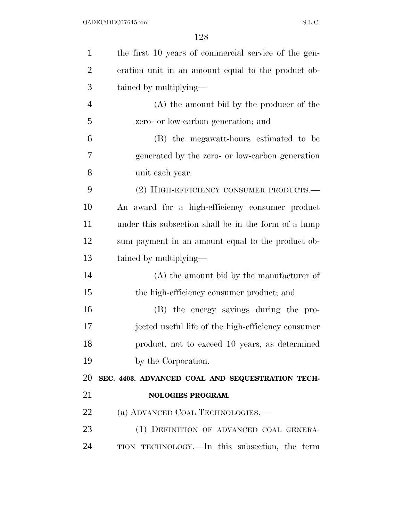| $\mathbf{1}$   | the first 10 years of commercial service of the gen- |
|----------------|------------------------------------------------------|
| $\overline{2}$ | eration unit in an amount equal to the product ob-   |
| 3              | tained by multiplying—                               |
| $\overline{4}$ | $(A)$ the amount bid by the producer of the          |
| 5              | zero- or low-carbon generation; and                  |
| 6              | (B) the megawatt-hours estimated to be               |
| 7              | generated by the zero- or low-carbon generation      |
| 8              | unit each year.                                      |
| 9              | (2) HIGH-EFFICIENCY CONSUMER PRODUCTS.—              |
| 10             | An award for a high-efficiency consumer product      |
| 11             | under this subsection shall be in the form of a lump |
| 12             | sum payment in an amount equal to the product ob-    |
| 13             | tained by multiplying—                               |
| 14             | $(A)$ the amount bid by the manufacturer of          |
| 15             | the high-efficiency consumer product; and            |
| 16             | (B) the energy savings during the pro-               |
| 17             | jected useful life of the high-efficiency consumer   |
| 18             | product, not to exceed 10 years, as determined       |
| 19             | by the Corporation.                                  |
| 20             | SEC. 4403. ADVANCED COAL AND SEQUESTRATION TECH-     |
| 21             | NOLOGIES PROGRAM.                                    |
| 22             | (a) ADVANCED COAL TECHNOLOGIES.                      |
| 23             | (1) DEFINITION OF ADVANCED COAL GENERA-              |
| 24             | TION TECHNOLOGY.—In this subsection, the term        |
|                |                                                      |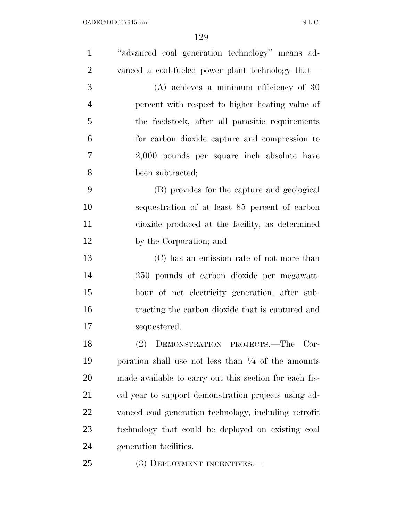| $\mathbf{1}$   | "advanced coal generation technology" means ad-               |
|----------------|---------------------------------------------------------------|
| $\overline{2}$ | vanced a coal-fueled power plant technology that—             |
| 3              | $(A)$ achieves a minimum efficiency of 30                     |
| $\overline{4}$ | percent with respect to higher heating value of               |
| 5              | the feedstock, after all parasitic requirements               |
| 6              | for carbon dioxide capture and compression to                 |
| 7              | 2,000 pounds per square inch absolute have                    |
| 8              | been subtracted;                                              |
| 9              | (B) provides for the capture and geological                   |
| 10             | sequestration of at least 85 percent of carbon                |
| 11             | dioxide produced at the facility, as determined               |
| 12             | by the Corporation; and                                       |
| 13             | (C) has an emission rate of not more than                     |
| 14             | 250 pounds of carbon dioxide per megawatt-                    |
| 15             | hour of net electricity generation, after sub-                |
| 16             | tracting the carbon dioxide that is captured and              |
| 17             | sequestered.                                                  |
| 18             | (2)<br>DEMONSTRATION PROJECTS.—The<br>Cor-                    |
| 19             | poration shall use not less than $\frac{1}{4}$ of the amounts |
| 20             | made available to carry out this section for each fis-        |
| 21             | cal year to support demonstration projects using ad-          |
| 22             | vanced coal generation technology, including retrofit         |
| 23             | technology that could be deployed on existing coal            |
| 24             | generation facilities.                                        |
| 25             | (3) DEPLOYMENT INCENTIVES.-                                   |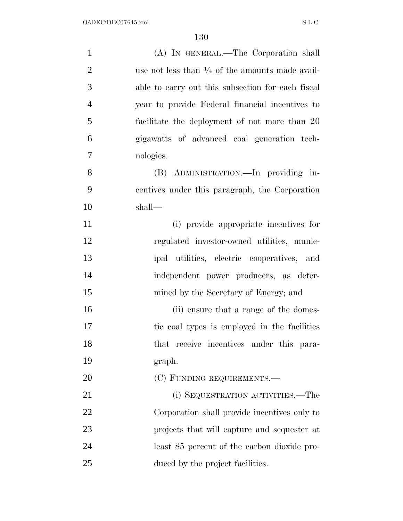| $\mathbf{1}$   | (A) IN GENERAL.—The Corporation shall                      |
|----------------|------------------------------------------------------------|
| $\overline{2}$ | use not less than $\frac{1}{4}$ of the amounts made avail- |
| 3              | able to carry out this subsection for each fiscal          |
| $\overline{4}$ | year to provide Federal financial incentives to            |
| 5              | facilitate the deployment of not more than 20              |
| 6              | gigawatts of advanced coal generation tech-                |
| 7              | nologies.                                                  |
| 8              | (B) ADMINISTRATION.—In providing in-                       |
| 9              | centives under this paragraph, the Corporation             |
| 10             | shall—                                                     |
| 11             | (i) provide appropriate incentives for                     |
| 12             | regulated investor-owned utilities, munic-                 |
| 13             | ipal utilities, electric cooperatives, and                 |
| 14             | independent power producers, as deter-                     |
| 15             | mined by the Secretary of Energy; and                      |
| 16             | (ii) ensure that a range of the domes-                     |
| 17             | tic coal types is employed in the facilities               |
| 18             | that receive incentives under this para-                   |
| 19             | graph.                                                     |
| 20             | (C) FUNDING REQUIREMENTS.—                                 |
| 21             | (i) SEQUESTRATION ACTIVITIES.—The                          |
| 22             | Corporation shall provide incentives only to               |
| 23             | projects that will capture and sequester at                |
| 24             | least 85 percent of the carbon dioxide pro-                |
| 25             | duced by the project facilities.                           |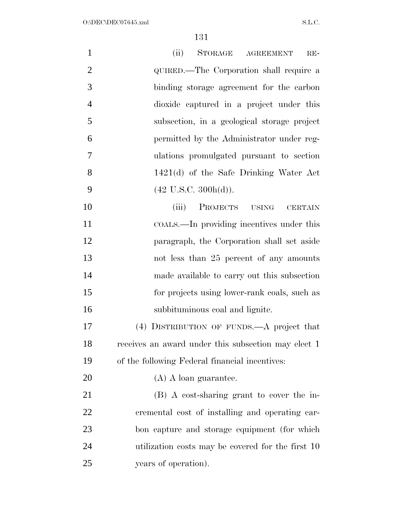| $\mathbf{1}$   | (ii)<br>STORAGE<br><b>AGREEMENT</b><br>$RE-$               |
|----------------|------------------------------------------------------------|
| $\overline{2}$ | QUIRED.—The Corporation shall require a                    |
| 3              | binding storage agreement for the carbon                   |
| $\overline{4}$ | dioxide captured in a project under this                   |
| 5              | subsection, in a geological storage project                |
| 6              | permitted by the Administrator under reg-                  |
| $\overline{7}$ | ulations promulgated pursuant to section                   |
| 8              | 1421(d) of the Safe Drinking Water Act                     |
| 9              | $(42 \text{ U.S.C. } 300h(d)).$                            |
| 10             | <b>PROJECTS</b><br>(iii)<br><b>USING</b><br><b>CERTAIN</b> |
| 11             | COALS.—In providing incentives under this                  |
| 12             | paragraph, the Corporation shall set aside                 |
| 13             | not less than 25 percent of any amounts                    |
| 14             | made available to carry out this subsection                |
| 15             | for projects using lower-rank coals, such as               |
| 16             | subbituminous coal and lignite.                            |
| 17             | (4) DISTRIBUTION OF FUNDS.—A project that                  |
| 18             | receives an award under this subsection may elect 1        |
| 19             | of the following Federal financial incentives:             |
| 20             | $(A)$ A loan guarantee.                                    |
| 21             | (B) A cost-sharing grant to cover the in-                  |
| 22             | cremental cost of installing and operating car-            |
| 23             | bon capture and storage equipment (for which               |
| 24             | utilization costs may be covered for the first 10          |
| 25             | years of operation).                                       |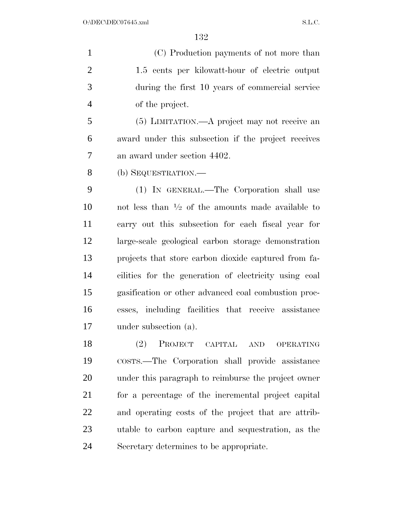(C) Production payments of not more than 1.5 cents per kilowatt-hour of electric output during the first 10 years of commercial service of the project. (5) LIMITATION.—A project may not receive an award under this subsection if the project receives an award under section 4402.

(b) SEQUESTRATION.—

 (1) IN GENERAL.—The Corporation shall use  $\cdots$  not less than  $\frac{1}{2}$  of the amounts made available to carry out this subsection for each fiscal year for large-scale geological carbon storage demonstration projects that store carbon dioxide captured from fa- cilities for the generation of electricity using coal gasification or other advanced coal combustion proc- esses, including facilities that receive assistance under subsection (a).

 (2) PROJECT CAPITAL AND OPERATING COSTS.—The Corporation shall provide assistance under this paragraph to reimburse the project owner for a percentage of the incremental project capital and operating costs of the project that are attrib- utable to carbon capture and sequestration, as the Secretary determines to be appropriate.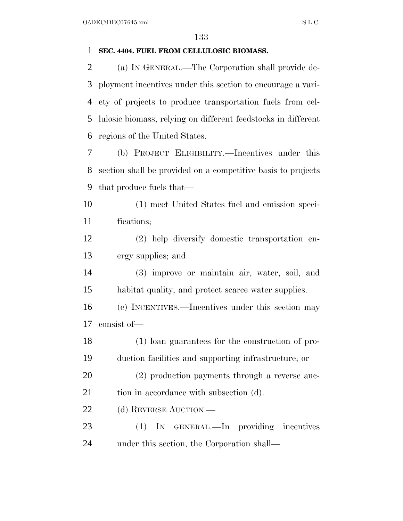# **SEC. 4404. FUEL FROM CELLULOSIC BIOMASS.**

 (a) IN GENERAL.—The Corporation shall provide de- ployment incentives under this section to encourage a vari- ety of projects to produce transportation fuels from cel- lulosic biomass, relying on different feedstocks in different regions of the United States.

 (b) PROJECT ELIGIBILITY.—Incentives under this section shall be provided on a competitive basis to projects that produce fuels that—

 (1) meet United States fuel and emission speci-fications;

 (2) help diversify domestic transportation en-ergy supplies; and

 (3) improve or maintain air, water, soil, and habitat quality, and protect scarce water supplies.

 (c) INCENTIVES.—Incentives under this section may consist of—

 (1) loan guarantees for the construction of pro-duction facilities and supporting infrastructure; or

 (2) production payments through a reverse auc-21 tion in accordance with subsection (d).

22 (d) REVERSE AUCTION.—

 (1) IN GENERAL.—In providing incentives under this section, the Corporation shall—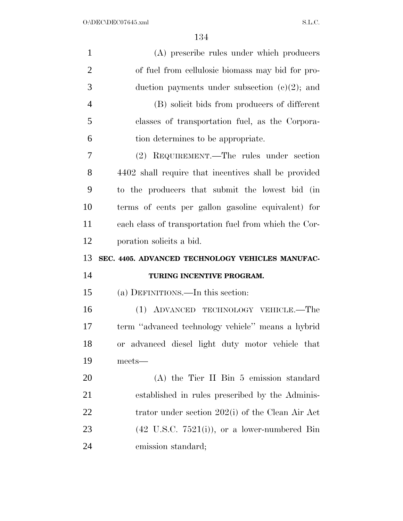| $\mathbf{1}$   | (A) prescribe rules under which producers                |
|----------------|----------------------------------------------------------|
| $\overline{2}$ | of fuel from cellulosic biomass may bid for pro-         |
| 3              | duction payments under subsection $(e)(2)$ ; and         |
| $\overline{4}$ | (B) solicit bids from producers of different             |
| 5              | classes of transportation fuel, as the Corpora-          |
| 6              | tion determines to be appropriate.                       |
| 7              | (2) REQUIREMENT.—The rules under section                 |
| 8              | 4402 shall require that incentives shall be provided     |
| 9              | to the producers that submit the lowest bid (in          |
| 10             | terms of cents per gallon gasoline equivalent) for       |
| 11             | each class of transportation fuel from which the Cor-    |
| 12             | poration solicits a bid.                                 |
|                |                                                          |
|                | SEC. 4405. ADVANCED TECHNOLOGY VEHICLES MANUFAC-         |
|                | TURING INCENTIVE PROGRAM.                                |
| 13<br>14<br>15 | (a) DEFINITIONS.—In this section:                        |
| 16             | (1) ADVANCED TECHNOLOGY VEHICLE.—The                     |
| 17             | term "advanced technology vehicle" means a hybrid        |
| 18             | or advanced diesel light duty motor vehicle that         |
| 19             | meets-                                                   |
| 20             | $(A)$ the Tier II Bin 5 emission standard                |
| 21             | established in rules prescribed by the Adminis-          |
| 22             | trator under section 202(i) of the Clean Air Act         |
| 23             | $(42 \text{ U.S.C. } 7521(i))$ , or a lower-numbered Bin |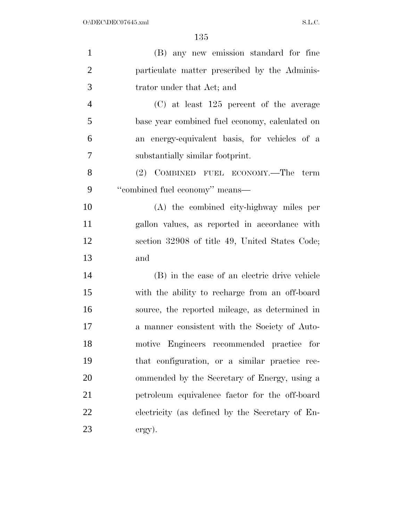| $\mathbf{1}$   | (B) any new emission standard for fine          |
|----------------|-------------------------------------------------|
| $\overline{2}$ | particulate matter prescribed by the Adminis-   |
| 3              | trator under that Act; and                      |
| $\overline{4}$ | $(C)$ at least 125 percent of the average       |
| 5              | base year combined fuel economy, calculated on  |
| 6              | an energy-equivalent basis, for vehicles of a   |
| $\overline{7}$ | substantially similar footprint.                |
| 8              | (2) COMBINED FUEL ECONOMY.—The term             |
| 9              | "combined fuel economy" means-                  |
| 10             | (A) the combined city-highway miles per         |
| 11             | gallon values, as reported in accordance with   |
| 12             | section 32908 of title 49, United States Code;  |
| 13             | and                                             |
| 14             | (B) in the case of an electric drive vehicle    |
| 15             | with the ability to recharge from an off-board  |
| 16             | source, the reported mileage, as determined in  |
| 17             | a manner consistent with the Society of Auto-   |
| 18             | motive Engineers recommended practice for       |
| 19             | that configuration, or a similar practice rec-  |
| 20             | ommended by the Secretary of Energy, using a    |
| 21             | petroleum equivalence factor for the off-board  |
| 22             | electricity (as defined by the Secretary of En- |
| 23             | $\exp).$                                        |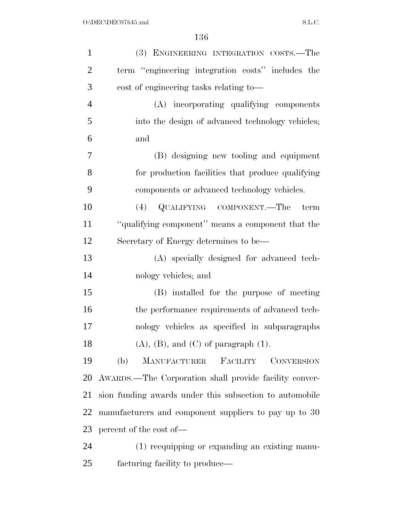| $\mathbf{1}$   | (3) ENGINEERING INTEGRATION COSTS.-The                      |
|----------------|-------------------------------------------------------------|
| $\overline{2}$ | term "engineering integration costs" includes the           |
| 3              | cost of engineering tasks relating to—                      |
| $\overline{4}$ | (A) incorporating qualifying components                     |
| 5              | into the design of advanced technology vehicles;            |
| 6              | and                                                         |
| 7              | (B) designing new tooling and equipment                     |
| 8              | for production facilities that produce qualifying           |
| 9              | components or advanced technology vehicles.                 |
| 10             | (4) QUALIFYING COMPONENT.—The<br>term                       |
| 11             | "qualifying component" means a component that the           |
| 12             | Secretary of Energy determines to be—                       |
| 13             | (A) specially designed for advanced tech-                   |
| 14             | nology vehicles; and                                        |
| 15             | (B) installed for the purpose of meeting                    |
| 16             | the performance requirements of advanced tech-              |
| 17             | nology vehicles as specified in subparagraphs               |
| 18             | $(A)$ , $(B)$ , and $(C)$ of paragraph $(1)$ .              |
| 19             | <b>MANUFACTURER</b><br>FACILITY<br><b>CONVERSION</b><br>(b) |
| 20             | AWARDS.—The Corporation shall provide facility conver-      |
| 21             | sion funding awards under this subsection to automobile     |
| 22             | manufacturers and component suppliers to pay up to 30       |
| 23             | percent of the cost of—                                     |
| 24             | (1) reequipping or expanding an existing manu-              |
| 25             | facturing facility to produce—                              |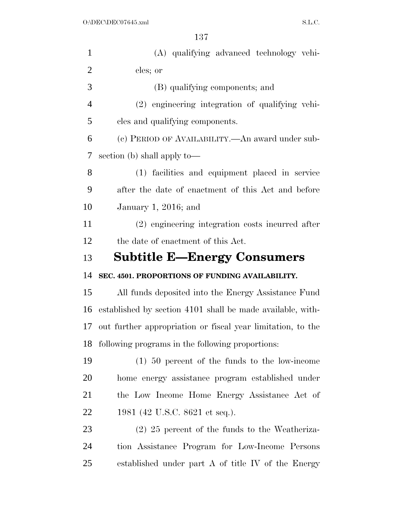| $\mathbf{1}$   | (A) qualifying advanced technology vehi-                    |
|----------------|-------------------------------------------------------------|
| $\overline{2}$ | cles; or                                                    |
| 3              | (B) qualifying components; and                              |
| $\overline{4}$ | (2) engineering integration of qualifying vehi-             |
| 5              | cles and qualifying components.                             |
| 6              | (c) PERIOD OF AVAILABILITY.—An award under sub-             |
| 7              | section (b) shall apply to—                                 |
| 8              | (1) facilities and equipment placed in service              |
| 9              | after the date of enactment of this Act and before          |
| 10             | January 1, 2016; and                                        |
| 11             | (2) engineering integration costs incurred after            |
| 12             | the date of enactment of this Act.                          |
| 13             | <b>Subtitle E-Energy Consumers</b>                          |
| 14             | SEC. 4501. PROPORTIONS OF FUNDING AVAILABILITY.             |
|                |                                                             |
| 15             | All funds deposited into the Energy Assistance Fund         |
| 16             | established by section 4101 shall be made available, with-  |
| 17             | out further appropriation or fiscal year limitation, to the |
| 18             | following programs in the following proportions:            |
| 19             | $(1)$ 50 percent of the funds to the low-income             |
| 20             | home energy assistance program established under            |
| 21             | the Low Income Home Energy Assistance Act of                |
| 22             | 1981 (42 U.S.C. 8621 et seq.).                              |
| 23             | $(2)$ 25 percent of the funds to the Weatheriza-            |
| 24             | tion Assistance Program for Low-Income Persons              |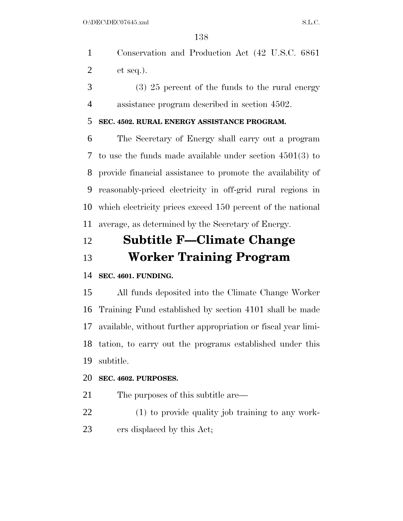- Conservation and Production Act (42 U.S.C. 6861 et seq.).
- (3) 25 percent of the funds to the rural energy assistance program described in section 4502.

## **SEC. 4502. RURAL ENERGY ASSISTANCE PROGRAM.**

 The Secretary of Energy shall carry out a program to use the funds made available under section 4501(3) to provide financial assistance to promote the availability of reasonably-priced electricity in off-grid rural regions in which electricity prices exceed 150 percent of the national average, as determined by the Secretary of Energy.

# **Subtitle F—Climate Change Worker Training Program**

# **SEC. 4601. FUNDING.**

 All funds deposited into the Climate Change Worker Training Fund established by section 4101 shall be made available, without further appropriation or fiscal year limi- tation, to carry out the programs established under this subtitle.

## **SEC. 4602. PURPOSES.**

- 21 The purposes of this subtitle are—
- (1) to provide quality job training to any work-ers displaced by this Act;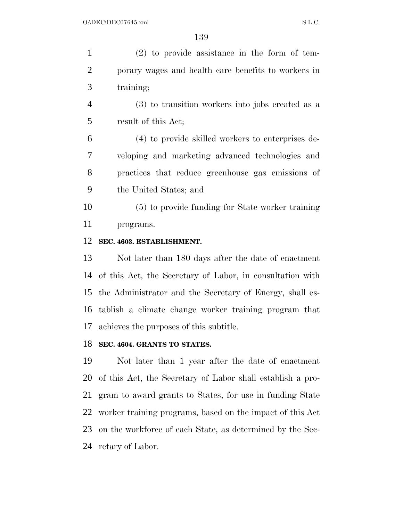| $\mathbf{1}$   | $(2)$ to provide assistance in the form of tem-            |
|----------------|------------------------------------------------------------|
| $\overline{2}$ | porary wages and health care benefits to workers in        |
| 3              | training;                                                  |
| $\overline{4}$ | $(3)$ to transition workers into jobs created as a         |
| 5              | result of this Act;                                        |
| 6              | (4) to provide skilled workers to enterprises de-          |
| 7              | veloping and marketing advanced technologies and           |
| 8              | practices that reduce greenhouse gas emissions of          |
| 9              | the United States; and                                     |
| 10             | (5) to provide funding for State worker training           |
| 11             | programs.                                                  |
| 12             | SEC. 4603. ESTABLISHMENT.                                  |
| 13             | Not later than 180 days after the date of enactment        |
| 14             | of this Act, the Secretary of Labor, in consultation with  |
| 15             | the Administrator and the Secretary of Energy, shall es-   |
|                | 16 tablish a climate change worker training program that   |
| 17             | achieves the purposes of this subtitle.                    |
| 18             | SEC. 4604. GRANTS TO STATES.                               |
| 19             | Not later than 1 year after the date of enactment          |
| 20             | of this Act, the Secretary of Labor shall establish a pro- |
| 21             | gram to award grants to States, for use in funding State   |
| 22             | worker training programs, based on the impact of this Act  |
| 23             | on the workforce of each State, as determined by the Sec-  |
|                | 24 retary of Labor.                                        |
|                |                                                            |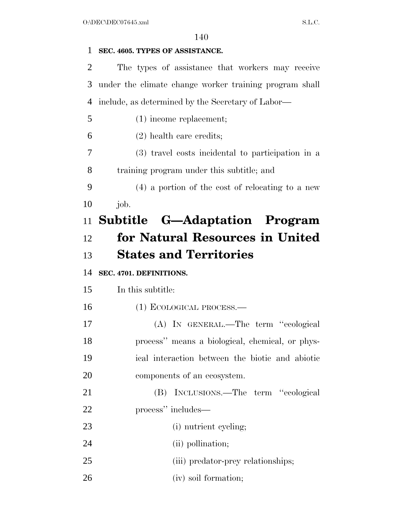# **SEC. 4605. TYPES OF ASSISTANCE.**

 The types of assistance that workers may receive under the climate change worker training program shall include, as determined by the Secretary of Labor— (1) income replacement; (2) health care credits; (3) travel costs incidental to participation in a training program under this subtitle; and (4) a portion of the cost of relocating to a new *job*. **Subtitle G—Adaptation Program for Natural Resources in United States and Territories SEC. 4701. DEFINITIONS.**  In this subtitle: (1) ECOLOGICAL PROCESS.— (A) IN GENERAL.—The term ''ecological process'' means a biological, chemical, or phys- ical interaction between the biotic and abiotic components of an ecosystem. (B) INCLUSIONS.—The term ''ecological process'' includes— 23 (i) nutrient cycling; 24 (ii) pollination; 25 (iii) predator-prey relationships; 26 (iv) soil formation;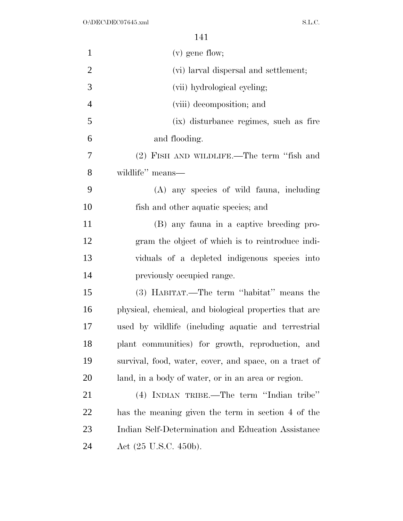| $\mathbf{1}$   | $(v)$ gene flow;                                       |
|----------------|--------------------------------------------------------|
| $\overline{2}$ | (vi) larval dispersal and settlement;                  |
| 3              | (vii) hydrological cycling;                            |
| $\overline{4}$ | (viii) decomposition; and                              |
| 5              | (ix) disturbance regimes, such as fire                 |
| 6              | and flooding.                                          |
| 7              | (2) FISH AND WILDLIFE.—The term "fish and              |
| 8              | wildlife" means—                                       |
| 9              | (A) any species of wild fauna, including               |
| 10             | fish and other aquatic species; and                    |
| 11             | (B) any fauna in a captive breeding pro-               |
| 12             | gram the object of which is to reintroduce indi-       |
| 13             | viduals of a depleted indigenous species into          |
| 14             | previously occupied range.                             |
| 15             | (3) HABITAT.—The term "habitat" means the              |
| 16             | physical, chemical, and biological properties that are |
| 17             | used by wildlife (including aquatic and terrestrial    |
| 18             | plant communities) for growth, reproduction, and       |
| 19             | survival, food, water, cover, and space, on a tract of |
| <b>20</b>      | land, in a body of water, or in an area or region.     |
| 21             | (4) INDIAN TRIBE.—The term "Indian tribe"              |
| 22             | has the meaning given the term in section 4 of the     |
| 23             | Indian Self-Determination and Education Assistance     |
| 24             | Act $(25 \text{ U.S.C. } 450 \text{b}).$               |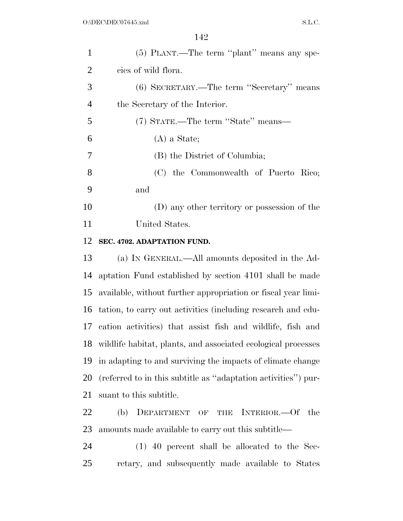| $\mathbf{1}$   | (5) PLANT.—The term "plant" means any spe-                     |
|----------------|----------------------------------------------------------------|
| $\overline{2}$ | cies of wild flora.                                            |
| 3              | (6) SECRETARY.—The term "Secretary" means                      |
| $\overline{4}$ | the Secretary of the Interior.                                 |
| 5              | (7) STATE.—The term "State" means—                             |
| 6              | $(A)$ a State;                                                 |
| 7              | (B) the District of Columbia;                                  |
| 8              | (C) the Commonwealth of Puerto Rico;                           |
| 9              | and                                                            |
| 10             | (D) any other territory or possession of the                   |
| 11             | United States.                                                 |
| 12             | SEC. 4702. ADAPTATION FUND.                                    |
| 13             | (a) IN GENERAL.—All amounts deposited in the Ad-               |
| 14             | aptation Fund established by section 4101 shall be made        |
| 15             | available, without further appropriation or fiscal year limi-  |
| 16             | tation, to carry out activities (including research and edu-   |
| 17             | cation activities) that assist fish and wildlife, fish and     |
| 18             | wildlife habitat, plants, and associated ecological processes  |
| 19             | in adapting to and surviving the impacts of climate change     |
| 20             | (referred to in this subtitle as "adaptation activities") pur- |
| 21             | suant to this subtitle.                                        |
| 22             | (b)<br>DEPARTMENT<br>INTERIOR.—Of<br>the<br>OF<br><b>THE</b>   |
| 23             | amounts made available to carry out this subtitle—             |
|                |                                                                |

 (1) 40 percent shall be allocated to the Sec-retary, and subsequently made available to States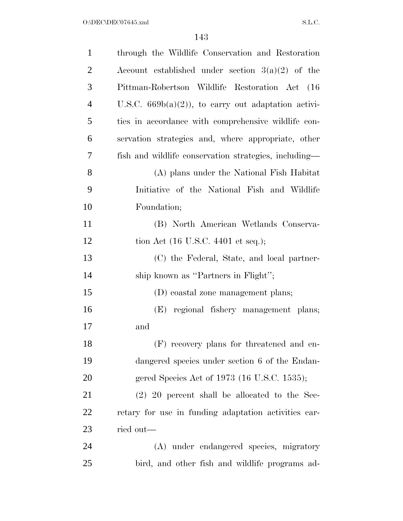| $\mathbf{1}$   | through the Wildlife Conservation and Restoration     |
|----------------|-------------------------------------------------------|
| $\overline{2}$ | Account established under section $3(a)(2)$ of the    |
| 3              | Pittman-Robertson Wildlife Restoration Act (16)       |
| $\overline{4}$ | U.S.C. $669b(a)(2)$ , to carry out adaptation activi- |
| 5              | ties in accordance with comprehensive wildlife con-   |
| 6              | servation strategies and, where appropriate, other    |
| 7              | fish and wildlife conservation strategies, including— |
| 8              | (A) plans under the National Fish Habitat             |
| 9              | Initiative of the National Fish and Wildlife          |
| 10             | Foundation;                                           |
| 11             | (B) North American Wetlands Conserva-                 |
| 12             | tion Act $(16 \text{ U.S.C. } 4401 \text{ et seq.});$ |
| 13             | (C) the Federal, State, and local partner-            |
| 14             | ship known as "Partners in Flight";                   |
| 15             | (D) coastal zone management plans;                    |
| 16             | (E) regional fishery management plans;                |
| 17             | and                                                   |
| 18             | (F) recovery plans for threatened and en-             |
| 19             | dangered species under section 6 of the Endan-        |
| 20             | gered Species Act of 1973 (16 U.S.C. 1535);           |
| 21             | $(2)$ 20 percent shall be allocated to the Sec-       |
| 22             | retary for use in funding adaptation activities car-  |
| 23             | ried out—                                             |
| 24             | (A) under endangered species, migratory               |
| 25             | bird, and other fish and wildlife programs ad-        |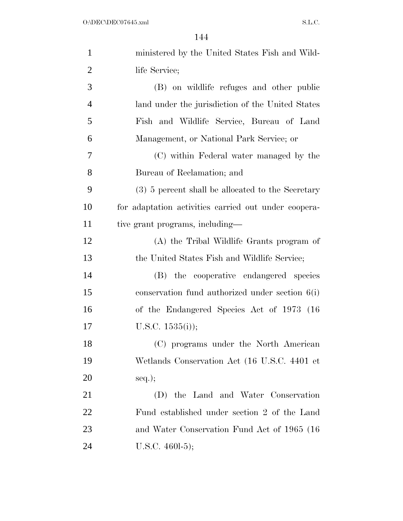| $\mathbf{1}$   | ministered by the United States Fish and Wild-       |
|----------------|------------------------------------------------------|
| $\overline{2}$ | life Service;                                        |
| 3              | (B) on wildlife refuges and other public             |
| $\overline{4}$ | land under the jurisdiction of the United States     |
| 5              | Fish and Wildlife Service, Bureau of Land            |
| 6              | Management, or National Park Service; or             |
| 7              | (C) within Federal water managed by the              |
| 8              | Bureau of Reclamation; and                           |
| 9              | (3) 5 percent shall be allocated to the Secretary    |
| 10             | for adaptation activities carried out under coopera- |
| 11             | tive grant programs, including—                      |
| 12             | (A) the Tribal Wildlife Grants program of            |
| 13             | the United States Fish and Wildlife Service;         |
| 14             | (B) the cooperative endangered species               |
| 15             | conservation fund authorized under section $6(i)$    |
| 16             | of the Endangered Species Act of 1973 (16)           |
| 17             | U.S.C. $1535(i)$ ;                                   |
| 18             | (C) programs under the North American                |
| 19             | Wetlands Conservation Act (16 U.S.C. 4401 et         |
| 20             | $seq.$ ;                                             |
| 21             | the Land and Water Conservation<br>(D)               |
| 22             | Fund established under section 2 of the Land         |
| 23             | and Water Conservation Fund Act of 1965 (16)         |
| 24             | U.S.C. $460I-5$ ;                                    |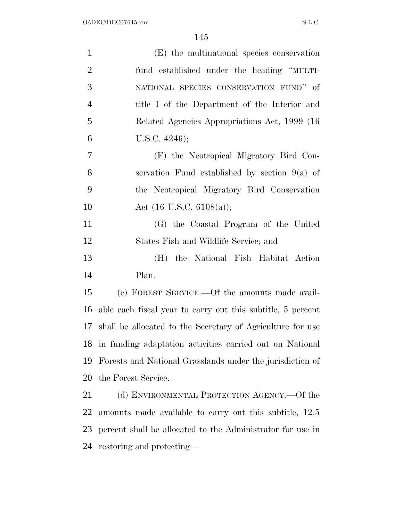| $\mathbf{1}$   | (E) the multinational species conservation                    |
|----------------|---------------------------------------------------------------|
| $\overline{2}$ | fund established under the heading "MULTI-                    |
| 3              | NATIONAL SPECIES CONSERVATION FUND" of                        |
| $\overline{4}$ | title I of the Department of the Interior and                 |
| 5              | Related Agencies Appropriations Act, 1999 (16)                |
| 6              | U.S.C. $4246$ ;                                               |
| 7              | (F) the Neotropical Migratory Bird Con-                       |
| 8              | servation Fund established by section $9(a)$ of               |
| 9              | the Neotropical Migratory Bird Conservation                   |
| 10             | Act $(16 \text{ U.S.C. } 6108(a));$                           |
| 11             | (G) the Coastal Program of the United                         |
| 12             | States Fish and Wildlife Service; and                         |
| 13             | the National Fish Habitat Action<br>(H)                       |
| 14             | Plan.                                                         |
| 15             | (c) FOREST SERVICE.—Of the amounts made avail-                |
| 16             | able each fiscal year to carry out this subtitle, 5 percent   |
|                | 17 shall be allocated to the Secretary of Agriculture for use |
| 18             | in funding adaptation activities carried out on National      |
| 19             | Forests and National Grasslands under the jurisdiction of     |
| 20             | the Forest Service.                                           |
| 21             | (d) ENVIRONMENTAL PROTECTION AGENCY.—Of the                   |
| 22             | amounts made available to carry out this subtitle, 12.5       |
| 23             | percent shall be allocated to the Administrator for use in    |

restoring and protecting—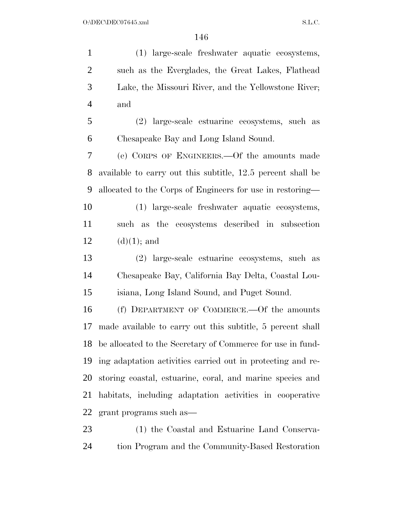(1) large-scale freshwater aquatic ecosystems, such as the Everglades, the Great Lakes, Flathead Lake, the Missouri River, and the Yellowstone River; and (2) large-scale estuarine ecosystems, such as Chesapeake Bay and Long Island Sound. (e) CORPS OF ENGINEERS.—Of the amounts made available to carry out this subtitle, 12.5 percent shall be allocated to the Corps of Engineers for use in restoring— (1) large-scale freshwater aquatic ecosystems, such as the ecosystems described in subsection 12 (d)(1); and (2) large-scale estuarine ecosystems, such as Chesapeake Bay, California Bay Delta, Coastal Lou- isiana, Long Island Sound, and Puget Sound. (f) DEPARTMENT OF COMMERCE.—Of the amounts made available to carry out this subtitle, 5 percent shall be allocated to the Secretary of Commerce for use in fund- ing adaptation activities carried out in protecting and re- storing coastal, estuarine, coral, and marine species and habitats, including adaptation activities in cooperative grant programs such as— (1) the Coastal and Estuarine Land Conserva-

tion Program and the Community-Based Restoration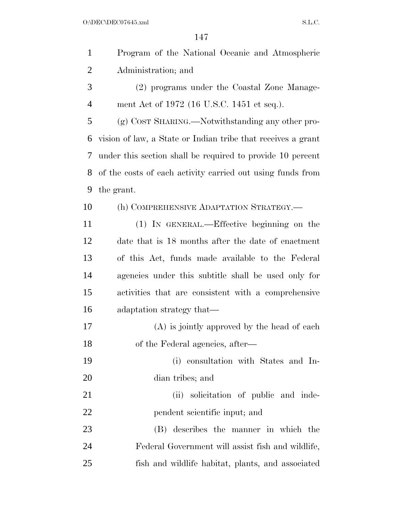$O:\Delta$ DEC\DEC07645.xml S.L.C.

| $\mathbf{1}$   | Program of the National Oceanic and Atmospheric              |
|----------------|--------------------------------------------------------------|
| $\overline{2}$ | Administration; and                                          |
| 3              | (2) programs under the Coastal Zone Manage-                  |
| $\overline{4}$ | ment Act of 1972 (16 U.S.C. 1451 et seq.).                   |
| 5              | (g) COST SHARING.—Notwithstanding any other pro-             |
| 6              | vision of law, a State or Indian tribe that receives a grant |
| 7              | under this section shall be required to provide 10 percent   |
| 8              | of the costs of each activity carried out using funds from   |
| 9              | the grant.                                                   |
| 10             | (h) COMPREHENSIVE ADAPTATION STRATEGY.—                      |
| 11             | (1) IN GENERAL.—Effective beginning on the                   |
| 12             | date that is 18 months after the date of enactment           |
| 13             | of this Act, funds made available to the Federal             |
| 14             | agencies under this subtitle shall be used only for          |
| 15             | activities that are consistent with a comprehensive          |
| 16             | adaptation strategy that—                                    |
| 17             | $(A)$ is jointly approved by the head of each                |
| 18             | of the Federal agencies, after—                              |
| 19             | (i) consultation with States and In-                         |
| 20             | dian tribes; and                                             |
| 21             | (ii) solicitation of public and inde-                        |
| 22             | pendent scientific input; and                                |
| 23             | (B) describes the manner in which the                        |
| 24             | Federal Government will assist fish and wildlife,            |
| 25             | fish and wildlife habitat, plants, and associated            |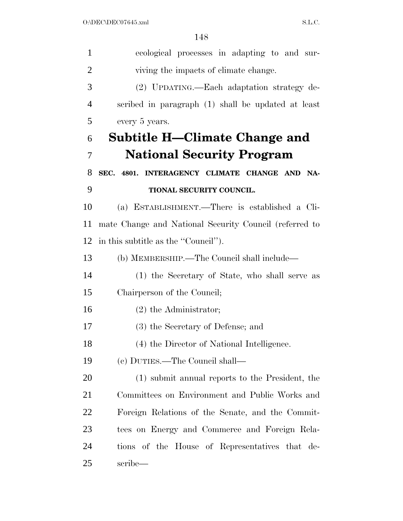| $\mathbf{1}$   | ecological processes in adapting to and sur-           |
|----------------|--------------------------------------------------------|
| $\overline{2}$ | viving the impacts of climate change.                  |
| 3              | (2) UPDATING.—Each adaptation strategy de-             |
| 4              | scribed in paragraph (1) shall be updated at least     |
| 5              | every 5 years.                                         |
| 6              | Subtitle H—Climate Change and                          |
| 7              | <b>National Security Program</b>                       |
| 8              | SEC. 4801. INTERAGENCY CLIMATE CHANGE AND NA-          |
| 9              | TIONAL SECURITY COUNCIL.                               |
| 10             | (a) ESTABLISHMENT.—There is established a Cli-         |
| 11             | mate Change and National Security Council (referred to |
| 12             | in this subtitle as the "Council".                     |
| 13             | (b) MEMBERSHIP.—The Council shall include—             |
| 14             | (1) the Secretary of State, who shall serve as         |
| 15             | Chairperson of the Council;                            |
| 16             | $(2)$ the Administrator;                               |
| 17             | (3) the Secretary of Defense; and                      |
| 18             | (4) the Director of National Intelligence.             |
| 19             | (c) DUTIES.—The Council shall—                         |
| 20             | (1) submit annual reports to the President, the        |
| 21             | Committees on Environment and Public Works and         |
| 22             | Foreign Relations of the Senate, and the Commit-       |
| 23             | tees on Energy and Commerce and Foreign Rela-          |
| 24             | tions of the House of Representatives that de-         |
| 25             | scribe—                                                |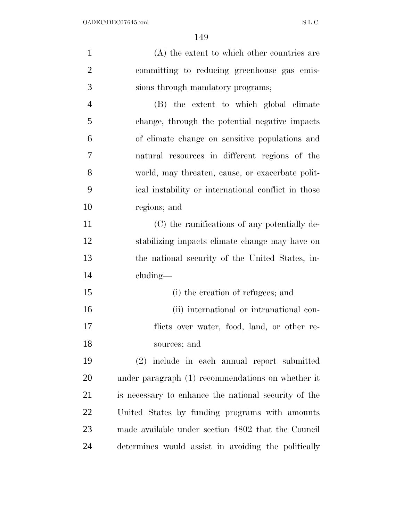| $\mathbf{1}$   | (A) the extent to which other countries are          |
|----------------|------------------------------------------------------|
| $\overline{2}$ | committing to reducing greenhouse gas emis-          |
| 3              | sions through mandatory programs;                    |
| $\overline{4}$ | (B) the extent to which global climate               |
| 5              | change, through the potential negative impacts       |
| 6              | of climate change on sensitive populations and       |
| 7              | natural resources in different regions of the        |
| 8              | world, may threaten, cause, or exacerbate polit-     |
| 9              | ical instability or international conflict in those  |
| 10             | regions; and                                         |
| 11             | (C) the ramifications of any potentially de-         |
| 12             | stabilizing impacts climate change may have on       |
| 13             | the national security of the United States, in-      |
| 14             | cluding—                                             |
| 15             | (i) the creation of refugees; and                    |
| 16             | (ii) international or intranational con-             |
| 17             | flicts over water, food, land, or other re-          |
| 18             | sources; and                                         |
| 19             | (2) include in each annual report submitted          |
| 20             | under paragraph (1) recommendations on whether it    |
| 21             | is necessary to enhance the national security of the |
| 22             | United States by funding programs with amounts       |
| 23             | made available under section 4802 that the Council   |
| 24             | determines would assist in avoiding the politically  |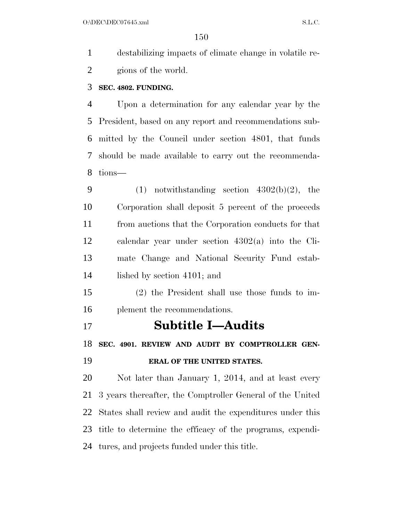O:\DEC\DEC07645.xml S.L.C.

 destabilizing impacts of climate change in volatile re-gions of the world.

#### **SEC. 4802. FUNDING.**

 Upon a determination for any calendar year by the President, based on any report and recommendations sub- mitted by the Council under section 4801, that funds should be made available to carry out the recommenda-tions—

- 9 (1) notwithstanding section  $4302(b)(2)$ , the Corporation shall deposit 5 percent of the proceeds from auctions that the Corporation conducts for that calendar year under section 4302(a) into the Cli- mate Change and National Security Fund estab-lished by section 4101; and
- (2) the President shall use those funds to im-plement the recommendations.
- **Subtitle I—Audits**

**SEC. 4901. REVIEW AND AUDIT BY COMPTROLLER GEN-**

### **ERAL OF THE UNITED STATES.**

 Not later than January 1, 2014, and at least every 3 years thereafter, the Comptroller General of the United States shall review and audit the expenditures under this title to determine the efficacy of the programs, expendi-tures, and projects funded under this title.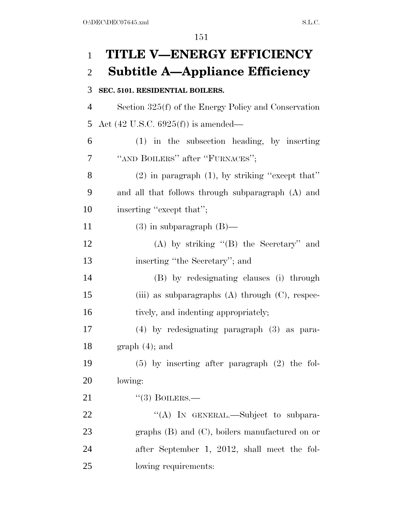# **TITLE V—ENERGY EFFICIENCY Subtitle A—Appliance Efficiency SEC. 5101. RESIDENTIAL BOILERS.**  Section 325(f) of the Energy Policy and Conservation Act (42 U.S.C. 6925(f)) is amended— (1) in the subsection heading, by inserting 7 "AND BOILERS" after "FURNACES"; 8 (2) in paragraph  $(1)$ , by striking "except that" and all that follows through subparagraph (A) and inserting ''except that''; 11 (3) in subparagraph  $(B)$ — (A) by striking ''(B) the Secretary'' and inserting ''the Secretary''; and (B) by redesignating clauses (i) through (iii) as subparagraphs (A) through (C), respec-16 tively, and indenting appropriately; (4) by redesignating paragraph (3) as para-18 graph  $(4)$ ; and (5) by inserting after paragraph (2) the fol- lowing: 21 "(3) BOILERS.— 22 "(A) In GENERAL.—Subject to subpara- graphs (B) and (C), boilers manufactured on or after September 1, 2012, shall meet the fol-lowing requirements: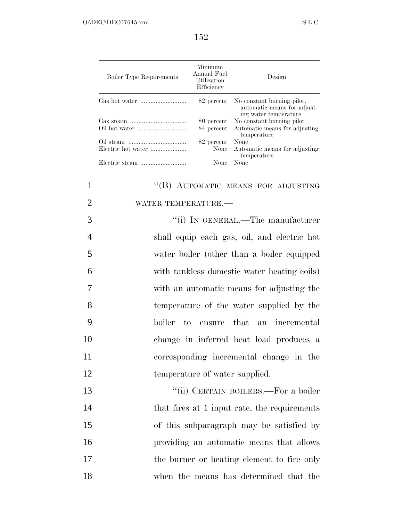| Boiler Type Requirements | Minimum<br>Annual Fuel<br>Utilization<br>Efficiency | Design                                                                                        |
|--------------------------|-----------------------------------------------------|-----------------------------------------------------------------------------------------------|
|                          |                                                     | 82 percent No constant burning pilot,<br>automatic means for adjust-<br>ing water temperature |
| Gas steam                |                                                     | 80 percent No constant burning pilot                                                          |
|                          |                                                     | 84 percent Automatic means for adjusting<br>temperature                                       |
|                          | 82 percent                                          | None                                                                                          |
| Electric hot water       | None                                                | Automatic means for adjusting<br>temperature                                                  |
| Electric steam           | None                                                | None                                                                                          |

## 1 "(B) AUTOMATIC MEANS FOR ADJUSTING 2 WATER TEMPERATURE.— 3  $(i)$  In GENERAL.—The manufacturer 4 shall equip each gas, oil, and electric hot 5 water boiler (other than a boiler equipped 6 with tankless domestic water heating coils) 7 with an automatic means for adjusting the 8 temperature of the water supplied by the 9 boiler to ensure that an incremental 10 change in inferred heat load produces a 11 corresponding incremental change in the 12 temperature of water supplied. 13 "(ii) CERTAIN BOILERS.—For a boiler 14 that fires at 1 input rate, the requirements 15 of this subparagraph may be satisfied by

16 providing an automatic means that allows 17 the burner or heating element to fire only 18 when the means has determined that the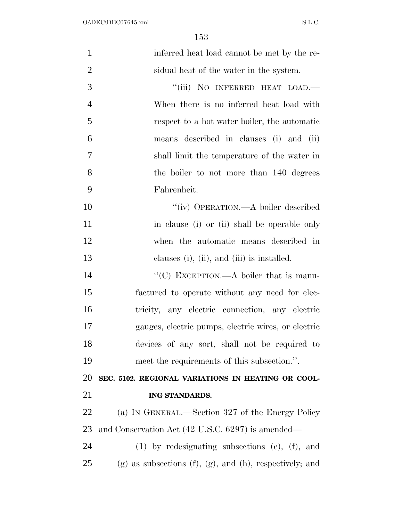| $\mathbf{1}$   | inferred heat load cannot be met by the re-                        |
|----------------|--------------------------------------------------------------------|
| $\overline{2}$ | sidual heat of the water in the system.                            |
| 3              | "(iii) NO INFERRED HEAT LOAD.-                                     |
| $\overline{4}$ | When there is no inferred heat load with                           |
| 5              | respect to a hot water boiler, the automatic                       |
| 6              | means described in clauses (i) and (ii)                            |
| 7              | shall limit the temperature of the water in                        |
| 8              | the boiler to not more than 140 degrees                            |
| 9              | Fahrenheit.                                                        |
| 10             | "(iv) OPERATION.—A boiler described                                |
| 11             | in clause (i) or (ii) shall be operable only                       |
| 12             | when the automatic means described in                              |
| 13             | clauses (i), (ii), and (iii) is installed.                         |
| 14             | "(C) EXCEPTION.—A boiler that is manu-                             |
| 15             | factured to operate without any need for elec-                     |
| 16             | tricity, any electric connection, any electric                     |
| 17             | gauges, electric pumps, electric wires, or electric                |
| 18             | devices of any sort, shall not be required to                      |
| 19             | meet the requirements of this subsection.".                        |
| <b>20</b>      | SEC. 5102. REGIONAL VARIATIONS IN HEATING OR COOL-                 |
| 21             | ING STANDARDS.                                                     |
| 22             | (a) IN GENERAL.—Section 327 of the Energy Policy                   |
| 23             | and Conservation Act (42 U.S.C. 6297) is amended—                  |
| 24             | $(1)$ by redesignating subsections $(e)$ , $(f)$ , and             |
| 25             | $(g)$ as subsections $(f)$ , $(g)$ , and $(h)$ , respectively; and |
|                |                                                                    |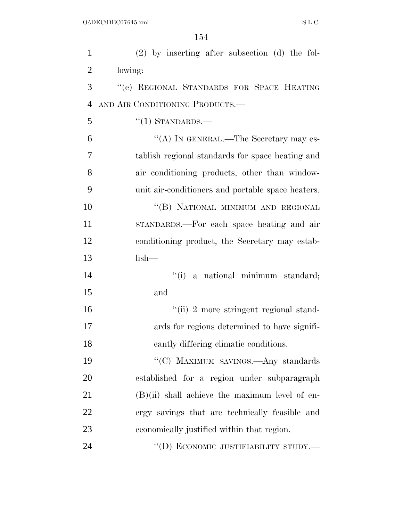| $\mathbf{1}$   | $(2)$ by inserting after subsection $(d)$ the fol- |
|----------------|----------------------------------------------------|
| $\overline{2}$ | lowing:                                            |
| 3              | "(e) REGIONAL STANDARDS FOR SPACE HEATING          |
| $\overline{4}$ | AND AIR CONDITIONING PRODUCTS.-                    |
| 5              | $\lq(1)$ STANDARDS.—                               |
| 6              | "(A) IN GENERAL.—The Secretary may es-             |
| $\overline{7}$ | tablish regional standards for space heating and   |
| 8              | air conditioning products, other than window-      |
| 9              | unit air-conditioners and portable space heaters.  |
| 10             | "(B) NATIONAL MINIMUM AND REGIONAL                 |
| 11             | STANDARDS.—For each space heating and air          |
| 12             | conditioning product, the Secretary may estab-     |
| 13             | $lish-$                                            |
| 14             | "(i) a national minimum standard;                  |
| 15             | and                                                |
| 16             | "(ii) 2 more stringent regional stand-             |
| 17             | ards for regions determined to have signifi-       |
| 18             | cantly differing climatic conditions.              |
| 19             | "(C) MAXIMUM SAVINGS.—Any standards                |
| 20             | established for a region under subparagraph        |
| 21             | $(B)(ii)$ shall achieve the maximum level of en-   |
| 22             | ergy savings that are technically feasible and     |
| 23             | economically justified within that region.         |
| 24             | "(D) ECONOMIC JUSTIFIABILITY STUDY.—               |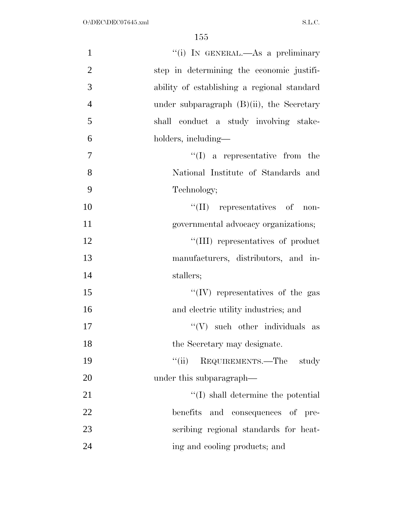| $\mathbf{1}$   | "(i) IN GENERAL.—As a preliminary            |
|----------------|----------------------------------------------|
| $\overline{2}$ | step in determining the economic justifi-    |
| 3              | ability of establishing a regional standard  |
| $\overline{4}$ | under subparagraph $(B)(ii)$ , the Secretary |
| 5              | shall conduct a study involving stake-       |
| 6              | holders, including—                          |
| 7              | $\lq\lq$ a representative from the           |
| 8              | National Institute of Standards and          |
| 9              | Technology;                                  |
| 10             | $\lq\lq$ (II) representatives of<br>non-     |
| 11             | governmental advocacy organizations;         |
| 12             | "(III) representatives of product            |
| 13             | manufacturers, distributors, and in-         |
| 14             | stallers;                                    |
| 15             | $``(IV)$ representatives of the gas          |
| 16             | and electric utility industries; and         |
| 17             | $\lq\lq (V)$ such other individuals as       |
| 18             | the Secretary may designate.                 |
| 19             | REQUIREMENTS.—The<br>``(ii)<br>study         |
| 20             | under this subparagraph—                     |
| 21             | $\lq\lq$ shall determine the potential       |
| 22             | benefits<br>and consequences of pre-         |
| 23             | scribing regional standards for heat-        |
| 24             | ing and cooling products; and                |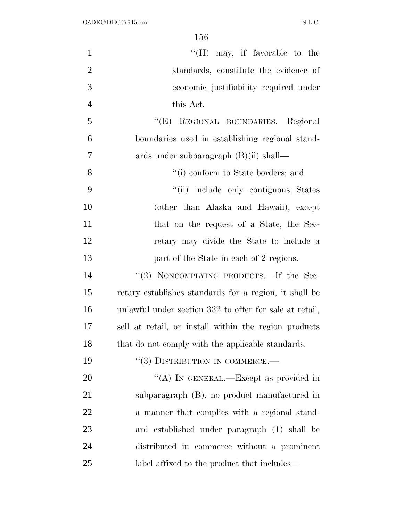| $\mathbf{1}$   | "(II) may, if favorable to the                          |
|----------------|---------------------------------------------------------|
| $\overline{2}$ | standards, constitute the evidence of                   |
| 3              | economic justifiability required under                  |
| $\overline{4}$ | this Act.                                               |
| 5              | "(E) REGIONAL BOUNDARIES.—Regional                      |
| 6              | boundaries used in establishing regional stand-         |
| 7              | ards under subparagraph $(B)(ii)$ shall—                |
| 8              | $\lq\lq$ conform to State borders; and                  |
| 9              | "(ii) include only contiguous States                    |
| 10             | (other than Alaska and Hawaii), except                  |
| 11             | that on the request of a State, the Sec-                |
| 12             | retary may divide the State to include a                |
| 13             | part of the State in each of 2 regions.                 |
| 14             | "(2) NONCOMPLYING PRODUCTS.—If the Sec-                 |
| 15             | retary establishes standards for a region, it shall be  |
| 16             | unlawful under section 332 to offer for sale at retail, |
| 17             | sell at retail, or install within the region products   |
| 18             | that do not comply with the applicable standards.       |
| 19             | $``(3)$ DISTRIBUTION IN COMMERCE.—                      |
| 20             | "(A) IN GENERAL.—Except as provided in                  |
| 21             | subparagraph (B), no product manufactured in            |
| 22             | a manner that complies with a regional stand-           |
| 23             | ard established under paragraph (1) shall be            |
| 24             | distributed in commerce without a prominent             |
| 25             | label affixed to the product that includes—             |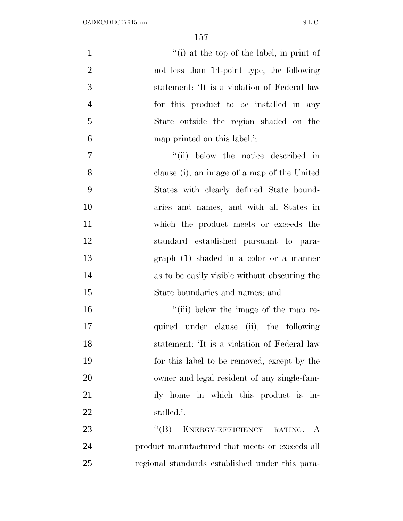| $\mathbf{1}$   | "(i) at the top of the label, in print of                  |
|----------------|------------------------------------------------------------|
| $\overline{2}$ | not less than 14-point type, the following                 |
| 3              | statement: 'It is a violation of Federal law               |
| $\overline{4}$ | for this product to be installed in any                    |
| 5              | State outside the region shaded on the                     |
| 6              | map printed on this label.';                               |
| 7              | "(ii) below the notice described in                        |
| 8              | clause (i), an image of a map of the United                |
| 9              | States with clearly defined State bound-                   |
| 10             | aries and names, and with all States in                    |
| 11             | which the product meets or exceeds the                     |
| 12             | standard established pursuant to para-                     |
| 13             | $graph(1) shaded in a color or a manner$                   |
| 14             | as to be easily visible without obscuring the              |
| 15             | State boundaries and names; and                            |
| 16             | "(iii) below the image of the map re-                      |
| 17             | quired under clause (ii), the following                    |
| 18             | statement: 'It is a violation of Federal law               |
| 19             | for this label to be removed, except by the                |
| <b>20</b>      | owner and legal resident of any single-fam-                |
| 21             | ily home in which this product is in-                      |
| 22             | stalled.'.                                                 |
| 23             | ENERGY-EFFICIENCY RATING. <sup>---</sup> A<br>$\lq\lq (B)$ |
| 24             | product manufactured that meets or exceeds all             |
| 25             | regional standards established under this para-            |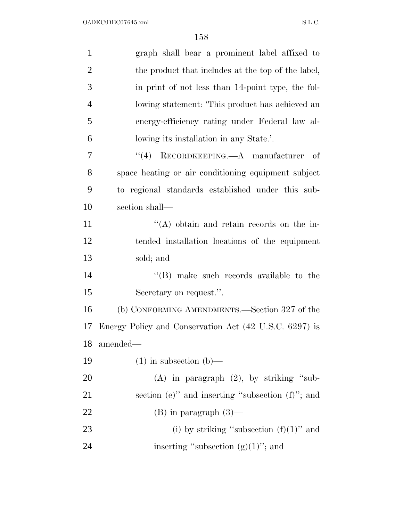| $\mathbf{1}$   | graph shall bear a prominent label affixed to              |
|----------------|------------------------------------------------------------|
| $\overline{2}$ | the product that includes at the top of the label,         |
| 3              | in print of not less than 14-point type, the fol-          |
| $\overline{4}$ | lowing statement: 'This product has achieved an            |
| 5              | energy-efficiency rating under Federal law al-             |
| 6              | lowing its installation in any State.'.                    |
| 7              | RECORDKEEPING. <sup>--</sup> A manufacturer<br>(4)<br>- of |
| 8              | space heating or air conditioning equipment subject        |
| 9              | to regional standards established under this sub-          |
| 10             | section shall—                                             |
| 11             | $\lq\lq$ obtain and retain records on the in-              |
| 12             | tended installation locations of the equipment             |
| 13             | sold; and                                                  |
| 14             | $\lq\lq$ (B) make such records available to the            |
| 15             | Secretary on request.".                                    |
| 16             | (b) CONFORMING AMENDMENTS.—Section 327 of the              |
| 17             | Energy Policy and Conservation Act (42 U.S.C. 6297) is     |
| 18             | amended—                                                   |
| 19             | $(1)$ in subsection $(b)$ —                                |
| 20             | $(A)$ in paragraph $(2)$ , by striking "sub-               |
| 21             | section (e)" and inserting "subsection (f)"; and           |
| 22             | $(B)$ in paragraph $(3)$ —                                 |
| 23             | (i) by striking "subsection $(f)(1)$ " and                 |
| 24             | inserting "subsection $(g)(1)$ "; and                      |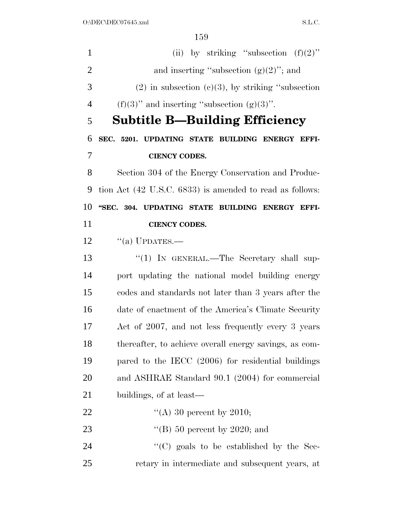1 (ii) by striking "subsection  $(f)(2)$ " 2 and inserting "subsection  $(g)(2)$ "; and (2) in subsection (c)(3), by striking "subsection 4 (f)(3)'' and inserting "subsection  $(g)(3)$ ". **Subtitle B—Building Efficiency SEC. 5201. UPDATING STATE BUILDING ENERGY EFFI- CIENCY CODES.**  Section 304 of the Energy Conservation and Produc- tion Act (42 U.S.C. 6833) is amended to read as follows: **''SEC. 304. UPDATING STATE BUILDING ENERGY EFFI- CIENCY CODES.**   $\frac{1}{2}$   $\frac{1}{2}$   $\frac{1}{2}$   $\frac{1}{2}$   $\frac{1}{2}$   $\frac{1}{2}$   $\frac{1}{2}$   $\frac{1}{2}$   $\frac{1}{2}$   $\frac{1}{2}$   $\frac{1}{2}$   $\frac{1}{2}$   $\frac{1}{2}$   $\frac{1}{2}$   $\frac{1}{2}$   $\frac{1}{2}$   $\frac{1}{2}$   $\frac{1}{2}$   $\frac{1}{2}$   $\frac{1}{2}$   $\frac{1}{2}$   $\frac{1}{2}$ 13 "(1) IN GENERAL.—The Secretary shall sup- port updating the national model building energy codes and standards not later than 3 years after the date of enactment of the America's Climate Security Act of 2007, and not less frequently every 3 years thereafter, to achieve overall energy savings, as com- pared to the IECC (2006) for residential buildings and ASHRAE Standard 90.1 (2004) for commercial buildings, of at least—  $\frac{4}{(A)} 30$  percent by 2010;  $\text{``(B) 50 percent by } 2020$ ; and  $\cdot$  (C) goals to be established by the Sec-retary in intermediate and subsequent years, at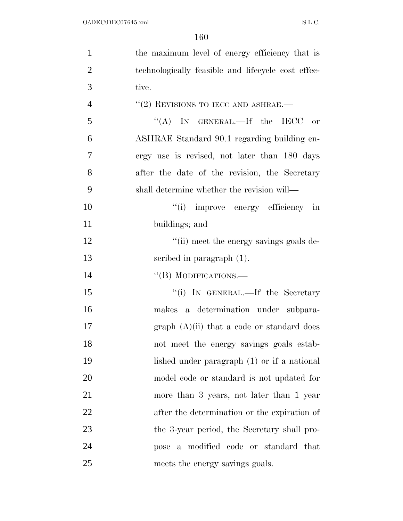| $\mathbf{1}$   | the maximum level of energy efficiency that is     |
|----------------|----------------------------------------------------|
| $\overline{2}$ | technologically feasible and lifecycle cost effec- |
| 3              | tive.                                              |
| $\overline{4}$ | $``(2)$ REVISIONS TO IECC AND ASHRAE.—             |
| 5              | "(A) IN GENERAL.—If the IECC or                    |
| 6              | ASHRAE Standard 90.1 regarding building en-        |
| 7              | ergy use is revised, not later than 180 days       |
| 8              | after the date of the revision, the Secretary      |
| 9              | shall determine whether the revision will—         |
| 10             | "(i) improve energy efficiency in                  |
| 11             | buildings; and                                     |
| 12             | "(ii) meet the energy savings goals de-            |
| 13             | scribed in paragraph $(1)$ .                       |
| 14             | "(B) MODIFICATIONS.—                               |
| 15             | "(i) IN GENERAL.—If the Secretary                  |
| 16             | makes a determination under subpara-               |
| 17             | graph $(A)(ii)$ that a code or standard does       |
| 18             | not meet the energy savings goals estab-           |
| 19             | lished under paragraph $(1)$ or if a national      |
| 20             | model code or standard is not updated for          |
| 21             | more than 3 years, not later than 1 year           |
| 22             | after the determination or the expiration of       |
| 23             | the 3-year period, the Secretary shall pro-        |
| 24             | pose a modified code or standard that              |
| 25             | meets the energy savings goals.                    |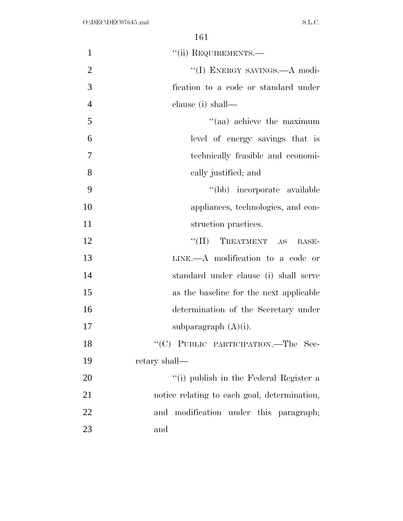| $\mathbf{1}$   | "(ii) REQUIREMENTS.-                         |
|----------------|----------------------------------------------|
| $\overline{2}$ | "(I) ENERGY SAVINGS.—A modi-                 |
| 3              | fication to a code or standard under         |
| $\overline{4}$ | clause (i) shall—                            |
| 5              | $\cdot$ (aa) achieve the maximum             |
| 6              | level of energy savings that is              |
| $\overline{7}$ | technically feasible and economi-            |
| 8              | cally justified; and                         |
| 9              | "(bb) incorporate available                  |
| 10             | appliances, technologies, and con-           |
| 11             | struction practices.                         |
| 12             | TREATMENT AS<br>$``(\Pi)$<br>BASE-           |
| 13             | $LINK. - A$ modification to a code or        |
| 14             | standard under clause (i) shall serve        |
| 15             | as the baseline for the next applicable      |
| 16             | determination of the Secretary under         |
| 17             | subparagraph $(A)(i)$ .                      |
| 18             | "(C) PUBLIC PARTICIPATION.—The Sec-          |
| 19             | retary shall—                                |
| 20             | "(i) publish in the Federal Register a       |
| 21             | notice relating to each goal, determination, |
| 22             | modification under this paragraph;<br>and    |
| 23             | and                                          |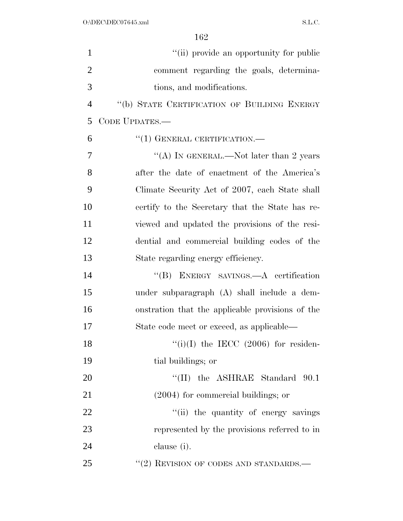| $\mathbf{1}$   | "(ii) provide an opportunity for public          |
|----------------|--------------------------------------------------|
| $\overline{2}$ | comment regarding the goals, determina-          |
| 3              | tions, and modifications.                        |
| $\overline{4}$ | "(b) STATE CERTIFICATION OF BUILDING ENERGY      |
| 5              | CODE UPDATES.-                                   |
| 6              | $``(1)$ GENERAL CERTIFICATION.—                  |
| 7              | "(A) IN GENERAL.—Not later than 2 years          |
| 8              | after the date of enactment of the America's     |
| 9              | Climate Security Act of 2007, each State shall   |
| 10             | certify to the Secretary that the State has re-  |
| 11             | viewed and updated the provisions of the resi-   |
| 12             | dential and commercial building codes of the     |
| 13             | State regarding energy efficiency.               |
| 14             | "(B) ENERGY SAVINGS.—A certification             |
| 15             | under subparagraph (A) shall include a dem-      |
| 16             | onstration that the applicable provisions of the |
| 17             | State code meet or exceed, as applicable—        |
| 18             | $``(i)(I)$ the IECC (2006) for residen-          |
| 19             | tial buildings; or                               |
| 20             | $\lq$ (II) the ASHRAE Standard 90.1              |
| 21             | $(2004)$ for commercial buildings; or            |
| 22             | "(ii) the quantity of energy savings             |
| 23             | represented by the provisions referred to in     |
| 24             | clause (i).                                      |
| 25             | $``(2)$ REVISION OF CODES AND STANDARDS.—        |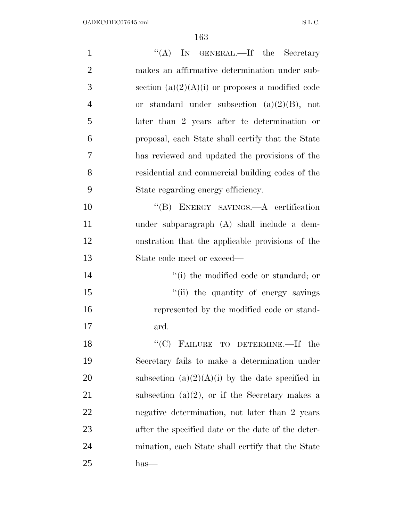| $\mathbf{1}$   | "(A) IN GENERAL.—If the Secretary                  |
|----------------|----------------------------------------------------|
| $\overline{2}$ | makes an affirmative determination under sub-      |
| 3              | section $(a)(2)(A)(i)$ or proposes a modified code |
| $\overline{4}$ | or standard under subsection $(a)(2)(B)$ , not     |
| 5              | later than 2 years after te determination or       |
| 6              | proposal, each State shall certify that the State  |
| 7              | has reviewed and updated the provisions of the     |
| 8              | residential and commercial building codes of the   |
| 9              | State regarding energy efficiency.                 |
| 10             | "(B) ENERGY SAVINGS.—A certification               |
| 11             | under subparagraph (A) shall include a dem-        |
| 12             | onstration that the applicable provisions of the   |
| 13             | State code meet or exceed—                         |
| 14             | "(i) the modified code or standard; or             |
| 15             | "(ii) the quantity of energy savings               |
| 16             | represented by the modified code or stand-         |
| 17             | ard.                                               |
| 18             | "(C) FAILURE TO DETERMINE.—If the                  |
| 19             | Secretary fails to make a determination under      |
| 20             | subsection $(a)(2)(A)(i)$ by the date specified in |
| 21             | subsection $(a)(2)$ , or if the Secretary makes a  |
| 22             | negative determination, not later than 2 years     |
| 23             | after the specified date or the date of the deter- |
| 24             | mination, each State shall certify that the State  |
| 25             | has—                                               |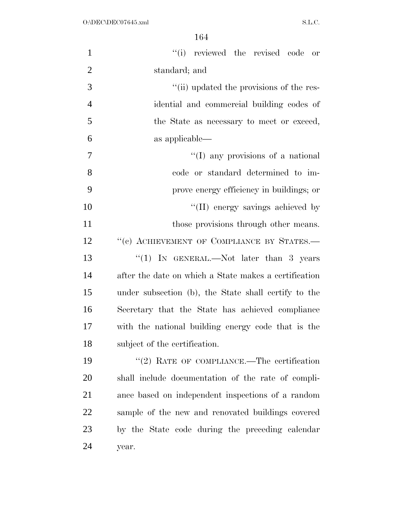| $\mathbf{1}$   | "(i) reviewed the revised code or                     |
|----------------|-------------------------------------------------------|
| $\overline{2}$ | standard; and                                         |
| 3              | "(ii) updated the provisions of the res-              |
| $\overline{4}$ | idential and commercial building codes of             |
| 5              | the State as necessary to meet or exceed,             |
| 6              | as applicable—                                        |
| 7              | "(I) any provisions of a national                     |
| 8              | code or standard determined to im-                    |
| 9              | prove energy efficiency in buildings; or              |
| 10             | "(II) energy savings achieved by                      |
| 11             | those provisions through other means.                 |
| 12             | "(c) ACHIEVEMENT OF COMPLIANCE BY STATES.-            |
| 13             | "(1) IN GENERAL.—Not later than 3 years               |
| 14             | after the date on which a State makes a certification |
| 15             | under subsection (b), the State shall certify to the  |
| 16             | Secretary that the State has achieved compliance      |
| 17             | with the national building energy code that is the    |
| 18             | subject of the certification.                         |
| 19             | $"$ (2) RATE OF COMPLIANCE.—The certification         |
| 20             | shall include documentation of the rate of compli-    |
| 21             | ance based on independent inspections of a random     |
| <u>22</u>      | sample of the new and renovated buildings covered     |
| 23             | by the State code during the preceding calendar       |
| 24             | year.                                                 |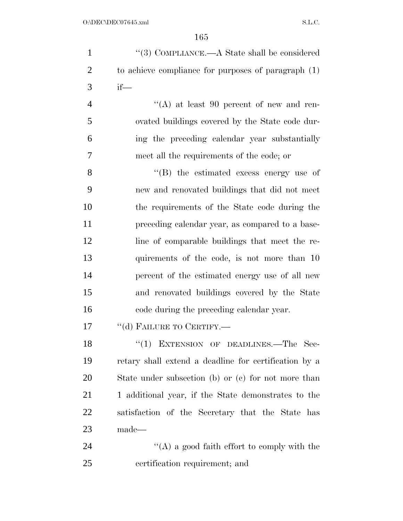| $\mathbf{1}$   | "(3) COMPLIANCE.—A State shall be considered          |
|----------------|-------------------------------------------------------|
| $\overline{2}$ | to achieve compliance for purposes of paragraph $(1)$ |
| 3              | $if$ —                                                |
| $\overline{4}$ | "(A) at least 90 percent of new and ren-              |
| 5              | ovated buildings covered by the State code dur-       |
| 6              | ing the preceding calendar year substantially         |
| 7              | meet all the requirements of the code; or             |
| 8              | $\lq\lq$ the estimated excess energy use of           |
| 9              | new and renovated buildings that did not meet         |
| 10             | the requirements of the State code during the         |
| 11             | preceding calendar year, as compared to a base-       |
| 12             | line of comparable buildings that meet the re-        |
| 13             | quirements of the code, is not more than 10           |
| 14             | percent of the estimated energy use of all new        |
| 15             | and renovated buildings covered by the State          |
| 16             | code during the preceding calendar year.              |
| 17             | "(d) FAILURE TO CERTIFY.-                             |
| 18             | "(1) EXTENSION OF DEADLINES.—The Sec-                 |
| 19             | retary shall extend a deadline for certification by a |
| 20             | State under subsection (b) or (c) for not more than   |
| 21             | 1 additional year, if the State demonstrates to the   |
| 22             | satisfaction of the Secretary that the State has      |
| 23             | made—                                                 |
| 24             | $\lq\lq$ a good faith effort to comply with the       |
| 25             | certification requirement; and                        |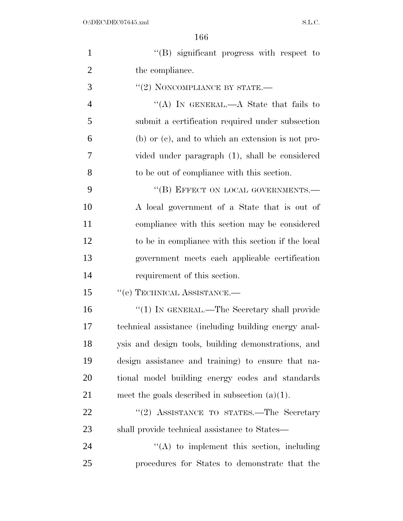| $\mathbf{1}$   | $\lq\lq(B)$ significant progress with respect to       |
|----------------|--------------------------------------------------------|
| $\overline{2}$ | the compliance.                                        |
| 3              | $``(2)$ NONCOMPLIANCE BY STATE.—                       |
| $\overline{4}$ | "(A) IN GENERAL.—A State that fails to                 |
| 5              | submit a certification required under subsection       |
| 6              | $(b)$ or $(c)$ , and to which an extension is not pro- |
| 7              | vided under paragraph (1), shall be considered         |
| 8              | to be out of compliance with this section.             |
| 9              | "(B) EFFECT ON LOCAL GOVERNMENTS.-                     |
| 10             | A local government of a State that is out of           |
| 11             | compliance with this section may be considered         |
| 12             | to be in compliance with this section if the local     |
| 13             | government meets each applicable certification         |
| 14             | requirement of this section.                           |
| 15             | "(e) TECHNICAL ASSISTANCE.-                            |
| 16             | "(1) IN GENERAL.—The Secretary shall provide           |
| 17             | technical assistance (including building energy anal-  |
| 18             | ysis and design tools, building demonstrations, and    |
| 19             | design assistance and training) to ensure that na-     |
| 20             | tional model building energy codes and standards       |
| 21             | meet the goals described in subsection $(a)(1)$ .      |
| 22             | "(2) ASSISTANCE TO STATES.—The Secretary               |
| 23             | shall provide technical assistance to States—          |
| 24             | $\lq\lq$ to implement this section, including          |
| 25             | procedures for States to demonstrate that the          |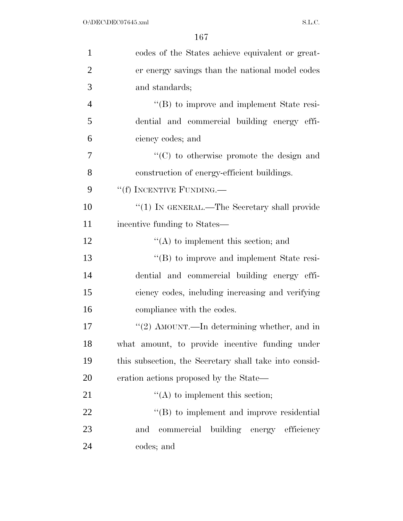| 1              | codes of the States achieve equivalent or great-       |
|----------------|--------------------------------------------------------|
| $\overline{2}$ | er energy savings than the national model codes        |
| 3              | and standards;                                         |
| $\overline{4}$ | $\lq\lq (B)$ to improve and implement State resi-      |
| 5              | dential and commercial building energy effi-           |
| 6              | ciency codes; and                                      |
| 7              | $\cdot$ (C) to otherwise promote the design and        |
| 8              | construction of energy-efficient buildings.            |
| 9              | "(f) INCENTIVE FUNDING.—                               |
| 10             | "(1) IN GENERAL.—The Secretary shall provide           |
| 11             | incentive funding to States—                           |
| 12             | $\lq\lq$ to implement this section; and                |
| 13             | "(B) to improve and implement State resi-              |
| 14             | dential and commercial building energy effi-           |
| 15             | ciency codes, including increasing and verifying       |
| 16             | compliance with the codes.                             |
| 17             | "(2) AMOUNT.—In determining whether, and in            |
| 18             | what amount, to provide incentive funding under        |
| 19             | this subsection, the Secretary shall take into consid- |
| 20             | eration actions proposed by the State—                 |
| 21             | $\lq\lq$ to implement this section;                    |
| 22             | $\lq\lq$ to implement and improve residential          |
| 23             | building energy efficiency<br>commercial<br>and        |
| 24             | codes; and                                             |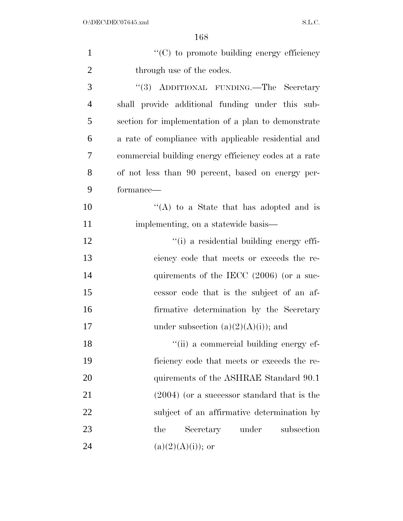| $\mathbf{1}$   | $\cdot$ (C) to promote building energy efficiency     |
|----------------|-------------------------------------------------------|
| $\overline{2}$ | through use of the codes.                             |
| 3              | "(3) ADDITIONAL FUNDING.—The Secretary                |
| $\overline{4}$ | shall provide additional funding under this sub-      |
| 5              | section for implementation of a plan to demonstrate   |
| 6              | a rate of compliance with applicable residential and  |
| 7              | commercial building energy efficiency codes at a rate |
| 8              | of not less than 90 percent, based on energy per-     |
| 9              | formance—                                             |
| 10             | "(A) to a State that has adopted and is               |
| 11             | implementing, on a statewide basis—                   |
| 12             | "(i) a residential building energy effi-              |
| 13             | ciency code that meets or exceeds the re-             |
| 14             | quirements of the IECC $(2006)$ (or a suc-            |
| 15             | cessor code that is the subject of an af-             |
| 16             | firmative determination by the Secretary              |
| 17             | under subsection $(a)(2)(A)(i)$ ; and                 |
| 18             | "(ii) a commercial building energy ef-                |
| 19             | ficiency code that meets or exceeds the re-           |
| 20             | quirements of the ASHRAE Standard 90.1                |
| 21             | $(2004)$ (or a successor standard that is the         |
| 22             | subject of an affirmative determination by            |
| 23             | Secretary under<br>subsection<br>the                  |
| 24             | $(a)(2)(A)(i)$ ; or                                   |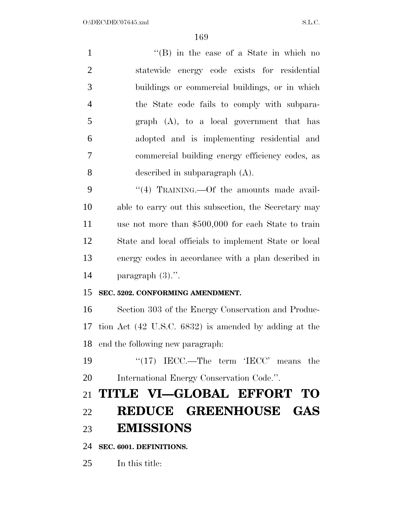| $\mathbf{1}$   | $\lq\lq$ (B) in the case of a State in which no       |
|----------------|-------------------------------------------------------|
| $\overline{2}$ | statewide energy code exists for residential          |
| 3              | buildings or commercial buildings, or in which        |
| $\overline{4}$ | the State code fails to comply with subpara-          |
| 5              | $graph (A)$ , to a local government that has          |
| 6              | adopted and is implementing residential and           |
| $\tau$         | commercial building energy efficiency codes, as       |
| 8              | described in subparagraph $(A)$ .                     |
| 9              | "(4) TRAINING.—Of the amounts made avail-             |
| 10             | able to carry out this subsection, the Secretary may  |
| 11             | use not more than \$500,000 for each State to train   |
| 12             | State and local officials to implement State or local |
| 13             | energy codes in accordance with a plan described in   |
| 14             | paragraph $(3)$ .".                                   |
| 15             | SEC. 5202. CONFORMING AMENDMENT.                      |
| 16             | Section 303 of the Energy Conservation and Produc-    |
| 17             | tion Act (42 U.S.C. 6832) is amended by adding at the |
|                | 18 end the following new paragraph:                   |
| 19             | " $(17)$ IECC.—The term 'IECC' means the              |
| 20             | International Energy Conservation Code.".             |
| 21             | TITLE VI-GLOBAL EFFORT TO                             |
| 22             | REDUCE GREENHOUSE GAS                                 |
| 23             | <b>EMISSIONS</b>                                      |
| 24             | SEC. 6001. DEFINITIONS.                               |

In this title: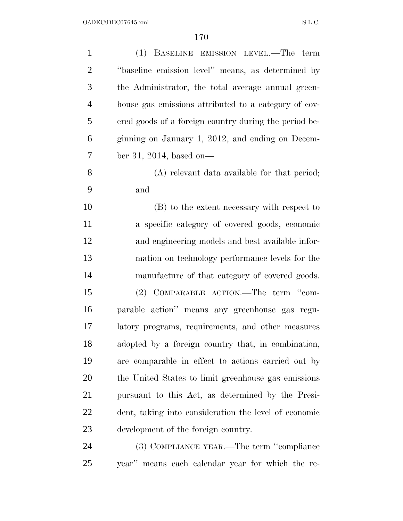| $\mathbf{1}$   | (1) BASELINE EMISSION LEVEL.—The term                 |
|----------------|-------------------------------------------------------|
| $\overline{2}$ | "baseline emission level" means, as determined by     |
| 3              | the Administrator, the total average annual green-    |
| $\overline{4}$ | house gas emissions attributed to a category of cov-  |
| 5              | ered goods of a foreign country during the period be- |
| 6              | ginning on January 1, 2012, and ending on Decem-      |
| 7              | ber 31, 2014, based on—                               |
| 8              | (A) relevant data available for that period;          |
| 9              | and                                                   |
| 10             | (B) to the extent necessary with respect to           |
| 11             | a specific category of covered goods, economic        |
| 12             | and engineering models and best available infor-      |
| 13             | mation on technology performance levels for the       |
| 14             | manufacture of that category of covered goods.        |
| 15             | COMPARABLE ACTION.—The term "com-<br>(2)              |
| 16             | parable action" means any greenhouse gas regu-        |
| 17             | latory programs, requirements, and other measures     |
| 18             | adopted by a foreign country that, in combination,    |
| 19             | are comparable in effect to actions carried out by    |
| 20             | the United States to limit greenhouse gas emissions   |
| 21             | pursuant to this Act, as determined by the Presi-     |
| 22             | dent, taking into consideration the level of economic |
| 23             | development of the foreign country.                   |
| 24             | (3) COMPLIANCE YEAR.—The term "compliance             |
| 25             | year" means each calendar year for which the re-      |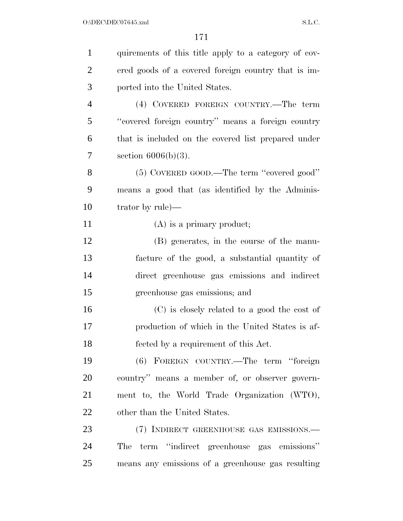| $\mathbf{1}$   | quirements of this title apply to a category of cov- |
|----------------|------------------------------------------------------|
| $\overline{2}$ | ered goods of a covered foreign country that is im-  |
| 3              | ported into the United States.                       |
| $\overline{4}$ | (4) COVERED FOREIGN COUNTRY.—The term                |
| 5              | "covered foreign country" means a foreign country    |
| 6              | that is included on the covered list prepared under  |
| 7              | section $6006(b)(3)$ .                               |
| 8              | (5) COVERED GOOD.—The term "covered good"            |
| 9              | means a good that (as identified by the Adminis-     |
| 10             | trator by $rule)$ —                                  |
| 11             | $(A)$ is a primary product;                          |
| 12             | (B) generates, in the course of the manu-            |
| 13             | facture of the good, a substantial quantity of       |
| 14             | direct greenhouse gas emissions and indirect         |
| 15             | greenhouse gas emissions; and                        |
| 16             | (C) is closely related to a good the cost of         |
| 17             | production of which in the United States is af-      |
| 18             | fected by a requirement of this Act.                 |
| 19             | (6) FOREIGN COUNTRY.—The term "foreign               |
| 20             | country" means a member of, or observer govern-      |
| 21             | ment to, the World Trade Organization (WTO),         |
| 22             | other than the United States.                        |
| 23             | (7) INDIRECT GREENHOUSE GAS EMISSIONS.-              |
| 24             | The term "indirect greenhouse gas emissions"         |
| 25             | means any emissions of a greenhouse gas resulting    |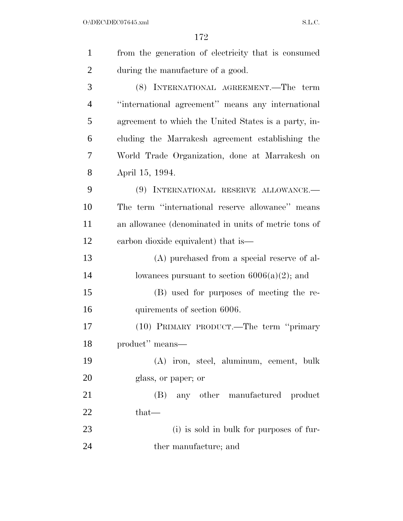$O:\Delta$ DEC\DEC07645.xml S.L.C.

| $\mathbf{1}$   | from the generation of electricity that is consumed  |
|----------------|------------------------------------------------------|
| $\overline{2}$ | during the manufacture of a good.                    |
| 3              | (8) INTERNATIONAL AGREEMENT.—The term                |
| $\overline{4}$ | "international agreement" means any international    |
| 5              | agreement to which the United States is a party, in- |
| 6              | cluding the Marrakesh agreement establishing the     |
| 7              | World Trade Organization, done at Marrakesh on       |
| 8              | April 15, 1994.                                      |
| 9              | (9) INTERNATIONAL RESERVE ALLOWANCE.-                |
| 10             | The term "international reserve allowance" means     |
| 11             | an allowance (denominated in units of metric tons of |
| 12             | carbon dioxide equivalent) that is—                  |
| 13             | (A) purchased from a special reserve of al-          |
| 14             | lowances pursuant to section $6006(a)(2)$ ; and      |
| 15             | (B) used for purposes of meeting the re-             |
| 16             | quirements of section 6006.                          |
| 17             | (10) PRIMARY PRODUCT.—The term "primary              |
| 18             | product" means—                                      |
| 19             | (A) iron, steel, aluminum, cement, bulk              |
| 20             | glass, or paper; or                                  |
| 21             | (B) any other manufactured product                   |
| 22             | $that-$                                              |
| 23             | (i) is sold in bulk for purposes of fur-             |
| 24             | ther manufacture; and                                |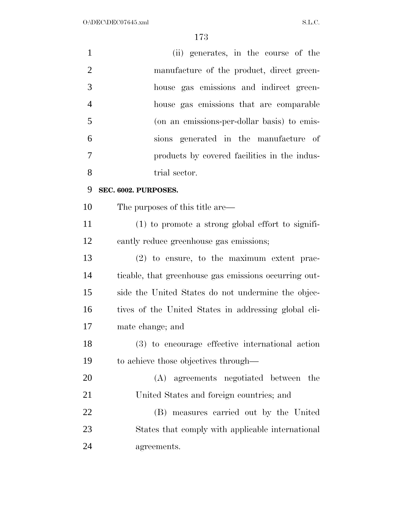| $\mathbf{1}$   | (ii) generates, in the course of the                  |
|----------------|-------------------------------------------------------|
| $\overline{2}$ | manufacture of the product, direct green-             |
| 3              | house gas emissions and indirect green-               |
| $\overline{4}$ | house gas emissions that are comparable               |
| 5              | (on an emissions-per-dollar basis) to emis-           |
| 6              | sions generated in the manufacture of                 |
| 7              | products by covered facilities in the indus-          |
| 8              | trial sector.                                         |
| 9              | SEC. 6002. PURPOSES.                                  |
| 10             | The purposes of this title are—                       |
| 11             | $(1)$ to promote a strong global effort to signifi-   |
| 12             | cantly reduce greenhouse gas emissions;               |
| 13             | $(2)$ to ensure, to the maximum extent prac-          |
| 14             | ticable, that greenhouse gas emissions occurring out- |
| 15             | side the United States do not undermine the objec-    |
| 16             | tives of the United States in addressing global cli-  |
| 17             | mate change; and                                      |
| 18             | (3) to encourage effective international action       |
| 19             | to achieve those objectives through—                  |
| 20             | (A) agreements negotiated between the                 |
| 21             | United States and foreign countries; and              |
| 22             | (B) measures carried out by the United                |
| 23             | States that comply with applicable international      |
| 24             | agreements.                                           |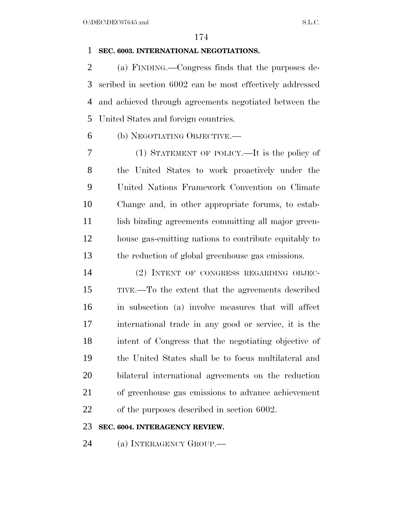#### **SEC. 6003. INTERNATIONAL NEGOTIATIONS.**

 (a) FINDING.—Congress finds that the purposes de- scribed in section 6002 can be most effectively addressed and achieved through agreements negotiated between the United States and foreign countries.

(b) NEGOTIATING OBJECTIVE.—

 (1) STATEMENT OF POLICY.—It is the policy of the United States to work proactively under the United Nations Framework Convention on Climate Change and, in other appropriate forums, to estab-11 lish binding agreements committing all major green- house gas-emitting nations to contribute equitably to the reduction of global greenhouse gas emissions.

 (2) INTENT OF CONGRESS REGARDING OBJEC- TIVE.—To the extent that the agreements described in subsection (a) involve measures that will affect international trade in any good or service, it is the intent of Congress that the negotiating objective of the United States shall be to focus multilateral and bilateral international agreements on the reduction of greenhouse gas emissions to advance achievement of the purposes described in section 6002.

#### **SEC. 6004. INTERAGENCY REVIEW.**

24 (a) INTERAGENCY GROUP.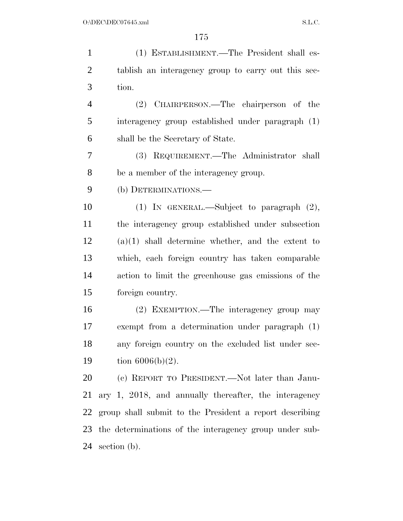| $\mathbf{1}$   | (1) ESTABLISHMENT.—The President shall es-              |
|----------------|---------------------------------------------------------|
| $\overline{2}$ | tablish an interagency group to carry out this sec-     |
| 3              | tion.                                                   |
| $\overline{4}$ | (2) CHAIRPERSON.—The chairperson of the                 |
| 5              | interagency group established under paragraph (1)       |
| 6              | shall be the Secretary of State.                        |
| 7              | (3) REQUIREMENT.—The Administrator shall                |
| 8              | be a member of the interagency group.                   |
| 9              | (b) DETERMINATIONS.—                                    |
| 10             | (1) IN GENERAL.—Subject to paragraph $(2)$ ,            |
| 11             | the interagency group established under subsection      |
| 12             | $(a)(1)$ shall determine whether, and the extent to     |
| 13             | which, each foreign country has taken comparable        |
| 14             | action to limit the greenhouse gas emissions of the     |
| 15             | foreign country.                                        |
| 16             | (2) EXEMPTION.—The interagency group may                |
| 17             | exempt from a determination under paragraph (1)         |
| 18             | any foreign country on the excluded list under sec-     |
| 19             | tion $6006(b)(2)$ .                                     |
| 20             | (c) REPORT TO PRESIDENT.—Not later than Janu-           |
| 21             | ary 1, 2018, and annually thereafter, the interagency   |
| 22             | group shall submit to the President a report describing |
| 23             | the determinations of the interagency group under sub-  |
| 24             | section $(b)$ .                                         |
|                |                                                         |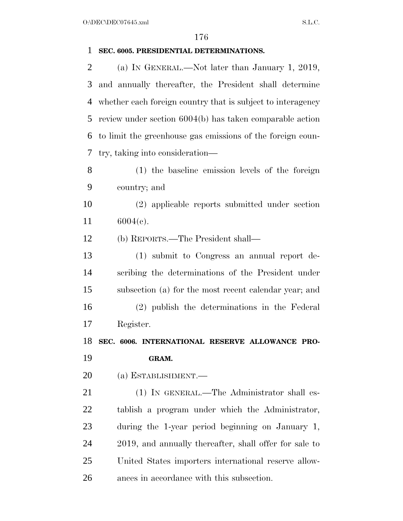### $O:\DEC\DECO7645.xml$  S.L.C. **SEC. 6005. PRESIDENTIAL DETERMINATIONS.**  (a) IN GENERAL.—Not later than January 1, 2019, and annually thereafter, the President shall determine whether each foreign country that is subject to interagency review under section 6004(b) has taken comparable action to limit the greenhouse gas emissions of the foreign coun- try, taking into consideration— (1) the baseline emission levels of the foreign country; and (2) applicable reports submitted under section 6004(c). (b) REPORTS.—The President shall— (1) submit to Congress an annual report de- scribing the determinations of the President under subsection (a) for the most recent calendar year; and (2) publish the determinations in the Federal Register.

**SEC. 6006. INTERNATIONAL RESERVE ALLOWANCE PRO-**

### **GRAM.**

(a) ESTABLISHMENT.—

 (1) IN GENERAL.—The Administrator shall es- tablish a program under which the Administrator, during the 1-year period beginning on January 1, 2019, and annually thereafter, shall offer for sale to United States importers international reserve allow-ances in accordance with this subsection.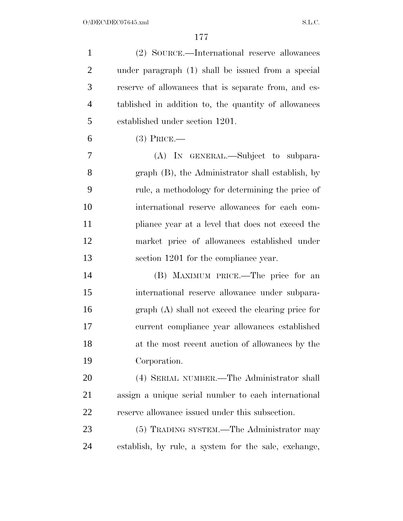| $\mathbf{1}$   | (2) SOURCE.—International reserve allowances         |
|----------------|------------------------------------------------------|
| $\overline{2}$ | under paragraph (1) shall be issued from a special   |
| 3              | reserve of allowances that is separate from, and es- |
| $\overline{4}$ | tablished in addition to, the quantity of allowances |
| 5              | established under section 1201.                      |
| 6              | $(3)$ Price.—                                        |
| 7              | (A) IN GENERAL.—Subject to subpara-                  |
| 8              | graph (B), the Administrator shall establish, by     |
| 9              | rule, a methodology for determining the price of     |
| 10             | international reserve allowances for each com-       |
| 11             | pliance year at a level that does not exceed the     |
| 12             | market price of allowances established under         |
| 13             | section 1201 for the compliance year.                |
| 14             | (B) MAXIMUM PRICE.—The price for an                  |
| 15             | international reserve allowance under subpara-       |
| 16             | $graph(A)$ shall not exceed the clearing price for   |
| 17             | current compliance year allowances established       |
| 18             | at the most recent auction of allowances by the      |
| 19             | Corporation.                                         |
| 20             | (4) SERIAL NUMBER.—The Administrator shall           |
| 21             | assign a unique serial number to each international  |
| 22             | reserve allowance issued under this subsection.      |
| 23             | (5) TRADING SYSTEM.—The Administrator may            |
| 24             | establish, by rule, a system for the sale, exchange, |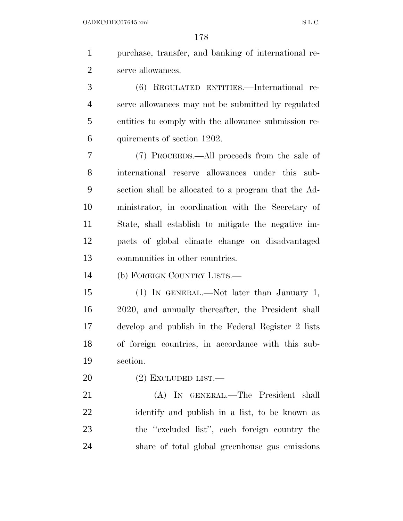purchase, transfer, and banking of international re-serve allowances.

 (6) REGULATED ENTITIES.—International re- serve allowances may not be submitted by regulated entities to comply with the allowance submission re-quirements of section 1202.

 (7) PROCEEDS.—All proceeds from the sale of international reserve allowances under this sub- section shall be allocated to a program that the Ad- ministrator, in coordination with the Secretary of State, shall establish to mitigate the negative im- pacts of global climate change on disadvantaged communities in other countries.

(b) FOREIGN COUNTRY LISTS.—

 (1) IN GENERAL.—Not later than January 1, 2020, and annually thereafter, the President shall develop and publish in the Federal Register 2 lists of foreign countries, in accordance with this sub-section.

(2) EXCLUDED LIST.—

 (A) IN GENERAL.—The President shall identify and publish in a list, to be known as the ''excluded list'', each foreign country the share of total global greenhouse gas emissions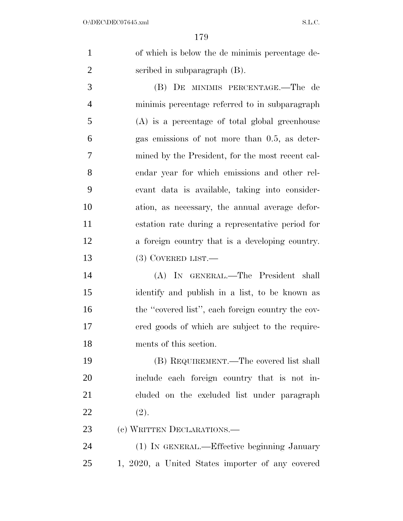of which is below the de minimis percentage de-scribed in subparagraph (B).

 (B) DE MINIMIS PERCENTAGE.—The de minimis percentage referred to in subparagraph (A) is a percentage of total global greenhouse gas emissions of not more than 0.5, as deter- mined by the President, for the most recent cal- endar year for which emissions and other rel- evant data is available, taking into consider- ation, as necessary, the annual average defor- estation rate during a representative period for a foreign country that is a developing country. 13 (3) COVERED LIST.—

 (A) IN GENERAL.—The President shall identify and publish in a list, to be known as 16 the "covered list", each foreign country the cov- ered goods of which are subject to the require-ments of this section.

 (B) REQUIREMENT.—The covered list shall include each foreign country that is not in- cluded on the excluded list under paragraph 22  $(2)$ .

23 (c) WRITTEN DECLARATIONS.—

 (1) IN GENERAL.—Effective beginning January 1, 2020, a United States importer of any covered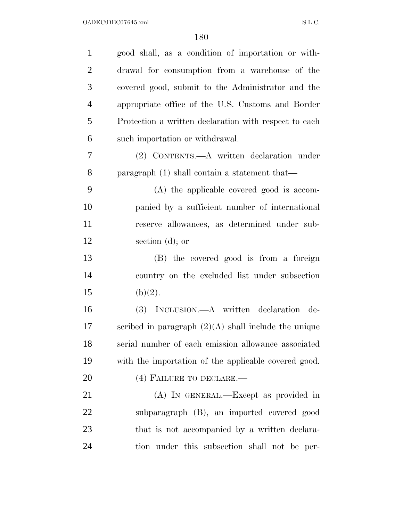| $\mathbf{1}$   | good shall, as a condition of importation or with-     |
|----------------|--------------------------------------------------------|
| $\overline{2}$ | drawal for consumption from a warehouse of the         |
| 3              | covered good, submit to the Administrator and the      |
| $\overline{4}$ | appropriate office of the U.S. Customs and Border      |
| 5              | Protection a written declaration with respect to each  |
| 6              | such importation or withdrawal.                        |
| 7              | (2) CONTENTS.—A written declaration under              |
| 8              | paragraph $(1)$ shall contain a statement that—        |
| 9              | (A) the applicable covered good is accom-              |
| 10             | panied by a sufficient number of international         |
| 11             | reserve allowances, as determined under sub-           |
| 12             | section (d); or                                        |
| 13             | (B) the covered good is from a foreign                 |
| 14             | country on the excluded list under subsection          |
| 15             | (b)(2).                                                |
| 16             | (3) INCLUSION.—A written declaration de-               |
| 17             | scribed in paragraph $(2)(A)$ shall include the unique |
| 18             | serial number of each emission allowance associated    |
| 19             | with the importation of the applicable covered good.   |
| 20             | (4) FAILURE TO DECLARE.-                               |
| 21             | (A) IN GENERAL.—Except as provided in                  |
| 22             | subparagraph (B), an imported covered good             |
| 23             | that is not accompanied by a written declara-          |
| 24             | tion under this subsection shall not be per-           |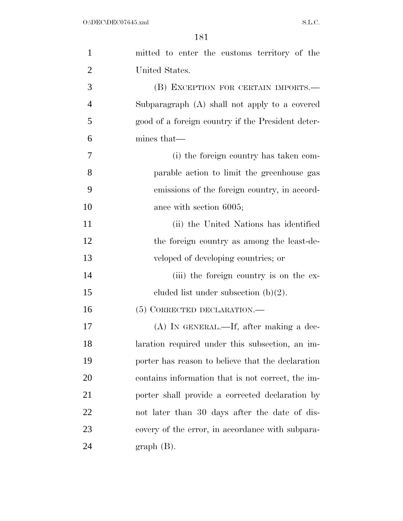| $\mathbf{1}$   | mitted to enter the customs territory of the      |
|----------------|---------------------------------------------------|
| $\overline{2}$ | United States.                                    |
| 3              | (B) EXCEPTION FOR CERTAIN IMPORTS.—               |
| $\overline{4}$ | Subparagraph (A) shall not apply to a covered     |
| 5              | good of a foreign country if the President deter- |
| 6              | mines that—                                       |
| $\tau$         | (i) the foreign country has taken com-            |
| 8              | parable action to limit the greenhouse gas        |
| 9              | emissions of the foreign country, in accord-      |
| 10             | ance with section 6005;                           |
| 11             | (ii) the United Nations has identified            |
| 12             | the foreign country as among the least-de-        |
| 13             | veloped of developing countries; or               |
| 14             | (iii) the foreign country is on the ex-           |
| 15             | cluded list under subsection $(b)(2)$ .           |
| 16             | (5) CORRECTED DECLARATION.                        |
| 17             | $(A)$ In GENERAL.—If, after making a dec-         |
| 18             | laration required under this subsection, an im-   |
| 19             | porter has reason to believe that the declaration |
| 20             | contains information that is not correct, the im- |
| 21             | porter shall provide a corrected declaration by   |
| 22             | not later than 30 days after the date of dis-     |
| 23             | covery of the error, in accordance with subpara-  |
| 24             | $graph(B)$ .                                      |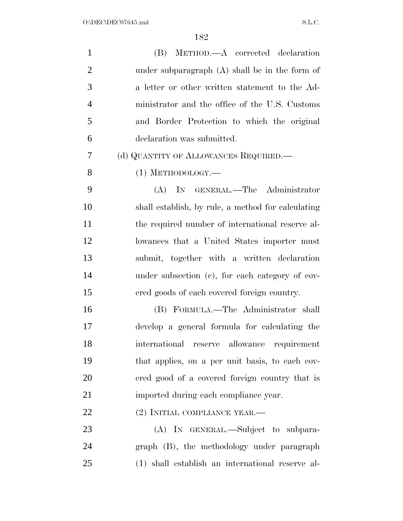| $\mathbf{1}$   | (B) METHOD.—A corrected declaration                |
|----------------|----------------------------------------------------|
| $\overline{2}$ | under subparagraph $(A)$ shall be in the form of   |
| 3              | a letter or other written statement to the Ad-     |
| $\overline{4}$ | ministrator and the office of the U.S. Customs     |
| 5              | and Border Protection to which the original        |
| 6              | declaration was submitted.                         |
| 7              | (d) QUANTITY OF ALLOWANCES REQUIRED.—              |
| 8              | $(1)$ METHODOLOGY.—                                |
| 9              | (A) IN GENERAL.—The Administrator                  |
| 10             | shall establish, by rule, a method for calculating |
| 11             | the required number of international reserve al-   |
| 12             | lowances that a United States importer must        |
| 13             | submit, together with a written declaration        |
| 14             | under subsection (c), for each category of cov-    |
| 15             | ered goods of each covered foreign country.        |
| 16             | (B) FORMULA.—The Administrator shall               |
| 17             | develop a general formula for calculating the      |
| 18             | international reserve allowance requirement        |
| 19             | that applies, on a per unit basis, to each cov-    |
| 20             | ered good of a covered foreign country that is     |
| 21             | imported during each compliance year.              |
| 22             | $(2)$ INITIAL COMPLIANCE YEAR.—                    |
| 23             | (A) IN GENERAL.—Subject to subpara-                |
| 24             | graph (B), the methodology under paragraph         |
| 25             | (1) shall establish an international reserve al-   |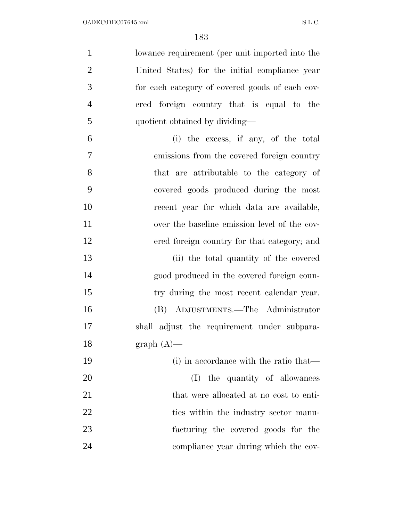| $\mathbf{1}$   | lowance requirement (per unit imported into the |
|----------------|-------------------------------------------------|
| $\overline{2}$ | United States) for the initial compliance year  |
| 3              | for each category of covered goods of each cov- |
| $\overline{4}$ | ered foreign country that is equal to the       |
| 5              | quotient obtained by dividing—                  |
| 6              | (i) the excess, if any, of the total            |
| $\overline{7}$ | emissions from the covered foreign country      |
| 8              | that are attributable to the category of        |
| 9              | covered goods produced during the most          |
| 10             | recent year for which data are available,       |
| 11             | over the baseline emission level of the cov-    |
| 12             | ered foreign country for that category; and     |
| 13             | (ii) the total quantity of the covered          |
| 14             | good produced in the covered foreign coun-      |
| 15             | try during the most recent calendar year.       |
| 16             | (B) ADJUSTMENTS.—The Administrator              |
| 17             | shall adjust the requirement under subpara-     |
| 18             | $graph (A)$ —                                   |
| 19             | (i) in accordance with the ratio that—          |
| 20             | (I) the quantity of allowances                  |
| 21             | that were allocated at no cost to enti-         |
| 22             | ties within the industry sector manu-           |
| 23             | facturing the covered goods for the             |
| 24             | compliance year during which the cov-           |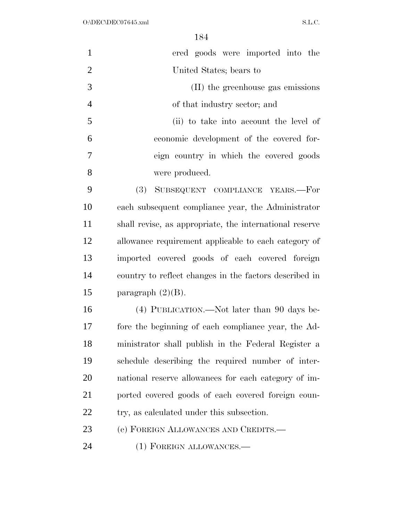| $\mathbf{1}$   | ered goods were imported into the                       |
|----------------|---------------------------------------------------------|
| $\overline{2}$ | United States; bears to                                 |
| 3              | (II) the greenhouse gas emissions                       |
| $\overline{4}$ | of that industry sector; and                            |
| 5              | (ii) to take into account the level of                  |
| 6              | economic development of the covered for-                |
| 7              | eign country in which the covered goods                 |
| 8              | were produced.                                          |
| 9              | (3)<br>SUBSEQUENT COMPLIANCE YEARS.-For                 |
| 10             | each subsequent compliance year, the Administrator      |
| 11             | shall revise, as appropriate, the international reserve |
| 12             | allowance requirement applicable to each category of    |
| 13             | imported covered goods of each covered foreign          |
| 14             | country to reflect changes in the factors described in  |
| 15             | paragraph $(2)(B)$ .                                    |
| 16             | (4) PUBLICATION.—Not later than 90 days be-             |
| 17             | fore the beginning of each compliance year, the Ad-     |
| 18             | ministrator shall publish in the Federal Register a     |
| 19             | schedule describing the required number of inter-       |
| 20             | national reserve allowances for each category of im-    |
| 21             | ported covered goods of each covered foreign coun-      |
| <u>22</u>      | try, as calculated under this subsection.               |
| 23             | (e) FOREIGN ALLOWANCES AND CREDITS.—                    |
| 24             | (1) FOREIGN ALLOWANCES.—                                |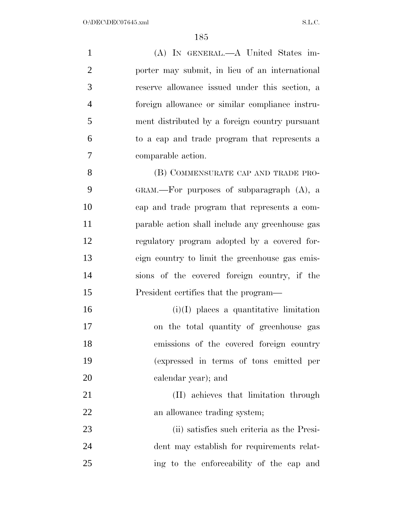(A) IN GENERAL.—A United States im- porter may submit, in lieu of an international reserve allowance issued under this section, a foreign allowance or similar compliance instru- ment distributed by a foreign country pursuant to a cap and trade program that represents a comparable action. 8 (B) COMMENSURATE CAP AND TRADE PRO- GRAM.—For purposes of subparagraph (A), a cap and trade program that represents a com- parable action shall include any greenhouse gas regulatory program adopted by a covered for- eign country to limit the greenhouse gas emis- sions of the covered foreign country, if the President certifies that the program— (i)(I) places a quantitative limitation on the total quantity of greenhouse gas emissions of the covered foreign country (expressed in terms of tons emitted per calendar year); and (II) achieves that limitation through

22 an allowance trading system;

 (ii) satisfies such criteria as the Presi- dent may establish for requirements relat-ing to the enforceability of the cap and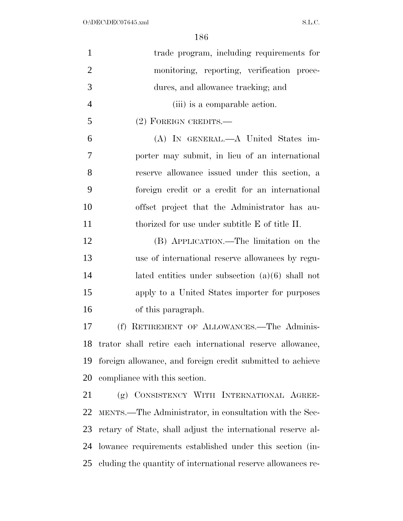| $\mathbf{1}$   | trade program, including requirements for                    |
|----------------|--------------------------------------------------------------|
| $\overline{2}$ | monitoring, reporting, verification proce-                   |
| 3              | dures, and allowance tracking; and                           |
| $\overline{4}$ | (iii) is a comparable action.                                |
| 5              | (2) FOREIGN CREDITS.—                                        |
| 6              | (A) IN GENERAL.—A United States im-                          |
| 7              | porter may submit, in lieu of an international               |
| 8              | reserve allowance issued under this section, a               |
| 9              | foreign credit or a credit for an international              |
| 10             | offset project that the Administrator has au-                |
| 11             | thorized for use under subtitle E of title II.               |
| 12             | (B) APPLICATION.—The limitation on the                       |
| 13             | use of international reserve allowances by regu-             |
| 14             | lated entities under subsection $(a)(6)$ shall not           |
| 15             | apply to a United States importer for purposes               |
| 16             | of this paragraph.                                           |
| 17             | (f) RETIREMENT OF ALLOWANCES.—The Adminis-                   |
| 18             | trator shall retire each international reserve allowance,    |
| 19             | foreign allowance, and foreign credit submitted to achieve   |
| 20             | compliance with this section.                                |
| 21             | (g) CONSISTENCY WITH INTERNATIONAL AGREE-                    |
| 22             | MENTS.—The Administrator, in consultation with the Sec-      |
| 23             | retary of State, shall adjust the international reserve al-  |
| 24             | lowance requirements established under this section (in-     |
| 25             | cluding the quantity of international reserve allowances re- |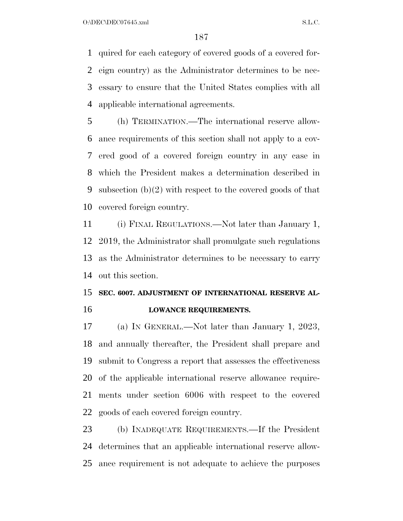$O:\DEC\DECO7645.xml$  S.L.C.

 quired for each category of covered goods of a covered for- eign country) as the Administrator determines to be nec- essary to ensure that the United States complies with all applicable international agreements.

 (h) TERMINATION.—The international reserve allow- ance requirements of this section shall not apply to a cov- ered good of a covered foreign country in any case in which the President makes a determination described in subsection (b)(2) with respect to the covered goods of that covered foreign country.

 (i) FINAL REGULATIONS.—Not later than January 1, 2019, the Administrator shall promulgate such regulations as the Administrator determines to be necessary to carry out this section.

# **SEC. 6007. ADJUSTMENT OF INTERNATIONAL RESERVE AL-LOWANCE REQUIREMENTS.**

 (a) IN GENERAL.—Not later than January 1, 2023, and annually thereafter, the President shall prepare and submit to Congress a report that assesses the effectiveness of the applicable international reserve allowance require- ments under section 6006 with respect to the covered goods of each covered foreign country.

 (b) INADEQUATE REQUIREMENTS.—If the President determines that an applicable international reserve allow-ance requirement is not adequate to achieve the purposes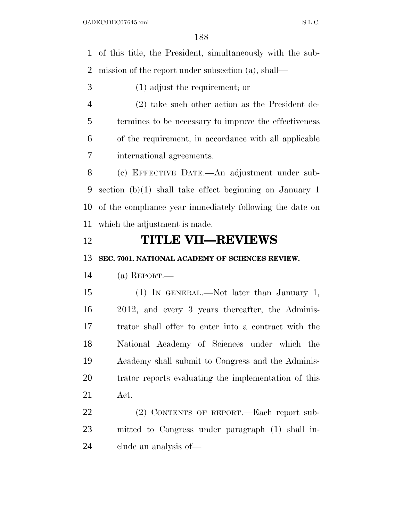of this title, the President, simultaneously with the sub-mission of the report under subsection (a), shall—

- (1) adjust the requirement; or
- (2) take such other action as the President de- termines to be necessary to improve the effectiveness of the requirement, in accordance with all applicable international agreements.

 (c) EFFECTIVE DATE.—An adjustment under sub- section (b)(1) shall take effect beginning on January 1 of the compliance year immediately following the date on which the adjustment is made.

### **TITLE VII—REVIEWS**

**SEC. 7001. NATIONAL ACADEMY OF SCIENCES REVIEW.** 

(a) REPORT.—

 (1) IN GENERAL.—Not later than January 1, 2012, and every 3 years thereafter, the Adminis- trator shall offer to enter into a contract with the National Academy of Sciences under which the Academy shall submit to Congress and the Adminis- trator reports evaluating the implementation of this Act.

22 (2) CONTENTS OF REPORT. Each report sub- mitted to Congress under paragraph (1) shall in-clude an analysis of—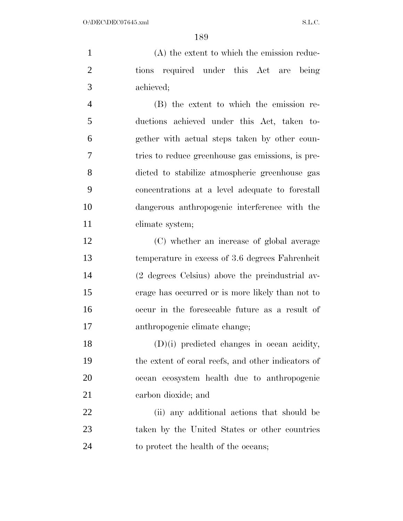(A) the extent to which the emission reduc- tions required under this Act are being achieved;

 (B) the extent to which the emission re- ductions achieved under this Act, taken to- gether with actual steps taken by other coun- tries to reduce greenhouse gas emissions, is pre- dicted to stabilize atmospheric greenhouse gas concentrations at a level adequate to forestall dangerous anthropogenic interference with the 11 climate system;

 (C) whether an increase of global average temperature in excess of 3.6 degrees Fahrenheit (2 degrees Celsius) above the preindustrial av- erage has occurred or is more likely than not to occur in the foreseeable future as a result of anthropogenic climate change;

 (D)(i) predicted changes in ocean acidity, the extent of coral reefs, and other indicators of ocean ecosystem health due to anthropogenic carbon dioxide; and

 (ii) any additional actions that should be taken by the United States or other countries to protect the health of the oceans;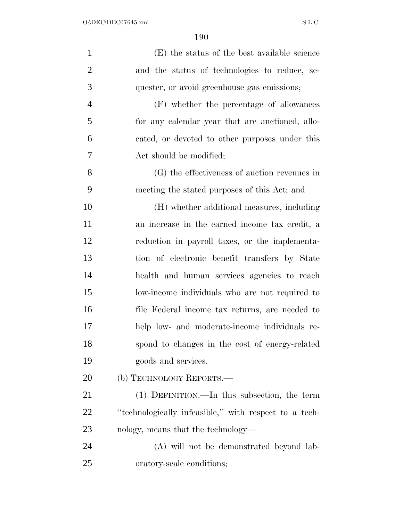| $\mathbf{1}$   | (E) the status of the best available science          |
|----------------|-------------------------------------------------------|
| $\overline{2}$ | and the status of technologies to reduce, se-         |
| 3              | quester, or avoid greenhouse gas emissions;           |
| $\overline{4}$ | (F) whether the percentage of allowances              |
| 5              | for any calendar year that are auctioned, allo-       |
| 6              | cated, or devoted to other purposes under this        |
| 7              | Act should be modified;                               |
| 8              | (G) the effectiveness of auction revenues in          |
| 9              | meeting the stated purposes of this Act; and          |
| 10             | (H) whether additional measures, including            |
| 11             | an increase in the earned income tax credit, a        |
| 12             | reduction in payroll taxes, or the implementa-        |
| 13             | tion of electronic benefit transfers by State         |
| 14             | health and human services agencies to reach           |
| 15             | low-income individuals who are not required to        |
| 16             | file Federal income tax returns, are needed to        |
| 17             | help low- and moderate-income individuals re-         |
| 18             | spond to changes in the cost of energy-related        |
| 19             | goods and services.                                   |
| 20             | (b) TECHNOLOGY REPORTS.—                              |
| 21             | (1) DEFINITION.—In this subsection, the term          |
| 22             | "technologically infeasible," with respect to a tech- |
| 23             | nology, means that the technology—                    |
| 24             | (A) will not be demonstrated beyond lab-              |
| 25             | oratory-scale conditions;                             |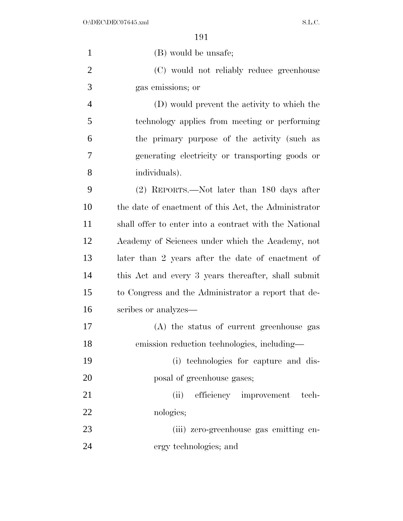| $\mathbf{1}$   | (B) would be unsafe;                                   |
|----------------|--------------------------------------------------------|
| $\overline{2}$ | (C) would not reliably reduce greenhouse               |
| 3              | gas emissions; or                                      |
| $\overline{4}$ | (D) would prevent the activity to which the            |
| 5              | technology applies from meeting or performing          |
| 6              | the primary purpose of the activity (such as           |
| 7              | generating electricity or transporting goods or        |
| 8              | individuals).                                          |
| 9              | (2) REPORTS.—Not later than 180 days after             |
| 10             | the date of enactment of this Act, the Administrator   |
| 11             | shall offer to enter into a contract with the National |
| 12             | Academy of Sciences under which the Academy, not       |
| 13             | later than 2 years after the date of enactment of      |
| 14             | this Act and every 3 years thereafter, shall submit    |
| 15             | to Congress and the Administrator a report that de-    |
| 16             | scribes or analyzes—                                   |
| 17             | (A) the status of current greenhouse gas               |
| 18             | emission reduction technologies, including—            |
| 19             | (i) technologies for capture and dis-                  |
| <b>20</b>      | posal of greenhouse gases;                             |
| 21             | (ii) efficiency improvement<br>tech-                   |
| 22             | nologies;                                              |
| 23             | (iii) zero-greenhouse gas emitting en-                 |
| 24             | ergy technologies; and                                 |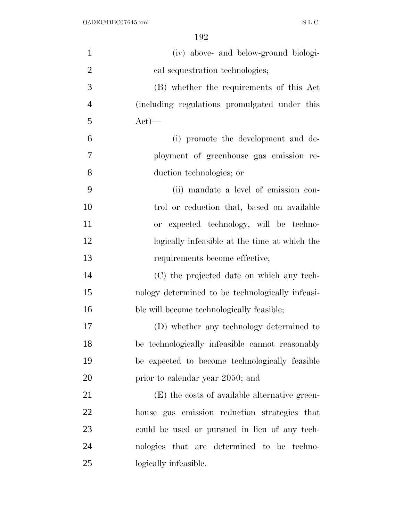| $\mathbf{1}$   | (iv) above- and below-ground biologi-            |
|----------------|--------------------------------------------------|
| $\overline{2}$ | cal sequestration technologies;                  |
| 3              | (B) whether the requirements of this Act         |
| $\overline{4}$ | (including regulations promulgated under this    |
| 5              | $Act)$ —                                         |
| 6              | (i) promote the development and de-              |
| 7              | ployment of greenhouse gas emission re-          |
| 8              | duction technologies; or                         |
| 9              | (ii) mandate a level of emission con-            |
| 10             | trol or reduction that, based on available       |
| 11             | or expected technology, will be techno-          |
| 12             | logically infeasible at the time at which the    |
| 13             | requirements become effective;                   |
| 14             | (C) the projected date on which any tech-        |
| 15             | nology determined to be technologically infeasi- |
| 16             | ble will become technologically feasible;        |
| 17             | (D) whether any technology determined to         |
| 18             | be technologically infeasible cannot reasonably  |
| 19             | be expected to become technologically feasible   |
| 20             | prior to calendar year 2050; and                 |
| 21             | (E) the costs of available alternative green-    |
| 22             | house gas emission reduction strategies that     |
| 23             | could be used or pursued in lieu of any tech-    |
| 24             | nologies that are determined to be techno-       |
| 25             | logically infeasible.                            |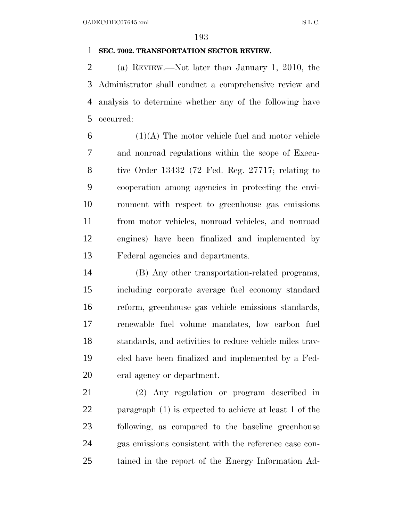### **SEC. 7002. TRANSPORTATION SECTOR REVIEW.**

 (a) REVIEW.—Not later than January 1, 2010, the Administrator shall conduct a comprehensive review and analysis to determine whether any of the following have occurred:

 $6 \t(1)(A)$  The motor vehicle fuel and motor vehicle and nonroad regulations within the scope of Execu- tive Order 13432 (72 Fed. Reg. 27717; relating to cooperation among agencies in protecting the envi- ronment with respect to greenhouse gas emissions from motor vehicles, nonroad vehicles, and nonroad engines) have been finalized and implemented by Federal agencies and departments.

 (B) Any other transportation-related programs, including corporate average fuel economy standard reform, greenhouse gas vehicle emissions standards, renewable fuel volume mandates, low carbon fuel standards, and activities to reduce vehicle miles trav- eled have been finalized and implemented by a Fed-eral agency or department.

 (2) Any regulation or program described in paragraph (1) is expected to achieve at least 1 of the following, as compared to the baseline greenhouse gas emissions consistent with the reference case con-tained in the report of the Energy Information Ad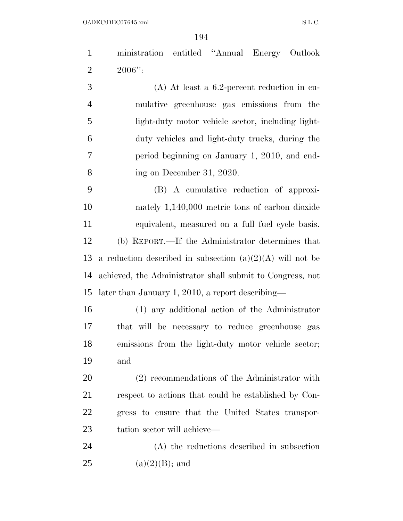$O:\Delta$ DEC $O$ 7645.xml S.L.C.

 ministration entitled ''Annual Energy Outlook 2  $2006"$ :

 (A) At least a 6.2-percent reduction in cu- mulative greenhouse gas emissions from the light-duty motor vehicle sector, including light- duty vehicles and light-duty trucks, during the period beginning on January 1, 2010, and end-ing on December 31, 2020.

 (B) A cumulative reduction of approxi- mately 1,140,000 metric tons of carbon dioxide equivalent, measured on a full fuel cycle basis. (b) REPORT.—If the Administrator determines that 13 a reduction described in subsection  $(a)(2)(A)$  will not be achieved, the Administrator shall submit to Congress, not later than January 1, 2010, a report describing—

 (1) any additional action of the Administrator that will be necessary to reduce greenhouse gas emissions from the light-duty motor vehicle sector; and

 (2) recommendations of the Administrator with respect to actions that could be established by Con- gress to ensure that the United States transpor-tation sector will achieve—

 (A) the reductions described in subsection 25 (a)(2)(B); and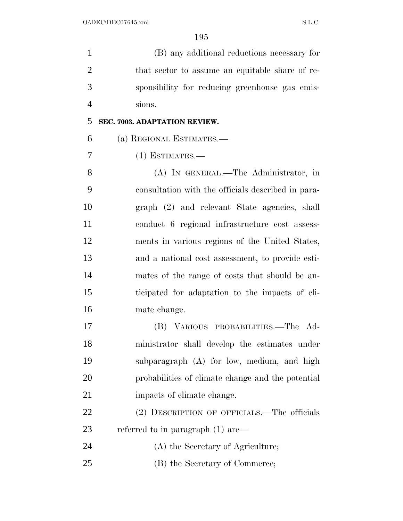(B) any additional reductions necessary for 2 that sector to assume an equitable share of re- sponsibility for reducing greenhouse gas emis-sions.

**SEC. 7003. ADAPTATION REVIEW.** 

(a) REGIONAL ESTIMATES.—

(1) ESTIMATES.—

 (A) IN GENERAL.—The Administrator, in consultation with the officials described in para- graph (2) and relevant State agencies, shall conduct 6 regional infrastructure cost assess- ments in various regions of the United States, and a national cost assessment, to provide esti- mates of the range of costs that should be an- ticipated for adaptation to the impacts of cli-mate change.

 (B) VARIOUS PROBABILITIES.—The Ad- ministrator shall develop the estimates under subparagraph (A) for low, medium, and high probabilities of climate change and the potential 21 impacts of climate change.

22 (2) DESCRIPTION OF OFFICIALS.—The officials 23 referred to in paragraph (1) are—

24 (A) the Secretary of Agriculture;

(B) the Secretary of Commerce;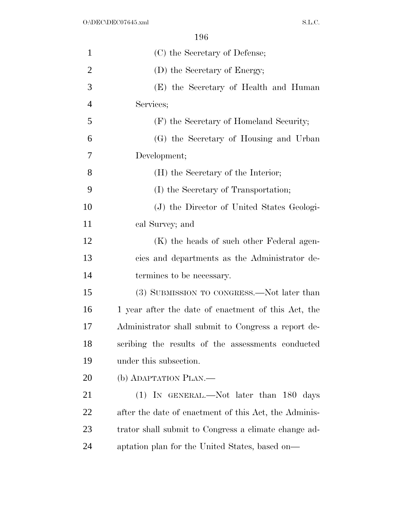| $\mathbf{1}$   | (C) the Secretary of Defense;                         |
|----------------|-------------------------------------------------------|
| $\overline{2}$ | (D) the Secretary of Energy;                          |
| 3              | (E) the Secretary of Health and Human                 |
| $\overline{4}$ | Services;                                             |
| 5              | (F) the Secretary of Homeland Security;               |
| 6              | (G) the Secretary of Housing and Urban                |
| 7              | Development;                                          |
| 8              | (H) the Secretary of the Interior;                    |
| 9              | (I) the Secretary of Transportation;                  |
| 10             | (J) the Director of United States Geologi-            |
| 11             | cal Survey; and                                       |
| 12             | (K) the heads of such other Federal agen-             |
| 13             | cies and departments as the Administrator de-         |
| 14             | termines to be necessary.                             |
| 15             | (3) SUBMISSION TO CONGRESS.—Not later than            |
| 16             | 1 year after the date of enactment of this Act, the   |
| 17             | Administrator shall submit to Congress a report de-   |
| 18             | scribing the results of the assessments conducted     |
| 19             | under this subsection.                                |
| <b>20</b>      | (b) ADAPTATION PLAN.—                                 |
| 21             | $(1)$ IN GENERAL.—Not later than 180 days             |
| 22             | after the date of enactment of this Act, the Adminis- |
| 23             | trator shall submit to Congress a climate change ad-  |
| 24             | aptation plan for the United States, based on—        |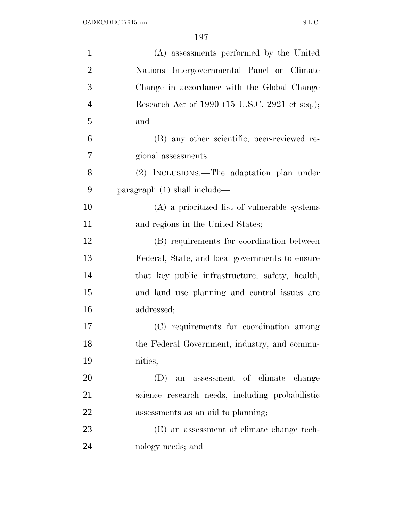| $\mathbf{1}$   | (A) assessments performed by the United         |
|----------------|-------------------------------------------------|
| $\overline{2}$ | Nations Intergovernmental Panel on Climate      |
| 3              | Change in accordance with the Global Change     |
| $\overline{4}$ | Research Act of 1990 (15 U.S.C. 2921 et seq.);  |
| 5              | and                                             |
| 6              | (B) any other scientific, peer-reviewed re-     |
| 7              | gional assessments.                             |
| 8              | (2) INCLUSIONS.—The adaptation plan under       |
| 9              | paragraph $(1)$ shall include—                  |
| 10             | (A) a prioritized list of vulnerable systems    |
| 11             | and regions in the United States;               |
| 12             | (B) requirements for coordination between       |
| 13             | Federal, State, and local governments to ensure |
| 14             | that key public infrastructure, safety, health, |
| 15             | and land use planning and control issues are    |
| 16             | addressed;                                      |
| 17             | (C) requirements for coordination among         |
| 18             | the Federal Government, industry, and commu-    |
| 19             | nities;                                         |
| 20             | an assessment of climate change<br>(D)          |
| 21             | science research needs, including probabilistic |
| 22             | assessments as an aid to planning;              |
| 23             | (E) an assessment of climate change tech-       |
| 24             | nology needs; and                               |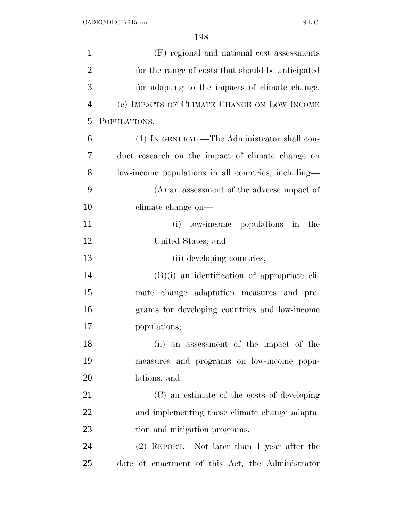| $\mathbf{1}$   | (F) regional and national cost assessments          |
|----------------|-----------------------------------------------------|
| $\overline{2}$ | for the range of costs that should be anticipated   |
| 3              | for adapting to the impacts of climate change.      |
| $\overline{4}$ | (c) IMPACTS OF CLIMATE CHANGE ON LOW-INCOME         |
| 5              | POPULATIONS.-                                       |
| 6              | (1) IN GENERAL.—The Administrator shall con-        |
| $\overline{7}$ | duct research on the impact of climate change on    |
| 8              | low-income populations in all countries, including— |
| 9              | $(A)$ an assessment of the adverse impact of        |
| 10             | climate change on—                                  |
| 11             | low-income populations in<br>(i)<br>the             |
| 12             | United States; and                                  |
| 13             | (ii) developing countries;                          |
| 14             | $(B)(i)$ an identification of appropriate cli-      |
| 15             | mate change adaptation measures and pro-            |
| 16             | grams for developing countries and low-income       |
| 17             | populations;                                        |
| 18             | (ii)<br>an assessment of the impact of the          |
| 19             | measures and programs on low-income popu-           |
| <b>20</b>      | lations; and                                        |
| 21             | (C) an estimate of the costs of developing          |
| 22             | and implementing those climate change adapta-       |
| 23             | tion and mitigation programs.                       |
| 24             | (2) REPORT.—Not later than 1 year after the         |
| 25             | date of enactment of this Act, the Administrator    |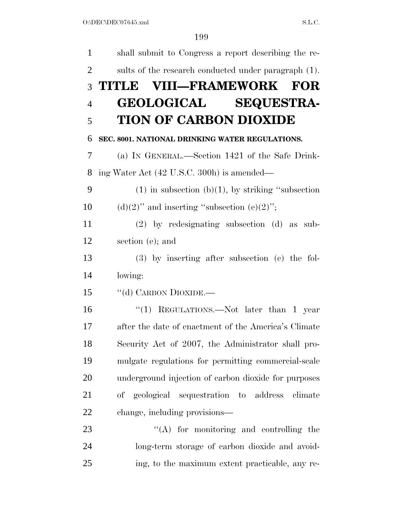| $\mathbf{1}$   | shall submit to Congress a report describing the re-    |
|----------------|---------------------------------------------------------|
| $\overline{2}$ | sults of the research conducted under paragraph (1).    |
| 3              | TITLE VIII-FRAMEWORK<br><b>FOR</b>                      |
| $\overline{4}$ | <b>GEOLOGICAL SEQUESTRA-</b>                            |
| 5              | <b>TION OF CARBON DIOXIDE</b>                           |
| 6              | SEC. 8001. NATIONAL DRINKING WATER REGULATIONS.         |
| 7              | (a) IN GENERAL.—Section 1421 of the Safe Drink-         |
| 8              | ing Water Act (42 U.S.C. 300h) is amended—              |
| 9              | $(1)$ in subsection (b) $(1)$ , by striking "subsection |
| 10             | $(d)(2)$ " and inserting "subsection $(e)(2)$ ";        |
| 11             | $(2)$ by redesignating subsection $(d)$ as sub-         |
| 12             | section (e); and                                        |
| 13             | $(3)$ by inserting after subsection $(e)$ the fol-      |
| 14             | lowing:                                                 |
| 15             | "(d) CARBON DIOXIDE.—                                   |
| 16             | "(1) REGULATIONS.—Not later than 1 year                 |
| 17             | after the date of enactment of the America's Climate    |
| 18             | Security Act of 2007, the Administrator shall pro-      |
| 19             | mulgate regulations for permitting commercial-scale     |
| 20             | underground injection of carbon dioxide for purposes    |
| 21             | of geological sequestration to address<br>climate       |
| 22             | change, including provisions—                           |
| 23             | $\lq\lq$ for monitoring and controlling the             |
| 24             | long-term storage of carbon dioxide and avoid-          |
| 25             | ing, to the maximum extent practicable, any re-         |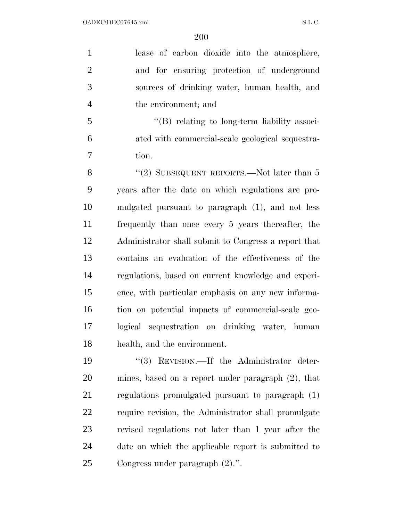lease of carbon dioxide into the atmosphere, and for ensuring protection of underground sources of drinking water, human health, and the environment; and

 ''(B) relating to long-term liability associ- ated with commercial-scale geological sequestra-tion.

8 "(2) SUBSEQUENT REPORTS.—Not later than 5 years after the date on which regulations are pro- mulgated pursuant to paragraph (1), and not less frequently than once every 5 years thereafter, the Administrator shall submit to Congress a report that contains an evaluation of the effectiveness of the regulations, based on current knowledge and experi- ence, with particular emphasis on any new informa- tion on potential impacts of commercial-scale geo- logical sequestration on drinking water, human health, and the environment.

 $(3)$  REVISION.—If the Administrator deter- mines, based on a report under paragraph (2), that regulations promulgated pursuant to paragraph (1) require revision, the Administrator shall promulgate revised regulations not later than 1 year after the date on which the applicable report is submitted to Congress under paragraph (2).''.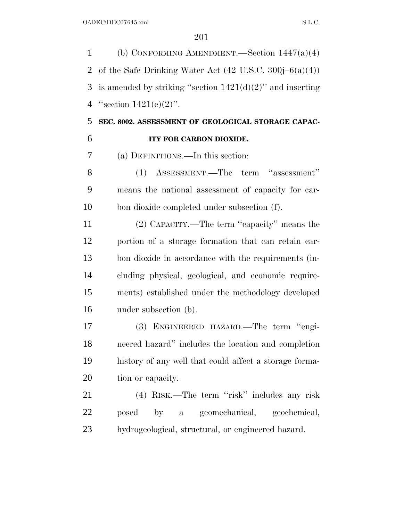(b) CONFORMING AMENDMENT.—Section 1447(a)(4) 2 of the Safe Drinking Water Act  $(42 \text{ U.S.C. } 300j-6(a)(4))$ 3 is amended by striking "section  $1421(d)(2)$ " and inserting 4 "section  $1421(e)(2)$ ".

# **SEC. 8002. ASSESSMENT OF GEOLOGICAL STORAGE CAPAC-**

### **ITY FOR CARBON DIOXIDE.**

(a) DEFINITIONS.—In this section:

 (1) ASSESSMENT.—The term ''assessment'' means the national assessment of capacity for car-bon dioxide completed under subsection (f).

 (2) CAPACITY.—The term ''capacity'' means the portion of a storage formation that can retain car- bon dioxide in accordance with the requirements (in- cluding physical, geological, and economic require- ments) established under the methodology developed under subsection (b).

 (3) ENGINEERED HAZARD.—The term ''engi- neered hazard'' includes the location and completion history of any well that could affect a storage forma-tion or capacity.

 (4) RISK.—The term ''risk'' includes any risk posed by a geomechanical, geochemical, hydrogeological, structural, or engineered hazard.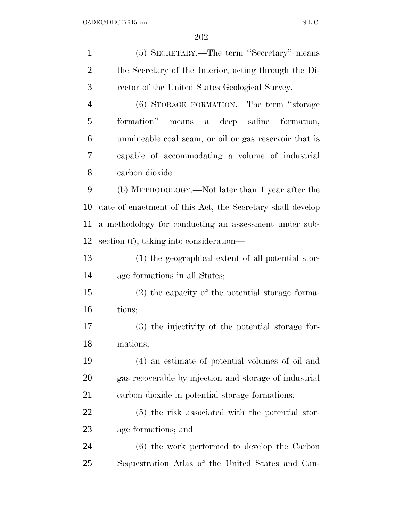(5) SECRETARY.—The term ''Secretary'' means the Secretary of the Interior, acting through the Di- rector of the United States Geological Survey. (6) STORAGE FORMATION.—The term ''storage formation'' means a deep saline formation, unmineable coal seam, or oil or gas reservoir that is capable of accommodating a volume of industrial carbon dioxide. (b) METHODOLOGY.—Not later than 1 year after the date of enactment of this Act, the Secretary shall develop a methodology for conducting an assessment under sub- section (f), taking into consideration— (1) the geographical extent of all potential stor- age formations in all States; (2) the capacity of the potential storage forma- tions; (3) the injectivity of the potential storage for- mations; (4) an estimate of potential volumes of oil and gas recoverable by injection and storage of industrial carbon dioxide in potential storage formations; (5) the risk associated with the potential stor- age formations; and (6) the work performed to develop the Carbon Sequestration Atlas of the United States and Can-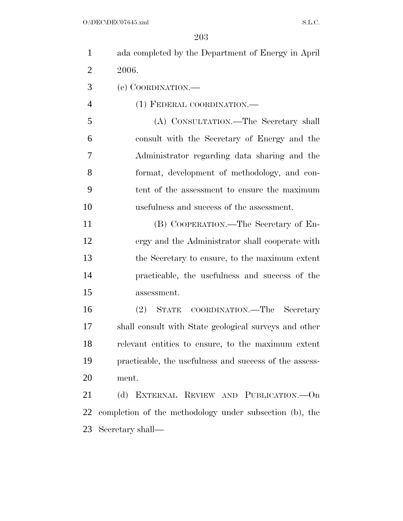| $\mathbf{1}$   | ada completed by the Department of Energy in April      |
|----------------|---------------------------------------------------------|
| $\overline{2}$ | 2006.                                                   |
| 3              | (c) COORDINATION.—                                      |
| $\overline{4}$ | (1) FEDERAL COORDINATION.-                              |
| 5              | (A) CONSULTATION.—The Secretary shall                   |
| 6              | consult with the Secretary of Energy and the            |
| 7              | Administrator regarding data sharing and the            |
| 8              | format, development of methodology, and con-            |
| 9              | tent of the assessment to ensure the maximum            |
| 10             | usefulness and success of the assessment.               |
| 11             | (B) COOPERATION.—The Secretary of En-                   |
| 12             | ergy and the Administrator shall cooperate with         |
| 13             | the Secretary to ensure, to the maximum extent          |
| 14             | practicable, the usefulness and success of the          |
| 15             | assessment.                                             |
| 16             | COORDINATION.—The Secretary<br>$(2)$ STATE              |
| 17             | shall consult with State geological surveys and other   |
| 18             | relevant entities to ensure, to the maximum extent      |
| 19             | practicable, the usefulness and success of the assess-  |
| 20             | ment.                                                   |
| 21             | (d) EXTERNAL REVIEW AND PUBLICATION.—On                 |
| 22             | completion of the methodology under subsection (b), the |
| 23             | Secretary shall—                                        |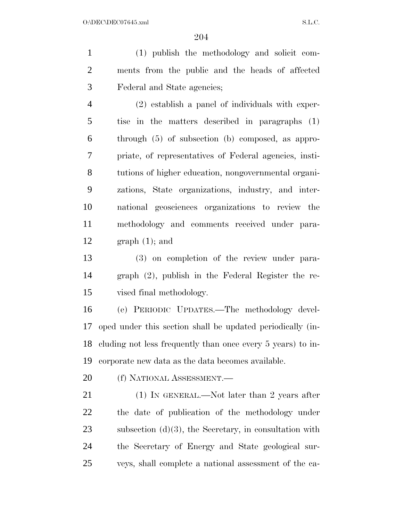(1) publish the methodology and solicit com- ments from the public and the heads of affected Federal and State agencies;

 (2) establish a panel of individuals with exper- tise in the matters described in paragraphs (1) through (5) of subsection (b) composed, as appro- priate, of representatives of Federal agencies, insti- tutions of higher education, nongovernmental organi- zations, State organizations, industry, and inter- national geosciences organizations to review the methodology and comments received under para-12 graph  $(1)$ ; and

 (3) on completion of the review under para- graph (2), publish in the Federal Register the re-vised final methodology.

 (e) PERIODIC UPDATES.—The methodology devel- oped under this section shall be updated periodically (in- cluding not less frequently than once every 5 years) to in-corporate new data as the data becomes available.

20 (f) NATIONAL ASSESSMENT.

21 (1) IN GENERAL.—Not later than 2 years after the date of publication of the methodology under 23 subsection  $(d)(3)$ , the Secretary, in consultation with the Secretary of Energy and State geological sur-veys, shall complete a national assessment of the ca-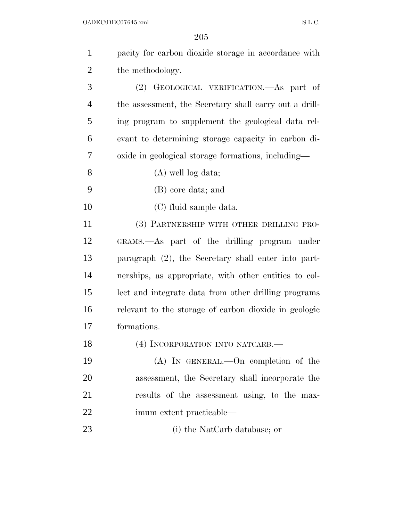| $\mathbf{1}$   | pacity for carbon dioxide storage in accordance with   |
|----------------|--------------------------------------------------------|
| $\overline{2}$ | the methodology.                                       |
| 3              | (2) GEOLOGICAL VERIFICATION.—As part of                |
| $\overline{4}$ | the assessment, the Secretary shall carry out a drill- |
| 5              | ing program to supplement the geological data rel-     |
| 6              | evant to determining storage capacity in carbon di-    |
| 7              | oxide in geological storage formations, including—     |
| 8              | $(A)$ well log data;                                   |
| 9              | (B) core data; and                                     |
| 10             | (C) fluid sample data.                                 |
| 11             | (3) PARTNERSHIP WITH OTHER DRILLING PRO-               |
| 12             | GRAMS.—As part of the drilling program under           |
| 13             | paragraph (2), the Secretary shall enter into part-    |
| 14             | nerships, as appropriate, with other entities to col-  |
| 15             | lect and integrate data from other drilling programs   |
| 16             | relevant to the storage of carbon dioxide in geologic  |
| 17             | formations.                                            |
| 18             | (4) INCORPORATION INTO NATCARB.                        |
| 19             | (A) IN GENERAL.—On completion of the                   |
| 20             | assessment, the Secretary shall incorporate the        |
| 21             | results of the assessment using, to the max-           |
| 22             | imum extent practicable—                               |
| 23             | (i) the NatCarb database; or                           |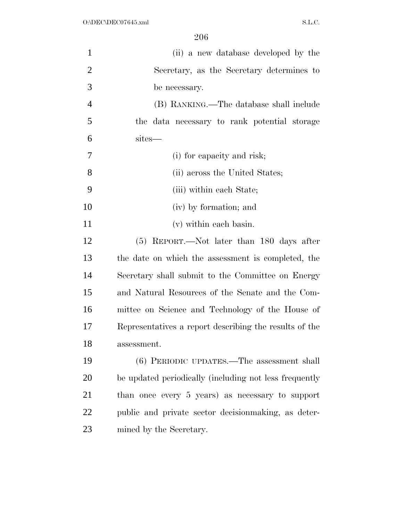| $\mathbf{1}$   | (ii) a new database developed by the                   |
|----------------|--------------------------------------------------------|
| $\overline{2}$ | Secretary, as the Secretary determines to              |
| 3              | be necessary.                                          |
| $\overline{4}$ | (B) RANKING.—The database shall include                |
| 5              | the data necessary to rank potential storage           |
| 6              | sites—                                                 |
| 7              | (i) for capacity and risk;                             |
| 8              | (ii) across the United States;                         |
| 9              | (iii) within each State;                               |
| 10             | (iv) by formation; and                                 |
| 11             | (v) within each basin.                                 |
| 12             | $(5)$ REPORT.—Not later than 180 days after            |
| 13             | the date on which the assessment is completed, the     |
| 14             | Secretary shall submit to the Committee on Energy      |
| 15             | and Natural Resources of the Senate and the Com-       |
| 16             | mittee on Science and Technology of the House of       |
| 17             | Representatives a report describing the results of the |
| 18             | assessment.                                            |
| 19             | (6) PERIODIC UPDATES.—The assessment shall             |
| 20             | be updated periodically (including not less frequently |
| 21             | than once every 5 years) as necessary to support       |
| 22             | public and private sector decision making, as deter-   |
| 23             | mined by the Secretary.                                |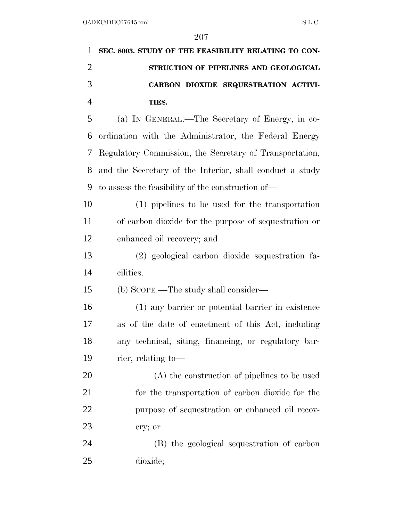| 1              | SEC. 8003. STUDY OF THE FEASIBILITY RELATING TO CON-     |
|----------------|----------------------------------------------------------|
| $\overline{2}$ | STRUCTION OF PIPELINES AND GEOLOGICAL                    |
| 3              | CARBON DIOXIDE SEQUESTRATION ACTIVI-                     |
| $\overline{4}$ | TIES.                                                    |
| 5              | (a) IN GENERAL.—The Secretary of Energy, in co-          |
| 6              | ordination with the Administrator, the Federal Energy    |
| 7              | Regulatory Commission, the Secretary of Transportation,  |
| 8              | and the Secretary of the Interior, shall conduct a study |
| 9              | to assess the feasibility of the construction of—        |
| 10             | (1) pipelines to be used for the transportation          |
| 11             | of carbon dioxide for the purpose of sequestration or    |
| 12             | enhanced oil recovery; and                               |
| 13             | (2) geological carbon dioxide sequestration fa-          |
| 14             | cilities.                                                |
| 15             | (b) SCOPE.—The study shall consider—                     |
| 16             | (1) any barrier or potential barrier in existence        |
| 17             | as of the date of enactment of this Act, including       |
| 18             | any technical, siting, financing, or regulatory bar-     |
| 19             | rier, relating to-                                       |
| 20             | (A) the construction of pipelines to be used             |
| 21             | for the transportation of carbon dioxide for the         |
| 22             | purpose of sequestration or enhanced oil recov-          |
| 23             | ery; or                                                  |
| 24             | (B) the geological sequestration of carbon               |
| 25             | dioxide;                                                 |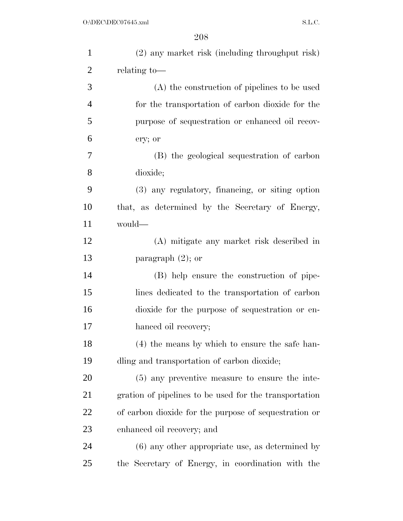| $\mathbf{1}$   | (2) any market risk (including throughput risk)        |
|----------------|--------------------------------------------------------|
| $\overline{2}$ | relating to-                                           |
| 3              | (A) the construction of pipelines to be used           |
| $\overline{4}$ | for the transportation of carbon dioxide for the       |
| 5              | purpose of sequestration or enhanced oil recov-        |
| 6              | ery; or                                                |
| 7              | (B) the geological sequestration of carbon             |
| 8              | dioxide;                                               |
| 9              | (3) any regulatory, financing, or siting option        |
| 10             | that, as determined by the Secretary of Energy,        |
| 11             | would—                                                 |
| 12             | (A) mitigate any market risk described in              |
| 13             | paragraph $(2)$ ; or                                   |
| 14             | (B) help ensure the construction of pipe-              |
| 15             | lines dedicated to the transportation of carbon        |
| 16             | dioxide for the purpose of sequestration or en-        |
| 17             | hanced oil recovery;                                   |
| 18             | (4) the means by which to ensure the safe han-         |
| 19             | dling and transportation of carbon dioxide;            |
| 20             | $(5)$ any preventive measure to ensure the inte-       |
| 21             | gration of pipelines to be used for the transportation |
| 22             | of carbon dioxide for the purpose of sequestration or  |
| 23             | enhanced oil recovery; and                             |
| 24             | $(6)$ any other appropriate use, as determined by      |
| 25             | the Secretary of Energy, in coordination with the      |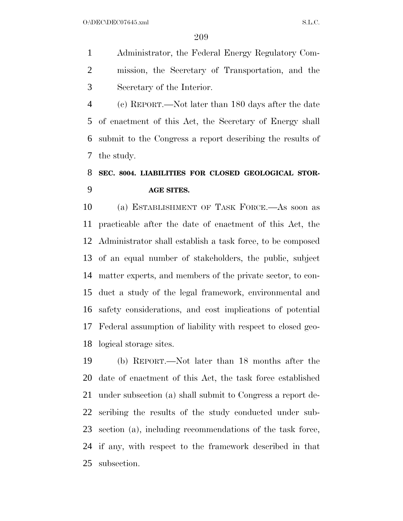$O:\DEC\DECO7645.xml$  S.L.C.

 Administrator, the Federal Energy Regulatory Com- mission, the Secretary of Transportation, and the Secretary of the Interior.

 (c) REPORT.—Not later than 180 days after the date of enactment of this Act, the Secretary of Energy shall submit to the Congress a report describing the results of the study.

# **SEC. 8004. LIABILITIES FOR CLOSED GEOLOGICAL STOR-AGE SITES.**

 (a) ESTABLISHMENT OF TASK FORCE.—As soon as practicable after the date of enactment of this Act, the Administrator shall establish a task force, to be composed of an equal number of stakeholders, the public, subject matter experts, and members of the private sector, to con- duct a study of the legal framework, environmental and safety considerations, and cost implications of potential Federal assumption of liability with respect to closed geo-logical storage sites.

 (b) REPORT.—Not later than 18 months after the date of enactment of this Act, the task force established under subsection (a) shall submit to Congress a report de- scribing the results of the study conducted under sub- section (a), including recommendations of the task force, if any, with respect to the framework described in that subsection.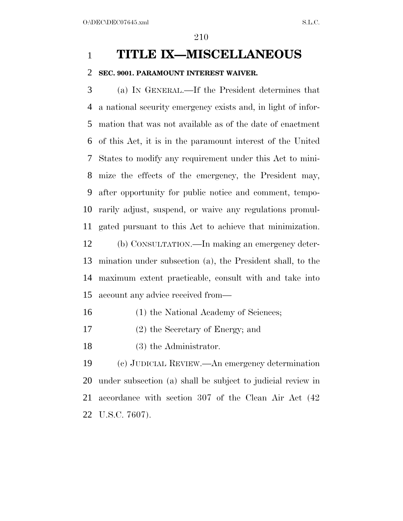### **TITLE IX—MISCELLANEOUS**

#### **SEC. 9001. PARAMOUNT INTEREST WAIVER.**

 (a) IN GENERAL.—If the President determines that a national security emergency exists and, in light of infor- mation that was not available as of the date of enactment of this Act, it is in the paramount interest of the United States to modify any requirement under this Act to mini- mize the effects of the emergency, the President may, after opportunity for public notice and comment, tempo- rarily adjust, suspend, or waive any regulations promul-gated pursuant to this Act to achieve that minimization.

 (b) CONSULTATION.—In making an emergency deter- mination under subsection (a), the President shall, to the maximum extent practicable, consult with and take into account any advice received from—

- 16 (1) the National Academy of Sciences;
- (2) the Secretary of Energy; and
- 18 (3) the Administrator.

 (c) JUDICIAL REVIEW.—An emergency determination under subsection (a) shall be subject to judicial review in accordance with section 307 of the Clean Air Act (42 U.S.C. 7607).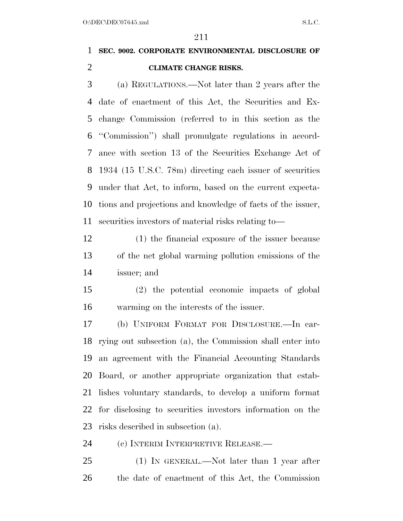# **SEC. 9002. CORPORATE ENVIRONMENTAL DISCLOSURE OF CLIMATE CHANGE RISKS.**

 (a) REGULATIONS.—Not later than 2 years after the date of enactment of this Act, the Securities and Ex- change Commission (referred to in this section as the ''Commission'') shall promulgate regulations in accord- ance with section 13 of the Securities Exchange Act of 1934 (15 U.S.C. 78m) directing each issuer of securities under that Act, to inform, based on the current expecta- tions and projections and knowledge of facts of the issuer, securities investors of material risks relating to—

 (1) the financial exposure of the issuer because of the net global warming pollution emissions of the issuer; and

 (2) the potential economic impacts of global warming on the interests of the issuer.

 (b) UNIFORM FORMAT FOR DISCLOSURE.—In car- rying out subsection (a), the Commission shall enter into an agreement with the Financial Accounting Standards Board, or another appropriate organization that estab- lishes voluntary standards, to develop a uniform format for disclosing to securities investors information on the risks described in subsection (a).

24 (c) INTERIM INTERPRETIVE RELEASE.—

 (1) IN GENERAL.—Not later than 1 year after the date of enactment of this Act, the Commission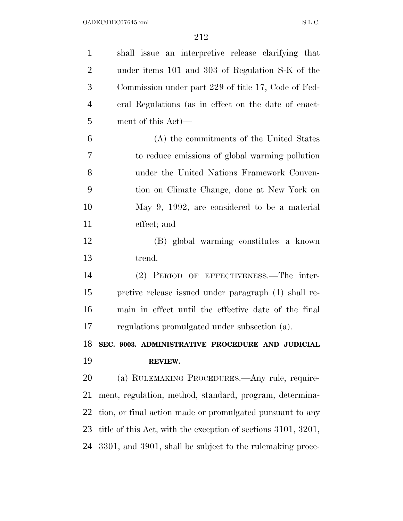| $\mathbf{1}$   | shall issue an interpretive release clarifying that           |
|----------------|---------------------------------------------------------------|
| $\overline{2}$ | under items 101 and 303 of Regulation S-K of the              |
| 3              | Commission under part 229 of title 17, Code of Fed-           |
| $\overline{4}$ | eral Regulations (as in effect on the date of enact-          |
| 5              | ment of this Act)—                                            |
| 6              | (A) the commitments of the United States                      |
| 7              | to reduce emissions of global warming pollution               |
| 8              | under the United Nations Framework Conven-                    |
| 9              | tion on Climate Change, done at New York on                   |
| 10             | May 9, 1992, are considered to be a material                  |
| 11             | effect; and                                                   |
| 12             | (B) global warming constitutes a known                        |
| 13             | trend.                                                        |
| 14             | (2) PERIOD OF EFFECTIVENESS.—The inter-                       |
| 15             | pretive release issued under paragraph (1) shall re-          |
| 16             |                                                               |
|                | main in effect until the effective date of the final          |
|                | regulations promulgated under subsection (a).                 |
|                | SEC. 9003. ADMINISTRATIVE PROCEDURE AND JUDICIAL              |
| 17<br>18<br>19 | REVIEW.                                                       |
| 20             | (a) RULEMAKING PROCEDURES.—Any rule, require-                 |
|                | ment, regulation, method, standard, program, determina-       |
| 21<br>22       | tion, or final action made or promulgated pursuant to any     |
| 23             | title of this Act, with the exception of sections 3101, 3201, |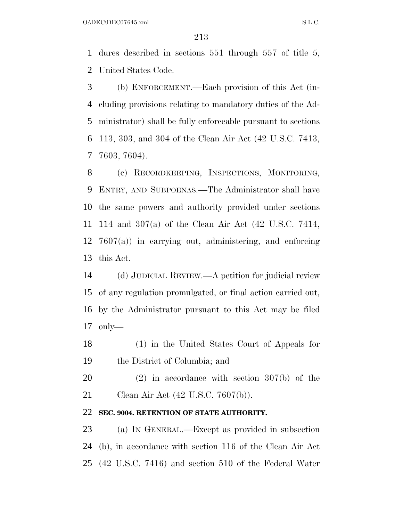$O:\Delta$ DEC $\Delta$ DEC $07645$ .xml S.L.C.

 dures described in sections 551 through 557 of title 5, United States Code.

 (b) ENFORCEMENT.—Each provision of this Act (in- cluding provisions relating to mandatory duties of the Ad- ministrator) shall be fully enforceable pursuant to sections 113, 303, and 304 of the Clean Air Act (42 U.S.C. 7413, 7603, 7604).

 (c) RECORDKEEPING, INSPECTIONS, MONITORING, ENTRY, AND SUBPOENAS.—The Administrator shall have the same powers and authority provided under sections 114 and 307(a) of the Clean Air Act (42 U.S.C. 7414, 7607(a)) in carrying out, administering, and enforcing this Act.

 (d) JUDICIAL REVIEW.—A petition for judicial review of any regulation promulgated, or final action carried out, by the Administrator pursuant to this Act may be filed only—

 (1) in the United States Court of Appeals for the District of Columbia; and

 (2) in accordance with section 307(b) of the Clean Air Act (42 U.S.C. 7607(b)).

### **SEC. 9004. RETENTION OF STATE AUTHORITY.**

 (a) IN GENERAL.—Except as provided in subsection (b), in accordance with section 116 of the Clean Air Act (42 U.S.C. 7416) and section 510 of the Federal Water